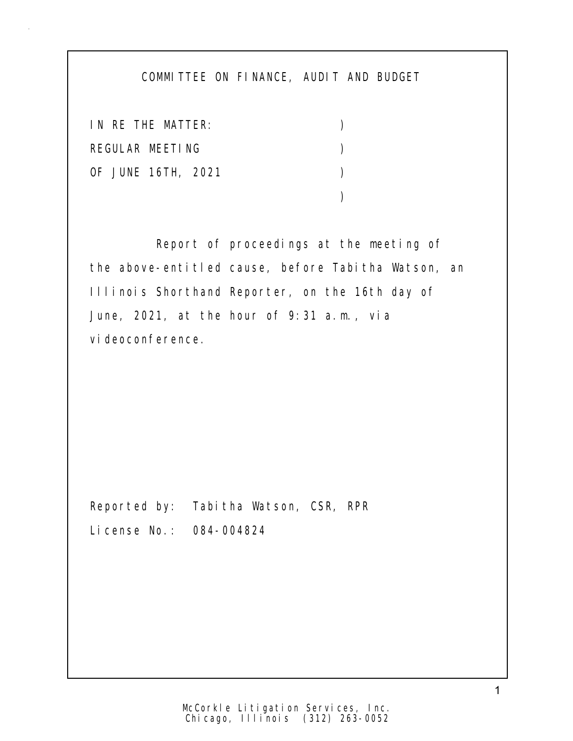## COMMITTEE ON FINANCE, AUDIT AND BUDGET

IN RE THE MATTER: ) REGULAR MEETING (2002) OF JUNE 16TH, 2021 )  $)$ 

 Report of proceedings at the meeting of the above-entitled cause, before Tabitha Watson, an Illinois Shorthand Reporter, on the 16th day of June, 2021, at the hour of 9:31 a.m., via vi deoconference.

Reported by: Tabitha Watson, CSR, RPR License No.: 084-004824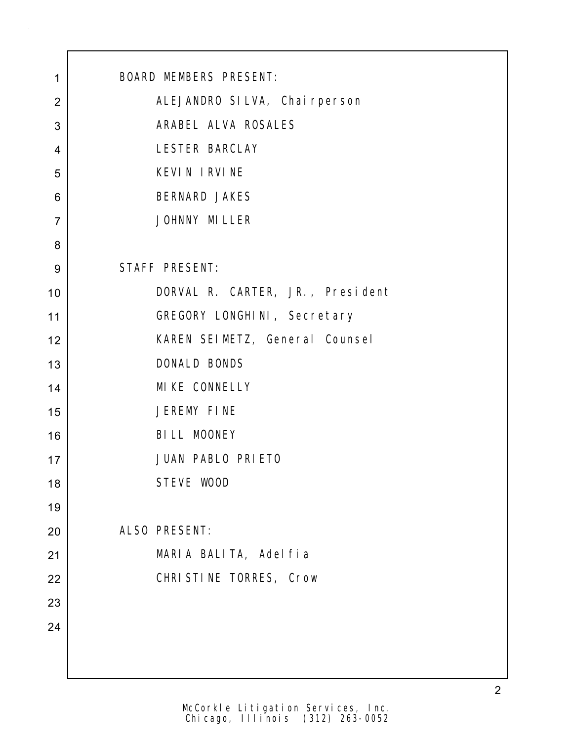| $\mathbf 1$    | <b>BOARD MEMBERS PRESENT:</b>    |
|----------------|----------------------------------|
| $\overline{2}$ | ALEJANDRO SILVA, Chai rperson    |
| 3              | ARABEL ALVA ROSALES              |
| $\overline{4}$ | LESTER BARCLAY                   |
| 5              | <b>KEVIN IRVINE</b>              |
| 6              | <b>BERNARD JAKES</b>             |
| $\overline{7}$ | JOHNNY MILLER                    |
| 8              |                                  |
| 9              | STAFF PRESENT:                   |
| 10             | DORVAL R. CARTER, JR., President |
| 11             | GREGORY LONGHINI, Secretary      |
| 12             | KAREN SEIMETZ, General Counsel   |
| 13             | DONALD BONDS                     |
| 14             | MI KE CONNELLY                   |
| 15             | JEREMY FINE                      |
| 16             | BILL MOONEY                      |
| 17             | JUAN PABLO PRIETO                |
| 18             | STEVE WOOD                       |
| 19             |                                  |
| 20             | ALSO PRESENT:                    |
| 21             | MARIA BALITA, Adelfia            |
| 22             | CHRISTINE TORRES, Crow           |
| 23             |                                  |
| 24             |                                  |
|                |                                  |
|                |                                  |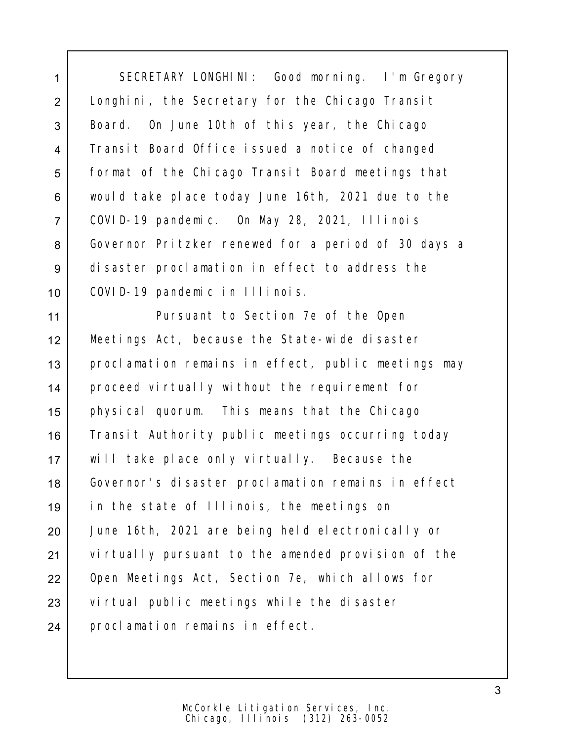1 SECRETARY LONGHINI: Good morning. I'm Gregory 2 | Longhini, the Secretary for the Chicago Transit 3 Board. On June 10th of this year, the Chicago 4 Transit Board Office issued a notice of changed 5 | format of the Chicago Transit Board meetings that 6 would take place today June 16th, 2021 due to the 7 COVID-19 pandemic. On May 28, 2021, Illinois 8 Governor Pritzker renewed for a period of 30 days a 9 disaster proclamation in effect to address the 10 COVID-19 pandemic in Illinois.

11 Pursuant to Section 7e of the Open 12 Meetings Act, because the State-wide disaster 13 proclamation remains in effect, public meetings may 14 proceed virtually without the requirement for 15 physical quorum. This means that the Chicago 16 Transit Authority public meetings occurring today 17 will take place only virtually. Because the 18 Governor's disaster proclamation remains in effect 19 in the state of Illinois, the meetings on 20 June 16th, 2021 are being held electronically or 21 virtually pursuant to the amended provision of the 22 Open Meetings Act, Section 7e, which allows for 23 virtual public meetings while the disaster 24 proclamation remains in effect.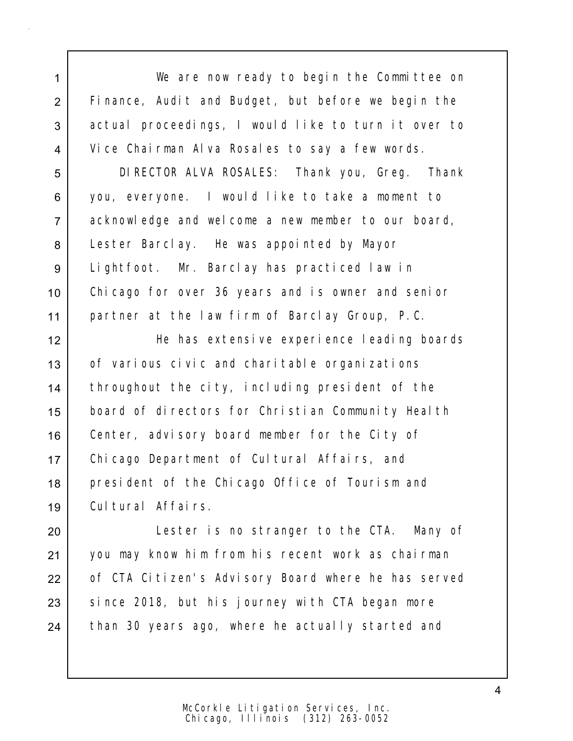1 We are now ready to begin the Committee on 2 Finance, Audit and Budget, but before we begin the 3 actual proceedings, I would like to turn it over to 4 Vice Chairman Alva Rosales to say a few words.

 DIRECTOR ALVA ROSALES: Thank you, Greg. Thank you, everyone. I would like to take a moment to acknowledge and welcome a new member to our board, Lester Barclay. He was appointed by Mayor Lightfoot. Mr. Barclay has practiced law in Chicago for over 36 years and is owner and senior partner at the law firm of Barclay Group, P.C.

12 He has extensive experience leading boards 13 of various civic and charitable organizations 14 | throughout the city, including president of the 15 board of directors for Christian Community Health 16 Center, advisory board member for the City of 17 Chicago Department of Cultural Affairs, and 18 | president of the Chicago Office of Tourism and 19 Cultural Affairs.

20 | Lester is no stranger to the CTA. Many of 21 you may know him from his recent work as chairman 22 of CTA Citizen's Advisory Board where he has served  $23$  since 2018, but his journey with CTA began more 24 than 30 years ago, where he actually started and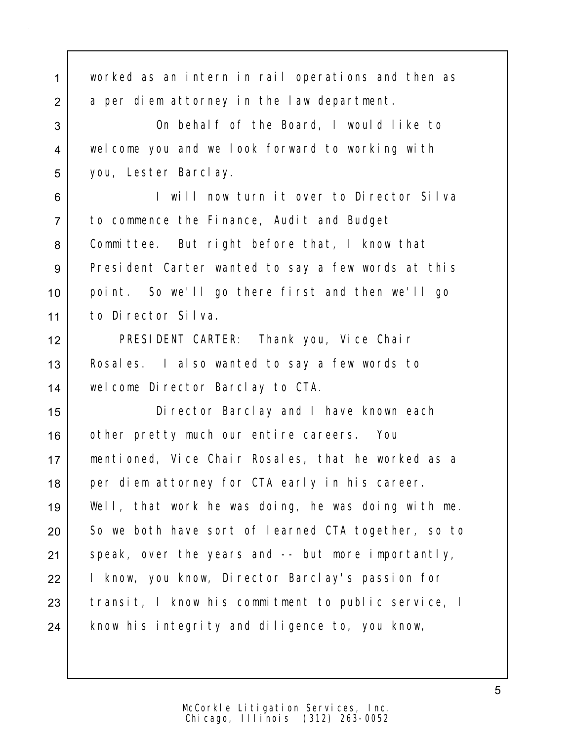| $\mathbf{1}$   | worked as an intern in rail operations and then as  |
|----------------|-----------------------------------------------------|
| 2              | a per diem attorney in the law department.          |
| 3              | On behalf of the Board, I would like to             |
| $\overline{4}$ | welcome you and we look forward to working with     |
| 5              | you, Lester Barclay.                                |
| 6              | I will now turn it over to Director Silva           |
| $\overline{7}$ | to commence the Finance, Audit and Budget           |
| 8              | Committee. But right before that, I know that       |
| $9\,$          | President Carter wanted to say a few words at this  |
| 10             | point. So we'll go there first and then we'll go    |
| 11             | to Director Silva.                                  |
| 12             | PRESIDENT CARTER: Thank you, Vice Chair             |
| 13             | Rosales. I also wanted to say a few words to        |
| 14             | welcome Director Barclay to CTA.                    |
| 15             | Di rector Barclay and I have known each             |
| 16             | other pretty much our entire careers. You           |
| 17             | mentioned, Vice Chair Rosales, that he worked as a  |
| 18             | per diem attorney for CTA early in his career.      |
| 19             | Well, that work he was doing, he was doing with me. |
| 20             | So we both have sort of learned CTA together, so to |
| 21             | speak, over the years and -- but more importantly,  |
| 22             | I know, you know, Director Barclay's passion for    |
| 23             | transit, I know his commitment to public service, I |
| 24             | know his integrity and diligence to, you know,      |
|                |                                                     |

5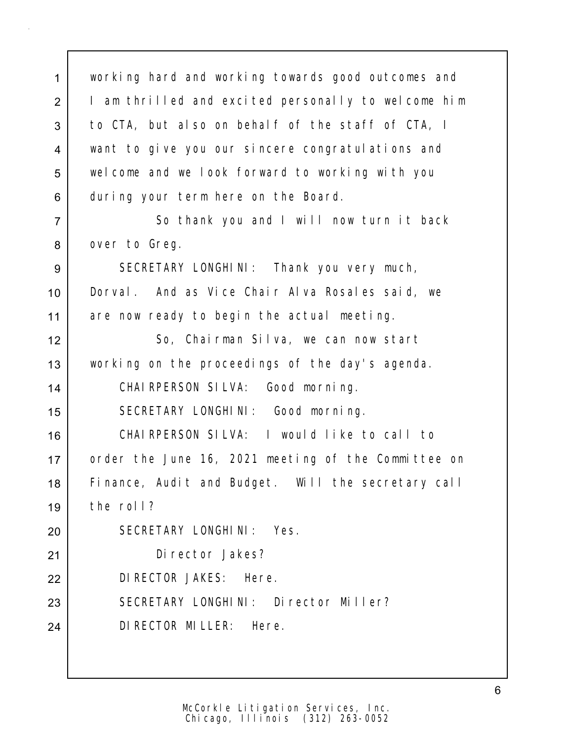1 working hard and working towards good outcomes and 2 | I am thrilled and excited personally to welcome him 3 | to CTA, but also on behalf of the staff of CTA, I 4 want to give you our sincere congratulations and 5 welcome and we look forward to working with you 6 during your term here on the Board. 7 So thank you and I will now turn it back

8 over to Greg.

9 SECRETARY LONGHINI: Thank you very much, 10 Dorval. And as Vice Chair Alva Rosales said, we 11 are now ready to begin the actual meeting.

12 So, Chairman Silva, we can now start 13 working on the proceedings of the day's agenda.

14 | CHAIRPERSON SILVA: Good morning.

15 | SECRETARY LONGHINI: Good morning.

16 CHAIRPERSON SILVA: I would like to call to 17 order the June 16, 2021 meeting of the Committee on 18 Finance, Audit and Budget. Will the secretary call 19 the roll?

 SECRETARY LONGHINI: Yes. Director Jakes? DIRECTOR JAKES: Here. 23 SECRETARY LONGHINI: Director Miller?

24 DIRECTOR MILLER: Here.

Chicago, Illinois (312) 263-0052 McCorkle Litigation Services, Inc.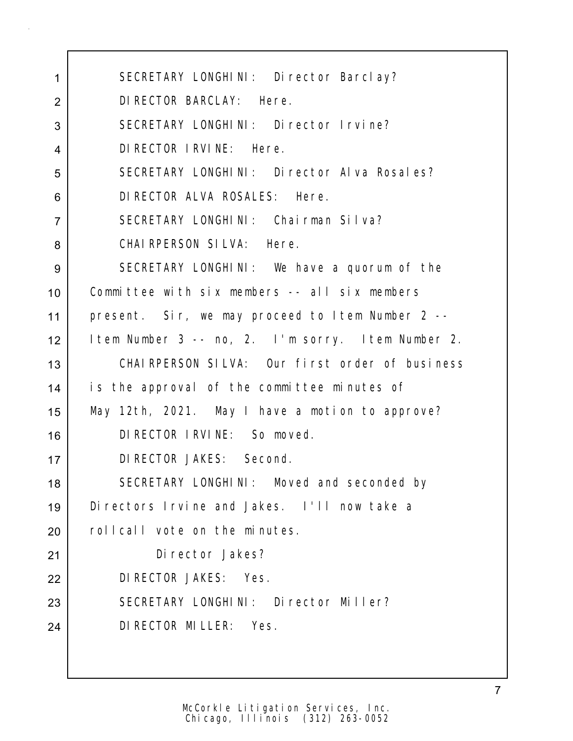1 SECRETARY LONGHINI: Director Barclay? DIRECTOR BARCLAY: Here. 3 SECRETARY LONGHINI: Director Irvine? DIRECTOR IRVINE: Here. 5 SECRETARY LONGHINI: Director Alva Rosales? DIRECTOR ALVA ROSALES: Here. SECRETARY LONGHINI: Chairman Silva? CHAIRPERSON SILVA: Here. SECRETARY LONGHINI: We have a quorum of the Committee with six members -- all six members present. Sir, we may proceed to Item Number 2 -- Item Number 3 -- no, 2. I'm sorry. Item Number 2. CHAIRPERSON SILVA: Our first order of business is the approval of the committee minutes of May 12th, 2021. May I have a motion to approve? DIRECTOR IRVINE: So moved. DIRECTOR JAKES: Second. 18 SECRETARY LONGHINI: Moved and seconded by Directors Irvine and Jakes. I'll now take a 20 rollcall vote on the minutes. Director Jakes? DIRECTOR JAKES: Yes. 23 SECRETARY LONGHINI: Director Miller? DIRECTOR MILLER: Yes.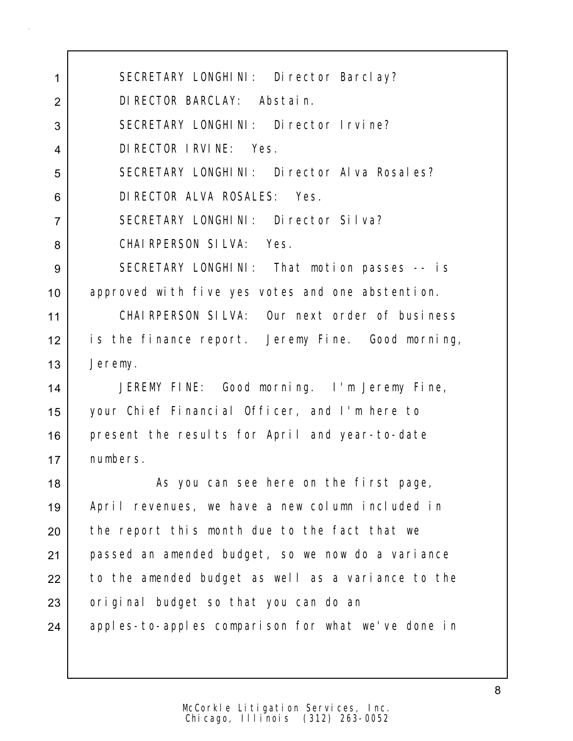1 | SECRETARY LONGHINI: Director Barclay? 2 DIRECTOR BARCLAY: Abstain. 3 SECRETARY LONGHINI: Director Irvine? 4 DIRECTOR IRVINE: Yes. 5 SECRETARY LONGHINI: Director Alva Rosales? 6 DIRECTOR ALVA ROSALES: Yes. 7 SECRETARY LONGHINI: Director Silva? 8 CHAIRPERSON SILVA: Yes. 9 SECRETARY LONGHINI: That motion passes -- is 10 approved with five yes votes and one abstention. 11 CHAIRPERSON SILVA: Our next order of business 12 is the finance report. Jeremy Fine. Good morning, 13 Jeremy. 14 JEREMY FINE: Good morning. I'm Jeremy Fine, 15 your Chief Financial Officer, and I'm here to 16 present the results for April and year-to-date 17 numbers.

18 | As you can see here on the first page, 19 April revenues, we have a new column included in 20 the report this month due to the fact that we 21 passed an amended budget, so we now do a variance 22 to the amended budget as well as a variance to the 23 original budget so that you can do an 24 apples-to-apples comparison for what we've done in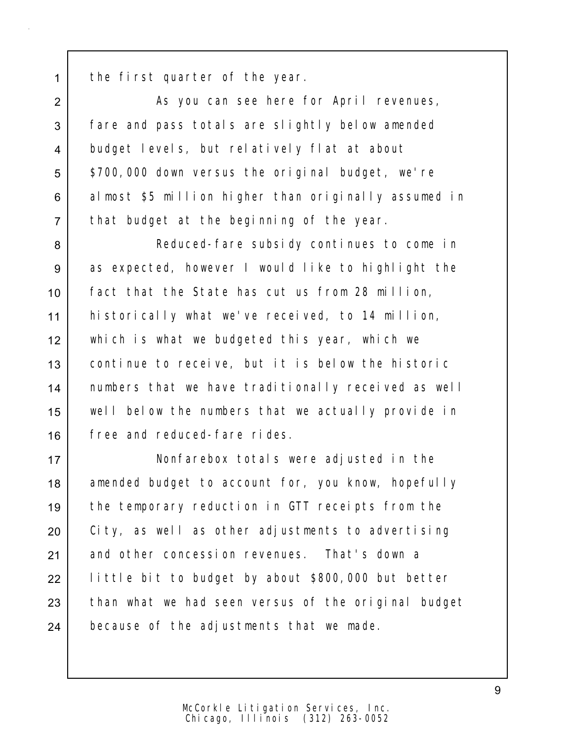1 the first quarter of the year.

2 | As you can see here for April revenues, 3 fare and pass totals are slightly below amended 4 budget levels, but relatively flat at about 5 | \$700,000 down versus the original budget, we're 6 almost \$5 million higher than originally assumed in 7 that budget at the beginning of the year.

8 | Reduced-fare subsidy continues to come in 9 as expected, however I would like to highlight the fact that the State has cut us from 28 million, historically what we've received, to 14 million, which is what we budgeted this year, which we continue to receive, but it is below the historic 14 | numbers that we have traditionally received as well well below the numbers that we actually provide in free and reduced-fare rides.

17 Nonfarebox totals were adjusted in the 18 amended budget to account for, you know, hopefully 19 the temporary reduction in GTT receipts from the 20 City, as well as other adjustments to advertising 21 and other concession revenues. That's down a 22 | little bit to budget by about \$800,000 but better 23 than what we had seen versus of the original budget 24 because of the adjustments that we made.

9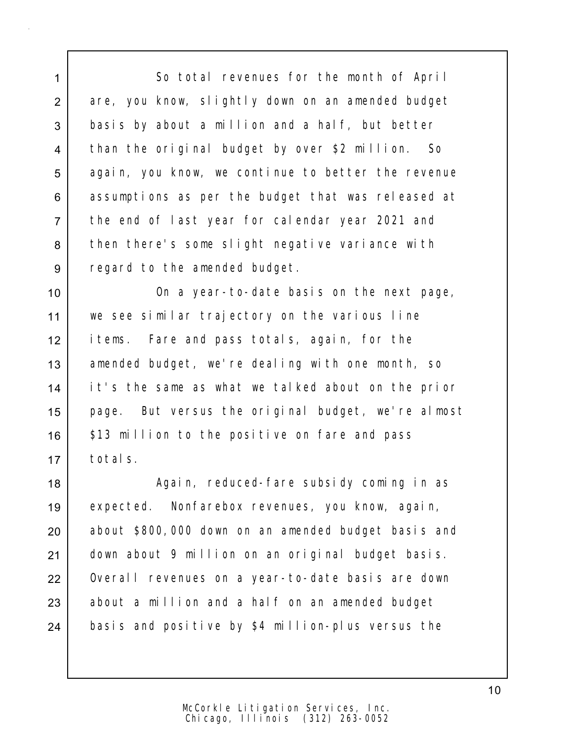1 So total revenues for the month of April 2 are, you know, slightly down on an amended budget 3 basis by about a million and a half, but better 4 than the original budget by over \$2 million. So 5 again, you know, we continue to better the revenue 6 assumptions as per the budget that was released at 7 the end of last year for calendar year 2021 and 8 then there's some slight negative variance with 9 regard to the amended budget.

10 | Communication on a year-to-date basis on the next page, 11 we see similar trajectory on the various line 12 items. Fare and pass totals, again, for the 13 | amended budget, we're dealing with one month, so 14 it's the same as what we talked about on the prior 15 page. But versus the original budget, we're almost 16 | \$13 million to the positive on fare and pass 17 totals.

18 | Again, reduced-fare subsidy coming in as 19 expected. Nonfarebox revenues, you know, again, 20 about \$800,000 down on an amended budget basis and 21 down about 9 million on an original budget basis. 22 | Overall revenues on a year-to-date basis are down  $23$  about a million and a half on an amended budget 24 basis and positive by \$4 million-plus versus the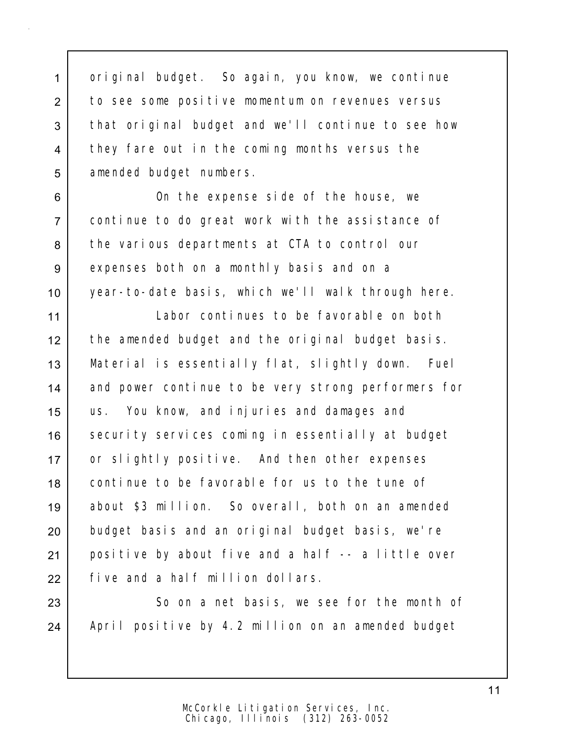1 original budget. So again, you know, we continue 2 to see some positive momentum on revenues versus 3 that original budget and we'll continue to see how 4 they fare out in the coming months versus the 5 amended budget numbers.

6 On the expense side of the house, we 7 continue to do great work with the assistance of 8 the various departments at CTA to control our 9 expenses both on a monthly basis and on a 10 year-to-date basis, which we'll walk through here.

 Labor continues to be favorable on both the amended budget and the original budget basis. Material is essentially flat, slightly down. Fuel 14 and power continue to be very strong performers for us. You know, and injuries and damages and 16 security services coming in essentially at budget 17 or slightly positive. And then other expenses continue to be favorable for us to the tune of about \$3 million. So overall, both on an amended 20 budget basis and an original budget basis, we're positive by about five and a half -- a little over five and a half million dollars.

23 So on a net basis, we see for the month of 24 | April positive by 4.2 million on an amended budget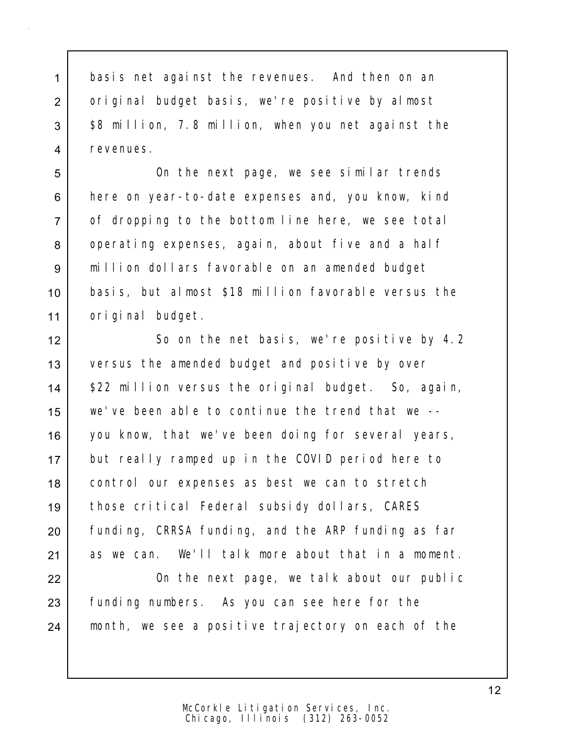1 basis net against the revenues. And then on an 2 original budget basis, we're positive by almost 3  $\frac{1}{88}$  million, 7.8 million, when you net against the 4 revenues.

 On the next page, we see similar trends 6 here on year-to-date expenses and, you know, kind of dropping to the bottom line here, we see total 8 operating expenses, again, about five and a half million dollars favorable on an amended budget basis, but almost \$18 million favorable versus the original budget.

12 So on the net basis, we're positive by 4.2 13 versus the amended budget and positive by over 14 | \$22 million versus the original budget. So, again, 15 we've been able to continue the trend that we -- 16 you know, that we've been doing for several years, 17 but really ramped up in the COVID period here to 18 | control our expenses as best we can to stretch 19 those critical Federal subsidy dollars, CARES 20 funding, CRRSA funding, and the ARP funding as far 21 as we can. We'll talk more about that in a moment.

22 | Conthe next page, we talk about our public 23 funding numbers. As you can see here for the 24 month, we see a positive trajectory on each of the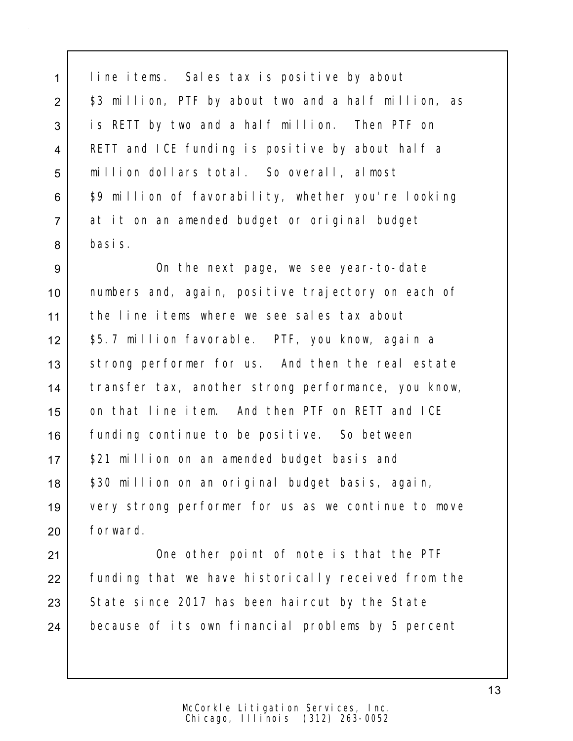1 line items. Sales tax is positive by about 2 | \$3 million, PTF by about two and a half million, as 3 is RETT by two and a half million. Then PTF on 4 RETT and ICE funding is positive by about half a 5 million dollars total. So overall, almost 6 | \$9 million of favorability, whether you're looking 7 at it on an amended budget or original budget 8 basis.

9 | Conthe next page, we see year-to-date 10 numbers and, again, positive trajectory on each of 11 the line items where we see sales tax about 12 \$5.7 million favorable. PTF, you know, again a 13 | strong performer for us. And then the real estate 14 | transfer tax, another strong performance, you know, 15 on that line item. And then PTF on RETT and ICE 16 funding continue to be positive. So between 17 | \$21 million on an amended budget basis and 18 | \$30 million on an original budget basis, again, 19 very strong performer for us as we continue to move 20 forward.

21 | One other point of note is that the PTF 22 Funding that we have historically received from the 23 State since 2017 has been haircut by the State 24 because of its own financial problems by 5 percent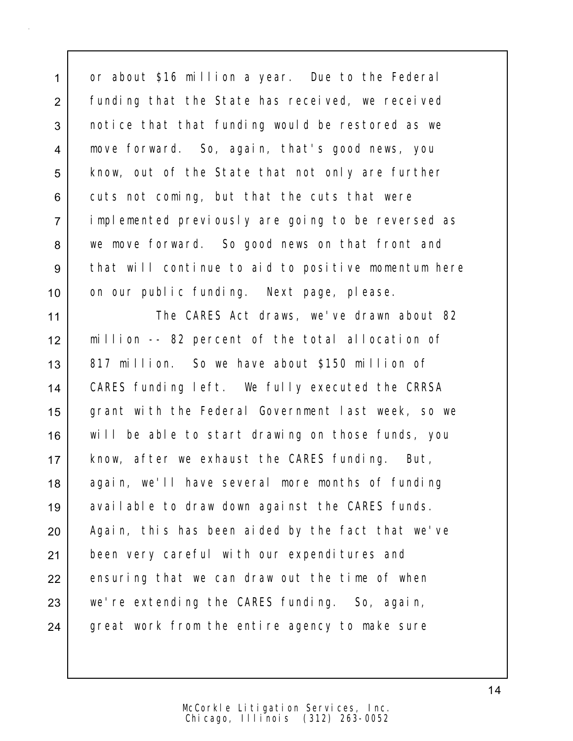1 or about \$16 million a year. Due to the Federal 2 | funding that the State has received, we received 3 notice that that funding would be restored as we 4 move forward. So, again, that's good news, you 5 | know, out of the State that not only are further  $6$  cuts not coming, but that the cuts that were 7 implemented previously are going to be reversed as 8 we move forward. So good news on that front and 9 | that will continue to aid to positive momentum here 10 | on our public funding. Next page, please.

11 The CARES Act draws, we've drawn about 82 12 million -- 82 percent of the total allocation of 13 | 817 million. So we have about \$150 million of 14 CARES funding left. We fully executed the CRRSA 15 grant with the Federal Government last week, so we 16 will be able to start drawing on those funds, you 17 | know, after we exhaust the CARES funding. But, 18 again, we'll have several more months of funding 19 available to draw down against the CARES funds. 20 | Again, this has been aided by the fact that we've 21 been very careful with our expenditures and 22 ensuring that we can draw out the time of when 23 we're extending the CARES funding. So, again, 24 great work from the entire agency to make sure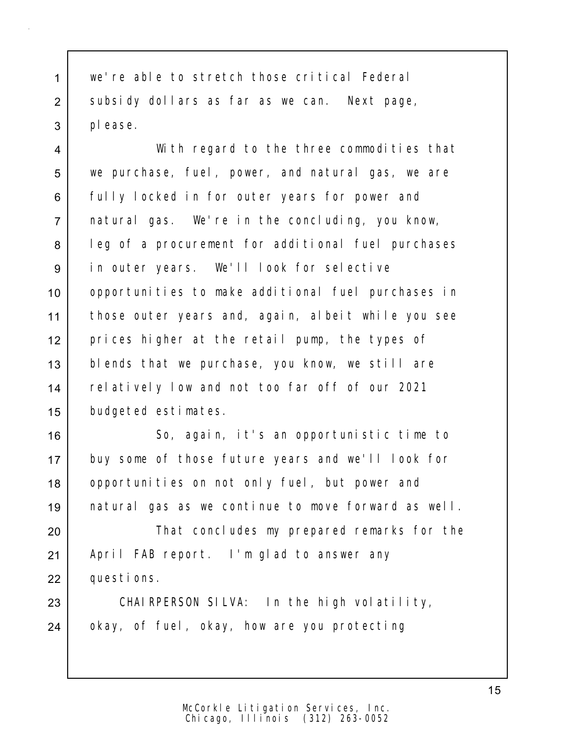1 we're able to stretch those critical Federal 2 subsidy dollars as far as we can. Next page, 3 please.

4 With regard to the three commodities that 5 we purchase, fuel, power, and natural gas, we are 6 | fully locked in for outer years for power and 7 natural gas. We're in the concluding, you know, 8 | leg of a procurement for additional fuel purchases 9 | in outer years. We'll look for selective 10 | opportunities to make additional fuel purchases in 11 those outer years and, again, albeit while you see 12 prices higher at the retail pump, the types of 13 blends that we purchase, you know, we still are 14 relatively low and not too far off of our 2021 15 budgeted estimates.

 So, again, it's an opportunistic time to buy some of those future years and we'll look for 18 | opportunities on not only fuel, but power and natural gas as we continue to move forward as well.

20 | That concludes my prepared remarks for the 21 | April FAB report. I'm glad to answer any 22 questions.

23 CHAIRPERSON SILVA: In the high volatility, 24 okay, of fuel, okay, how are you protecting

> Chicago, Illinois (312) 263-0052 McCorkle Litigation Services, Inc.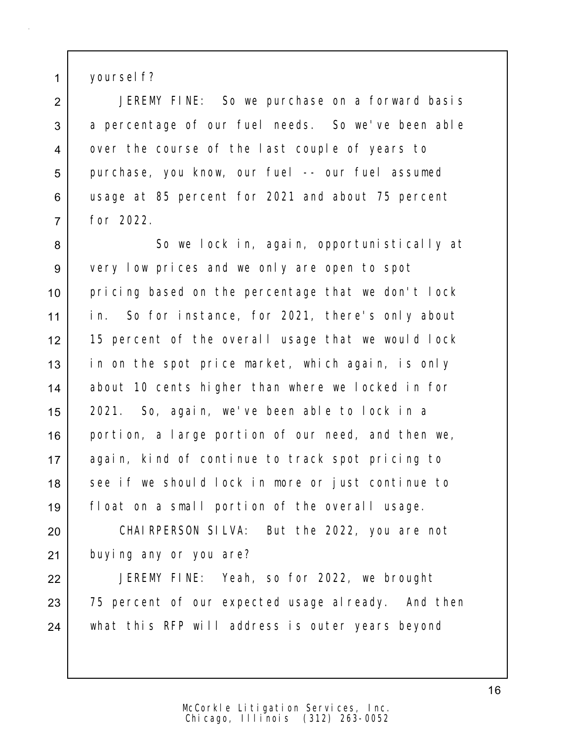1 | yoursel f?

2 | JEREMY FINE: So we purchase on a forward basis 3 a percentage of our fuel needs. So we've been able 4 over the course of the last couple of years to 5 purchase, you know, our fuel -- our fuel assumed 6 usage at 85 percent for 2021 and about 75 percent 7 for 2022.

8 So we lock in, again, opportunistically at 9 very low prices and we only are open to spot 10 | pricing based on the percentage that we don't lock 11 in. So for instance, for 2021, there's only about 12 15 percent of the overall usage that we would lock 13 in on the spot price market, which again, is only 14 about 10 cents higher than where we locked in for 15 2021. So, again, we've been able to lock in a 16 portion, a large portion of our need, and then we, 17 again, kind of continue to track spot pricing to 18 see if we should lock in more or just continue to 19 float on a small portion of the overall usage.

20 CHAIRPERSON SILVA: But the 2022, you are not 21 buying any or you are?

22 JEREMY FINE: Yeah, so for 2022, we brought 23 75 percent of our expected usage already. And then 24 what this RFP will address is outer years beyond

> Chicago, Illinois (312) 263-0052 McCorkle Litigation Services, Inc.

16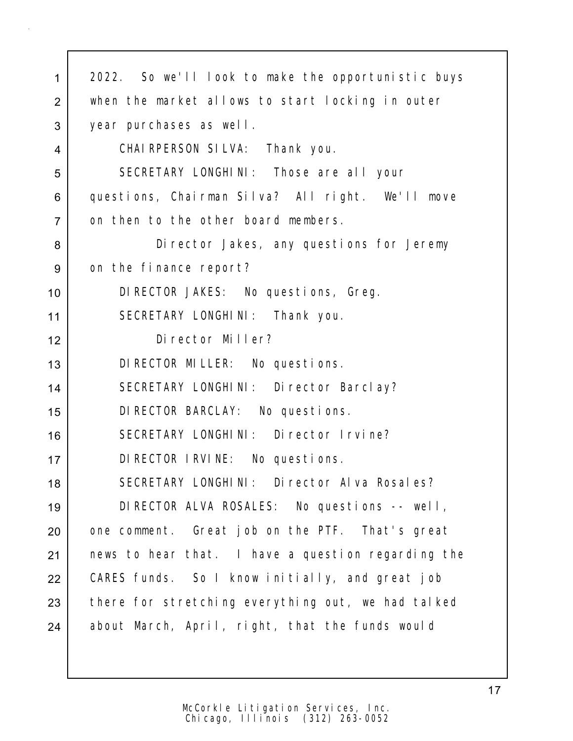| $\mathbf{1}$   | 2022. So we'll look to make the opportunistic buys |
|----------------|----------------------------------------------------|
| $\overline{2}$ | when the market allows to start locking in outer   |
| 3              | year purchases as well.                            |
| $\overline{4}$ | CHAI RPERSON SILVA: Thank you.                     |
| 5              | SECRETARY LONGHINI: Those are all your             |
| 6              | questions, Chairman Silva? All right. We'll move   |
| $\overline{7}$ | on then to the other board members.                |
| 8              | Di rector Jakes, any questions for Jeremy          |
| 9              | on the finance report?                             |
| 10             | DI RECTOR JAKES: No questions, Greg.               |
| 11             | SECRETARY LONGHINI: Thank you.                     |
| 12             | Director Miller?                                   |
| 13             | DI RECTOR MILLER: No questions.                    |
| 14             | SECRETARY LONGHINI: Director Barclay?              |
| 15             | DI RECTOR BARCLAY: No questions.                   |
| 16             | SECRETARY LONGHINI: Director Irvine?               |
| 17             | DI RECTOR I RVINE: No questions.                   |
| 18             | SECRETARY LONGHINI: Director Alva Rosales?         |
| 19             | DIRECTOR ALVA ROSALES: No questions -- well,       |
| 20             | one comment. Great job on the PTF. That's great    |
| 21             | news to hear that. I have a question regarding the |
| 22             | CARES funds. So I know initially, and great job    |
| 23             | there for stretching everything out, we had talked |
| 24             | about March, April, right, that the funds would    |
|                |                                                    |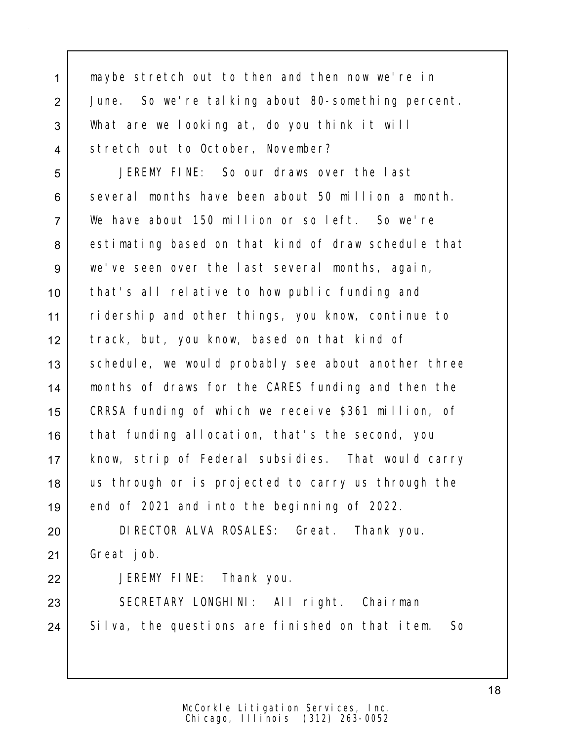maybe stretch out to then and then now we're in June. So we're talking about 80-something percent. What are we looking at, do you think it will 4 Stretch out to October, November?

 JEREMY FINE: So our draws over the last several months have been about 50 million a month. We have about 150 million or so left. So we're 8 estimating based on that kind of draw schedule that we've seen over the last several months, again, that's all relative to how public funding and ridership and other things, you know, continue to track, but, you know, based on that kind of 13 Schedule, we would probably see about another three months of draws for the CARES funding and then the CRRSA funding of which we receive \$361 million, of 16 that funding allocation, that's the second, you know, strip of Federal subsidies. That would carry 18 us through or is projected to carry us through the 19 end of 2021 and into the beginning of 2022.

20 DIRECTOR ALVA ROSALES: Great. Thank you. 21 Great job.

22 JEREMY FINE: Thank you.

23 SECRETARY LONGHINI: All right. Chairman 24 Silva, the questions are finished on that item. So

> Chicago, Illinois (312) 263-0052 McCorkle Litigation Services, Inc.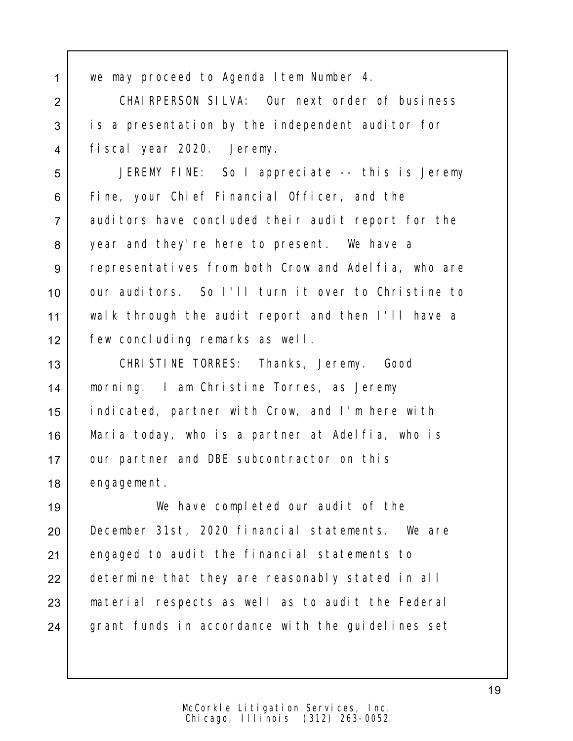we may proceed to Agenda Item Number 4.

 CHAIRPERSON SILVA: Our next order of business 3 is a presentation by the independent auditor for fiscal year 2020. Jeremy.

 JEREMY FINE: So I appreciate -- this is Jeremy Fine, your Chief Financial Officer, and the auditors have concluded their audit report for the 8 year and they're here to present. We have a 9 representatives from both Crow and Adelfia, who are 10 | our auditors. So I'll turn it over to Christine to walk through the audit report and then I'll have a few concluding remarks as well.

 CHRISTINE TORRES: Thanks, Jeremy. Good morning. I am Christine Torres, as Jeremy indicated, partner with Crow, and I'm here with Maria today, who is a partner at Adelfia, who is 17 | our partner and DBE subcontractor on this engagement.

 We have completed our audit of the December 31st, 2020 financial statements. We are engaged to audit the financial statements to 22 determine that they are reasonably stated in all material respects as well as to audit the Federal 24 grant funds in accordance with the guidelines set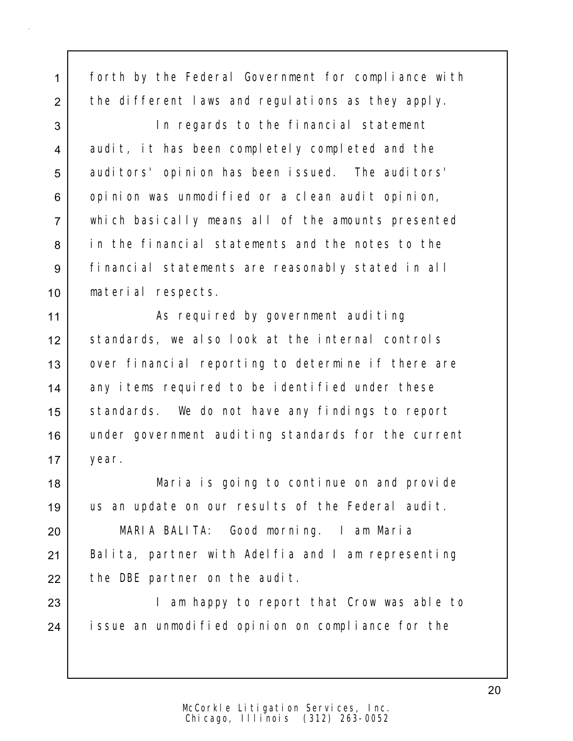1 forth by the Federal Government for compliance with 2 the different laws and regulations as they apply.

 In regards to the financial statement 4 audit, it has been completely completed and the 5 auditors' opinion has been issued. The auditors' 6 opinion was unmodified or a clean audit opinion, which basically means all of the amounts presented in the financial statements and the notes to the financial statements are reasonably stated in all material respects.

11 | As required by government auditing 12 standards, we also look at the internal controls 13 | over financial reporting to determine if there are 14 any items required to be identified under these 15 Standards. We do not have any findings to report 16 under government auditing standards for the current 17 year.

18 Maria is going to continue on and provide 19 | us an update on our results of the Federal audit.

20 MARIA BALITA: Good morning. I am Maria 21 | Balita, partner with Adelfia and I am representing  $22$  the DBE partner on the audit.

23 | The Manustan Mappy to report that Crow was able to 24 issue an unmodified opinion on compliance for the

20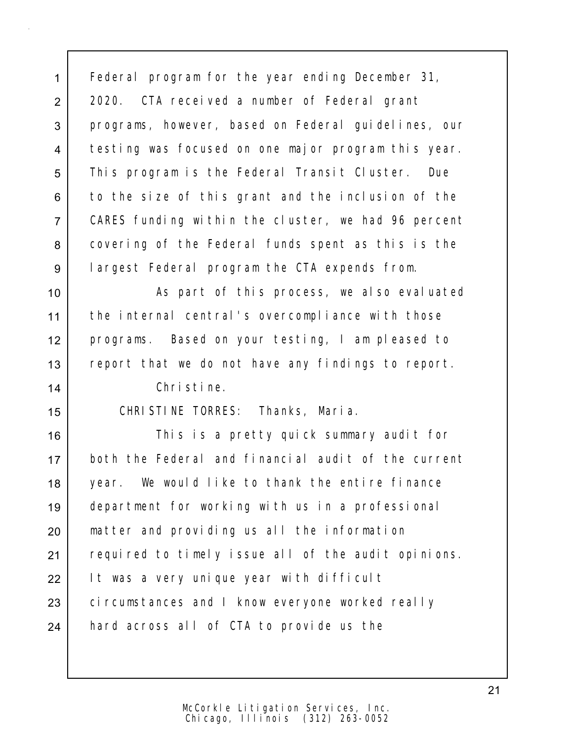1 Federal program for the year ending December 31, 2 2020. CTA received a number of Federal grant 3 programs, however, based on Federal guidelines, our 4 testing was focused on one major program this year. 5 | This program is the Federal Transit Cluster. Due 6 to the size of this grant and the inclusion of the 7 CARES funding within the cluster, we had 96 percent 8 covering of the Federal funds spent as this is the 9 largest Federal program the CTA expends from.

10 | As part of this process, we also evaluated 11 the internal central's overcompliance with those 12 programs. Based on your testing, I am pleased to 13 report that we do not have any findings to report.

14 Christine.

15 CHRISTINE TORRES: Thanks, Maria.

16 This is a pretty quick summary audit for 17 both the Federal and financial audit of the current 18 year. We would like to thank the entire finance 19 department for working with us in a professional 20 matter and providing us all the information 21 | required to timely issue all of the audit opinions. 22 | It was a very unique year with difficult 23 circumstances and I know everyone worked really 24 hard across all of CTA to provide us the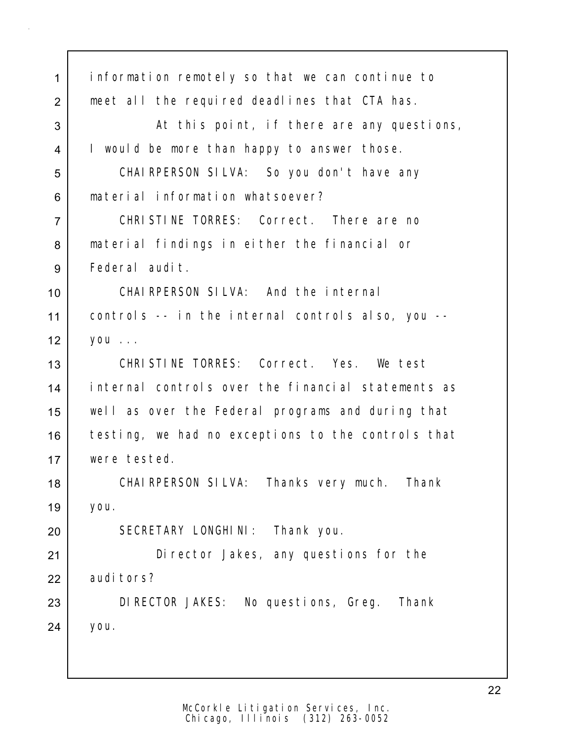| 1              | information remotely so that we can continue to    |
|----------------|----------------------------------------------------|
| 2              | meet all the required deadlines that CTA has.      |
| 3              | At this point, if there are any questions,         |
| $\overline{4}$ | I would be more than happy to answer those.        |
| 5              | CHAIRPERSON SILVA: So you don't have any           |
| 6              | material information whatsoever?                   |
| $\overline{7}$ | CHRISTINE TORRES: Correct. There are no            |
| 8              | material findings in either the financial or       |
| 9              | Federal audit.                                     |
| 10             | CHAIRPERSON SILVA: And the internal                |
| 11             | controls -- in the internal controls also, you --  |
| 12             | you                                                |
| 13             | CHRISTINE TORRES: Correct. Yes. We test            |
| 14             | internal controls over the financial statements as |
| 15             | well as over the Federal programs and during that  |
| 16             | testing, we had no exceptions to the controls that |
| 17             | were tested.                                       |
| 18             | CHAI RPERSON SILVA: Thanks very much. Thank        |
| 19             | you.                                               |
| 20             | SECRETARY LONGHINI: Thank you.                     |
| 21             | Di rector Jakes, any questions for the             |
| 22             | audi tors?                                         |
| 23             | DIRECTOR JAKES: No questions, Greg.<br>Thank       |
| 24             | you.                                               |
|                |                                                    |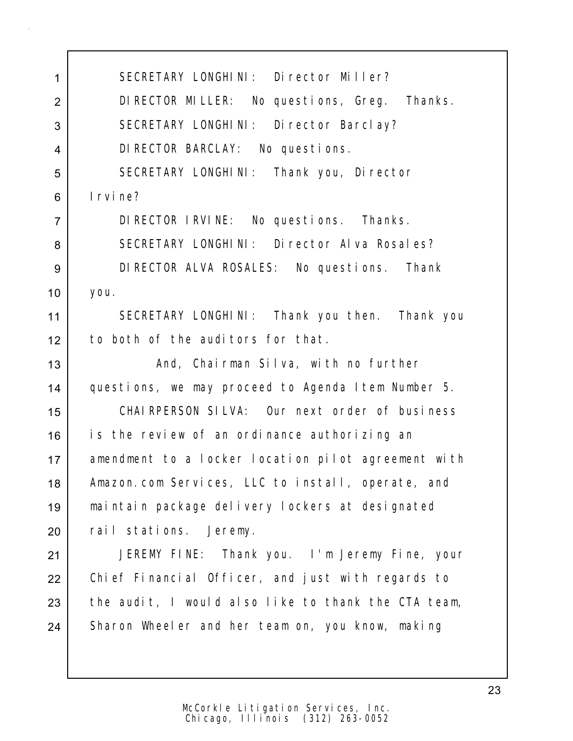1 SECRETARY LONGHINI: Director Miller? 2 DIRECTOR MILLER: No questions, Greg. Thanks. 3 SECRETARY LONGHINI: Director Barclay? 4 DIRECTOR BARCLAY: No questions. 5 | SECRETARY LONGHINI: Thank you, Director 6 Irvine? 7 DIRECTOR IRVINE: No questions. Thanks. 8 SECRETARY LONGHINI: Director Alva Rosales? 9 DIRECTOR ALVA ROSALES: No questions. Thank 10 you. 11 SECRETARY LONGHINI: Thank you then. Thank you 12 to both of the auditors for that. 13 | The Mand, Chairman Silva, with no further 14 questions, we may proceed to Agenda Item Number 5. 15 CHAIRPERSON SILVA: Our next order of business 16 is the review of an ordinance authorizing an 17 amendment to a locker location pilot agreement with 18 | Amazon.com Services, LLC to install, operate, and 19 maintain package delivery lockers at designated 20 rail stations. Jeremy. 21 JEREMY FINE: Thank you. I'm Jeremy Fine, your 22 | Chief Financial Officer, and just with regards to  $23$  the audit, I would also like to thank the CTA team, 24 Sharon Wheeler and her team on, you know, making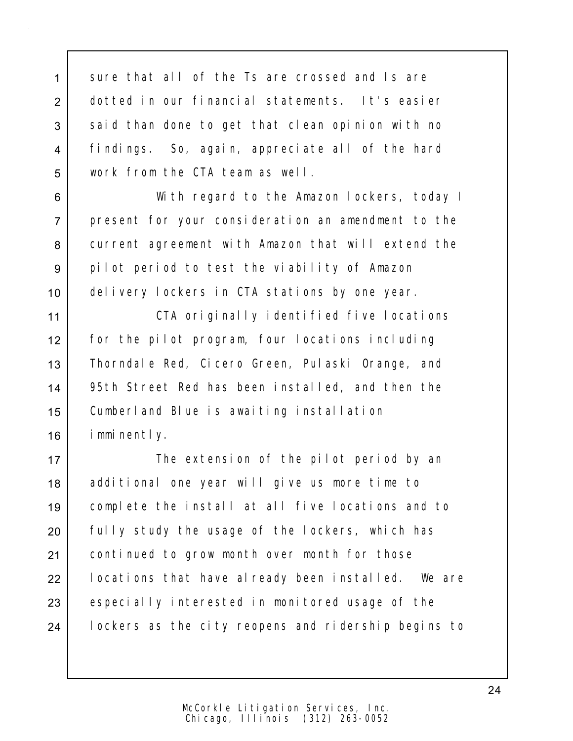1 sure that all of the Ts are crossed and Is are 2 dotted in our financial statements. It's easier 3 said than done to get that clean opinion with no 4 findings. So, again, appreciate all of the hard 5 work from the CTA team as well.

 With regard to the Amazon lockers, today I present for your consideration an amendment to the current agreement with Amazon that will extend the pilot period to test the viability of Amazon delivery lockers in CTA stations by one year.

11 | CTA originally identified five locations 12 for the pilot program, four locations including 13 | Thorndale Red, Cicero Green, Pulaski Orange, and 14 95th Street Red has been installed, and then the 15 Cumberland Blue is awaiting installation 16 imminently.

17 | The extension of the pilot period by an 18 additional one year will give us more time to 19 complete the install at all five locations and to 20 Fully study the usage of the lockers, which has 21 | continued to grow month over month for those 22 | locations that have already been installed. We are 23 especially interested in monitored usage of the 24 | lockers as the city reopens and ridership begins to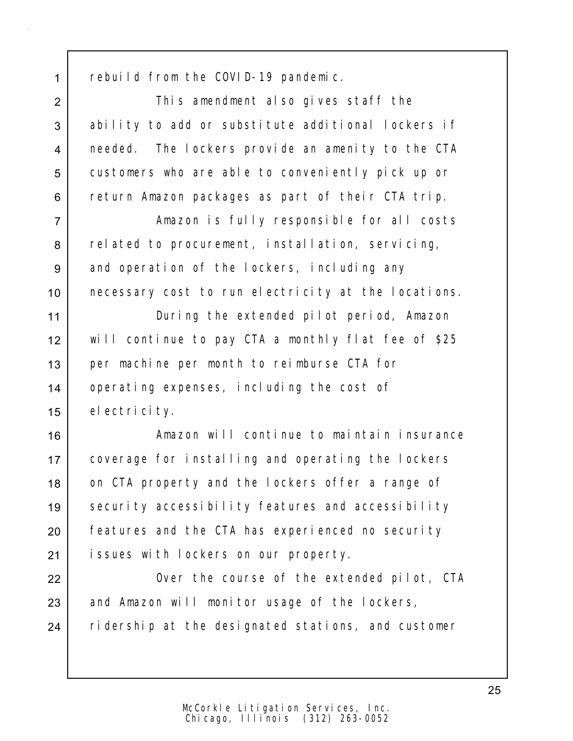1 rebuild from the COVID-19 pandemic.

2 This amendment also gives staff the 3 ability to add or substitute additional lockers if 4 needed. The lockers provide an amenity to the CTA 5 customers who are able to conveniently pick up or 6 return Amazon packages as part of their CTA trip.

7 Amazon is fully responsible for all costs 8 related to procurement, installation, servicing, 9 and operation of the lockers, including any 10 necessary cost to run electricity at the locations.

11 During the extended pilot period, Amazon 12 will continue to pay CTA a monthly flat fee of \$25 13 per machine per month to reimburse CTA for 14 operating expenses, including the cost of 15 electricity.

16 Amazon will continue to maintain insurance 17 coverage for installing and operating the lockers 18 on CTA property and the lockers offer a range of 19 | security accessibility features and accessibility 20 Features and the CTA has experienced no security 21 issues with lockers on our property.

22 | Over the course of the extended pilot, CTA 23 and Amazon will monitor usage of the lockers, 24 ridership at the designated stations, and customer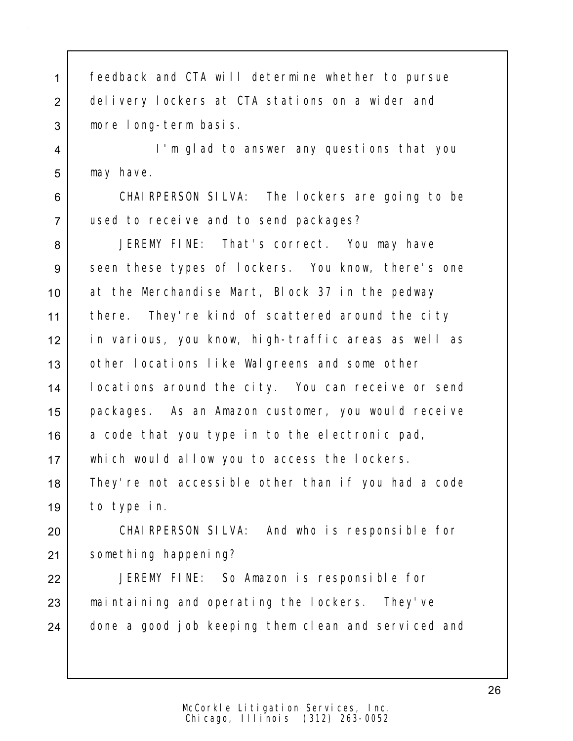| 1              | feedback and CTA will determine whether to pursue   |
|----------------|-----------------------------------------------------|
| $\overline{2}$ | delivery lockers at CTA stations on a wider and     |
| 3              | more long-term basis.                               |
| 4              | I'm glad to answer any questions that you           |
| 5              | may have.                                           |
| 6              | CHAIRPERSON SILVA: The lockers are going to be      |
| $\overline{7}$ | used to receive and to send packages?               |
| 8              | JEREMY FINE: That's correct. You may have           |
| 9              | seen these types of lockers. You know, there's one  |
| 10             | at the Merchandise Mart, Block 37 in the pedway     |
| 11             | there. They're kind of scattered around the city    |
| 12             | in various, you know, high-traffic areas as well as |
| 13             | other locations like Walgreens and some other       |
| 14             | locations around the city. You can receive or send  |
| 15             | packages. As an Amazon customer, you would receive  |
| 16             | a code that you type in to the electronic pad,      |
| 17             | which would allow you to access the lockers.        |
| 18             | They're not accessible other than if you had a code |
| 19             | to type in.                                         |
| 20             | CHAIRPERSON SILVA: And who is responsible for       |
| 21             | something happening?                                |
| 22             | JEREMY FINE: So Amazon is responsible for           |
| 23             | maintaining and operating the lockers. They've      |
| 24             | done a good job keeping them clean and serviced and |
|                |                                                     |
|                |                                                     |

Chicago, Illinois (312) 263-0052 McCorkle Litigation Services, Inc.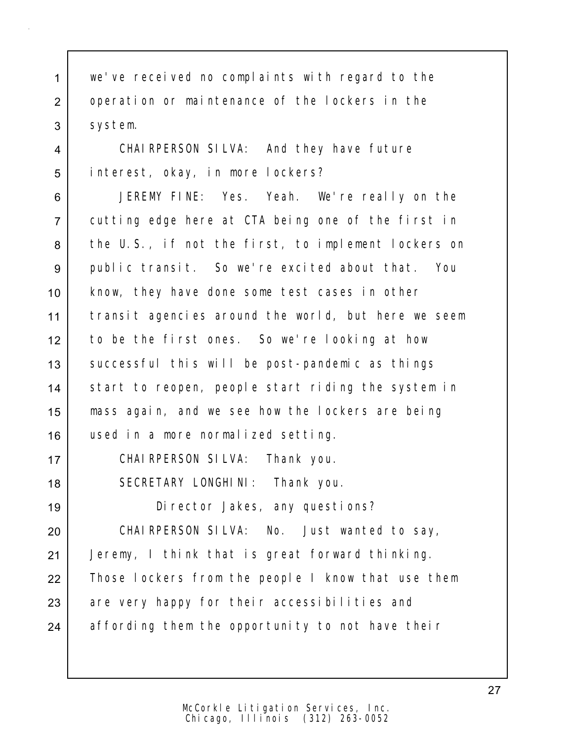1 we've received no complaints with regard to the 2 | operation or maintenance of the lockers in the 3 system.

4 CHAIRPERSON SILVA: And they have future 5 interest, okay, in more lockers?

 JEREMY FINE: Yes. Yeah. We're really on the cutting edge here at CTA being one of the first in 8 the U.S., if not the first, to implement lockers on public transit. So we're excited about that. You know, they have done some test cases in other transit agencies around the world, but here we seem to be the first ones. So we're looking at how 13 Successful this will be post-pandemic as things 14 start to reopen, people start riding the system in mass again, and we see how the lockers are being used in a more normalized setting.

17 CHAIRPERSON SILVA: Thank you.

18 | SECRETARY LONGHINI: Thank you.

19 Director Jakes, any questions?

20 CHAIRPERSON SILVA: No. Just wanted to say, 21 Jeremy, I think that is great forward thinking. 22 Those lockers from the people I know that use them  $23$  are very happy for their accessibilities and 24 affording them the opportunity to not have their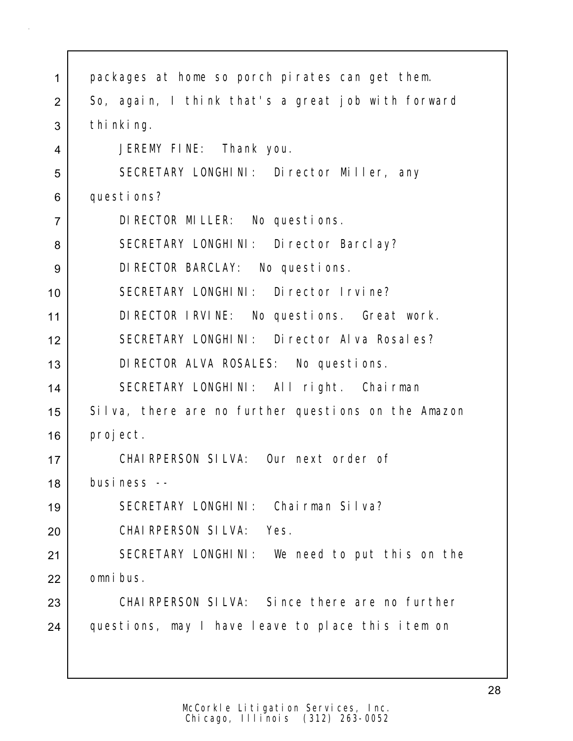| 1              | packages at home so porch pirates can get them.     |
|----------------|-----------------------------------------------------|
| 2              | So, again, I think that's a great job with forward  |
| 3              | thi nki ng.                                         |
| 4              | JEREMY FINE: Thank you.                             |
| 5              | SECRETARY LONGHINI: Director Miller, any            |
| 6              | questions?                                          |
| $\overline{7}$ | DI RECTOR MILLER: No questions.                     |
| 8              | SECRETARY LONGHINI: Director Barclay?               |
| 9              | DI RECTOR BARCLAY: No questions.                    |
| 10             | SECRETARY LONGHINI: Director Irvine?                |
| 11             | DIRECTOR IRVINE: No questions. Great work.          |
| 12             | SECRETARY LONGHINI: Director Alva Rosales?          |
| 13             | DI RECTOR ALVA ROSALES: No questions.               |
| 14             | SECRETARY LONGHINI: All right. Chairman             |
| 15             | Silva, there are no further questions on the Amazon |
| 16             | proj ect.                                           |
| 17             | CHAIRPERSON SILVA: Our next order of                |
| 18             | business --                                         |
| 19             | SECRETARY LONGHINI: Chairman Silva?                 |
| 20             | CHAIRPERSON SILVA: Yes.                             |
| 21             | SECRETARY LONGHINI: We need to put this on the      |
| 22             | omni bus.                                           |
| 23             | CHAI RPERSON SILVA: Since there are no further      |
| 24             | questions, may I have leave to place this item on   |
|                |                                                     |
|                |                                                     |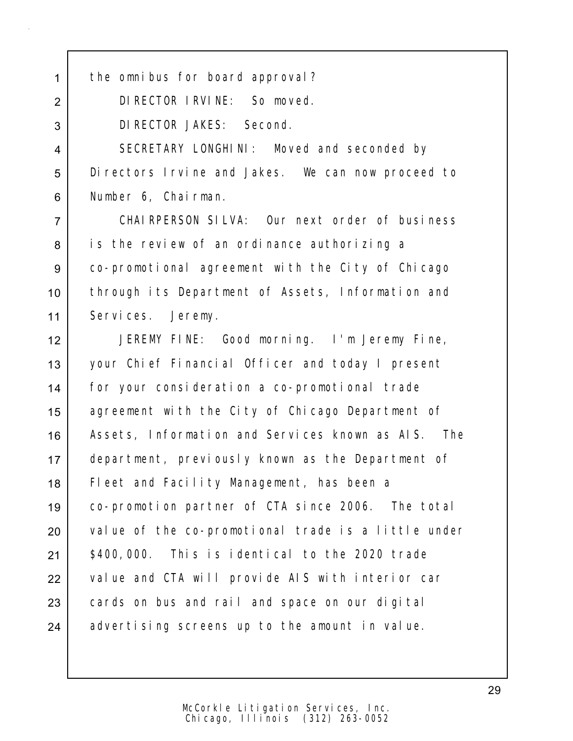1 the omnibus for board approval?

2 DIRECTOR IRVINE: So moved.

3 DIRECTOR JAKES: Second.

4 SECRETARY LONGHINI: Moved and seconded by 5 Directors Irvine and Jakes. We can now proceed to 6 Number 6, Chairman.

 CHAIRPERSON SILVA: Our next order of business 8 is the review of an ordinance authorizing a co-promotional agreement with the City of Chicago through its Department of Assets, Information and Services. Jeremy.

 JEREMY FINE: Good morning. I'm Jeremy Fine, your Chief Financial Officer and today I present for your consideration a co-promotional trade 15 | agreement with the City of Chicago Department of 16 | Assets, Information and Services known as AIS. The department, previously known as the Department of Fleet and Facility Management, has been a co-promotion partner of CTA since 2006. The total 20 value of the co-promotional trade is a little under \$400,000. This is identical to the 2020 trade 22 value and CTA will provide AIS with interior car 23 cards on bus and rail and space on our digital advertising screens up to the amount in value.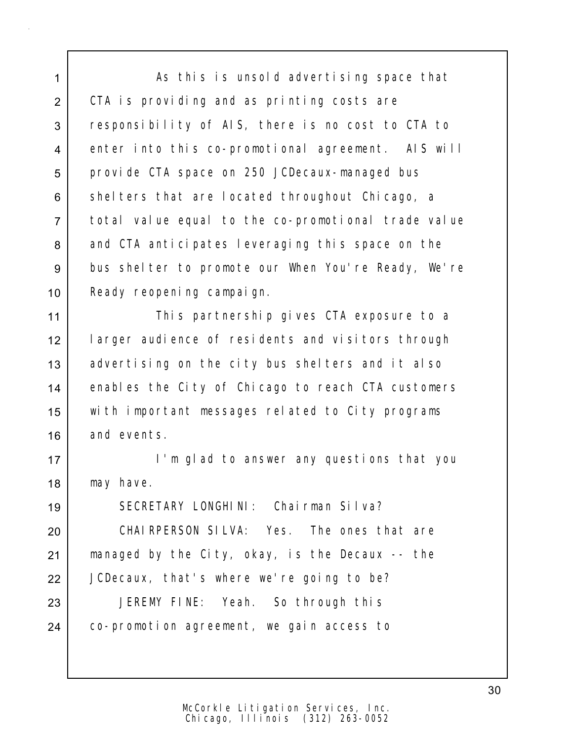1 As this is unsold advertising space that 2 CTA is providing and as printing costs are 3 responsibility of AIS, there is no cost to CTA to 4 enter into this co-promotional agreement. AIS will 5 provide CTA space on 250 JCDecaux-managed bus 6 shelters that are located throughout Chicago, a 7 total value equal to the co-promotional trade value 8 and CTA anticipates leveraging this space on the 9 bus shelter to promote our When You're Ready, We're 10 | Ready reopening campaign.

11 | This partnership gives CTA exposure to a 12 larger audience of residents and visitors through 13 advertising on the city bus shelters and it also 14 enables the City of Chicago to reach CTA customers 15 with important messages related to City programs 16 and events.

17 I'm glad to answer any questions that you 18 | may have.

19 SECRETARY LONGHINI: Chairman Silva? 20 CHAIRPERSON SILVA: Yes. The ones that are 21 managed by the City, okay, is the Decaux -- the 22 JCDecaux, that's where we're going to be? 23 JEREMY FINE: Yeah. So through this 24 | co-promotion agreement, we gain access to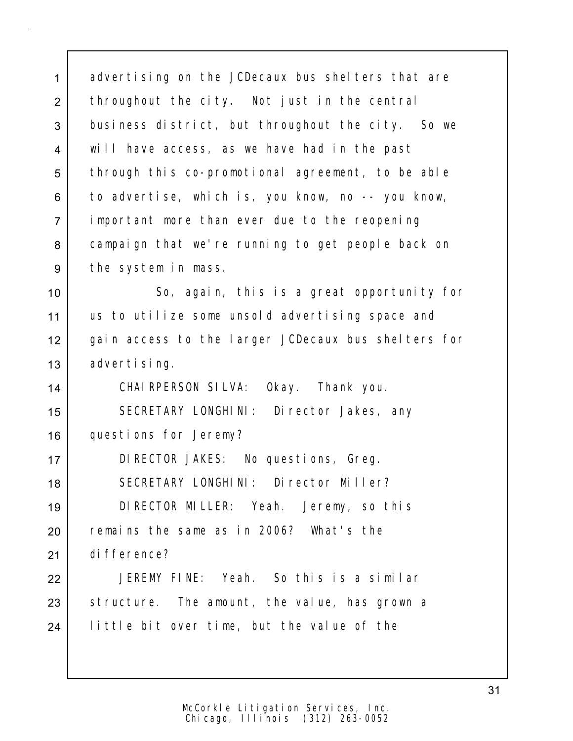1 advertising on the JCDecaux bus shelters that are 2 throughout the city. Not just in the central 3 business district, but throughout the city. So we 4 will have access, as we have had in the past 5 through this co-promotional agreement, to be able 6 to advertise, which is, you know, no -- you know, 7 important more than ever due to the reopening 8 campaign that we're running to get people back on 9 the system in mass. 10 So, again, this is a great opportunity for 11 | us to utilize some unsold advertising space and 12 gain access to the larger JCDecaux bus shelters for 13 advertising. 14 CHAIRPERSON SILVA: Okay. Thank you. 15 | SECRETARY LONGHINI: Director Jakes, any 16 questions for Jeremy? 17 DIRECTOR JAKES: No questions, Greg. 18 SECRETARY LONGHINI: Director Miller? 19 DIRECTOR MILLER: Yeah. Jeremy, so this 20 remains the same as in 2006? What's the 21 difference? 22 JEREMY FINE: Yeah. So this is a similar 23 Structure. The amount, the value, has grown a 24 | little bit over time, but the value of the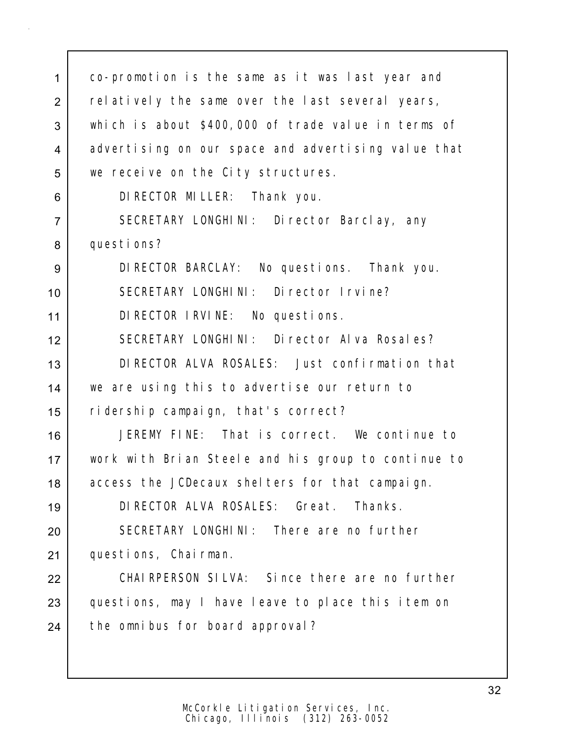1 co-promotion is the same as it was last year and 2 relatively the same over the last several years, 3 which is about \$400,000 of trade value in terms of 4 advertising on our space and advertising value that 5 we receive on the City structures. 6 DIRECTOR MILLER: Thank you. 7 | SECRETARY LONGHINI: Director Barclay, any 8 questions? 9 DIRECTOR BARCLAY: No questions. Thank you. 10 SECRETARY LONGHINI: Director Irvine? 11 DIRECTOR IRVINE: No questions. 12 SECRETARY LONGHINI: Director Alva Rosales? 13 DIRECTOR ALVA ROSALES: Just confirmation that 14 we are using this to advertise our return to 15 ridership campaign, that's correct? 16 JEREMY FINE: That is correct. We continue to 17 work with Brian Steele and his group to continue to 18 | access the JCDecaux shelters for that campaign. 19 DIRECTOR ALVA ROSALES: Great. Thanks. 20 SECRETARY LONGHINI: There are no further 21 | questions, Chairman. 22 CHAIRPERSON SILVA: Since there are no further 23 questions, may I have leave to place this item on 24 | the omnibus for board approval?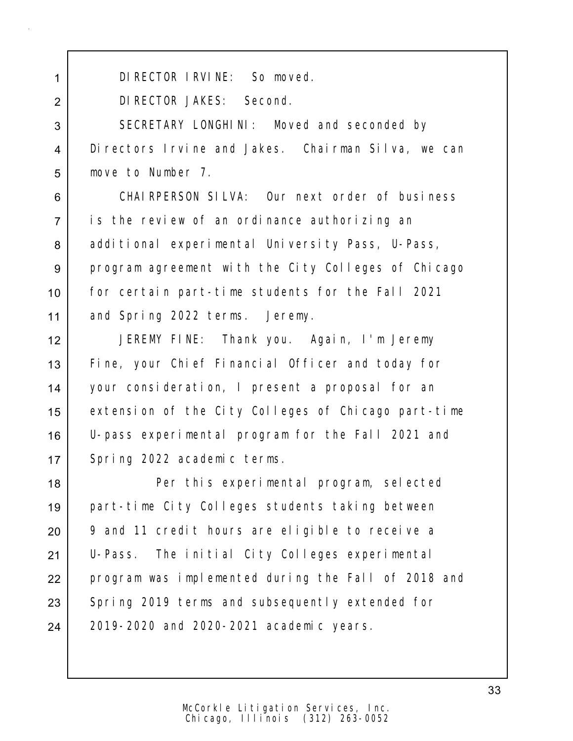1 DIRECTOR IRVINE: So moved.

DIRECTOR JAKES: Second.

3 SECRETARY LONGHINI: Moved and seconded by Directors Irvine and Jakes. Chairman Silva, we can move to Number 7.

 CHAIRPERSON SILVA: Our next order of business is the review of an ordinance authorizing an 8 additional experimental University Pass, U-Pass, 9 program agreement with the City Colleges of Chicago for certain part-time students for the Fall 2021 and Spring 2022 terms. Jeremy.

 JEREMY FINE: Thank you. Again, I'm Jeremy Fine, your Chief Financial Officer and today for your consideration, I present a proposal for an extension of the City Colleges of Chicago part-time U-pass experimental program for the Fall 2021 and 17 Spring 2022 academic terms.

 Per this experimental program, selected part-time City Colleges students taking between 9 and 11 credit hours are eligible to receive a U-Pass. The initial City Colleges experimental 22 | program was implemented during the Fall of 2018 and 23 Spring 2019 terms and subsequently extended for 24 | 2019-2020 and 2020-2021 academic years.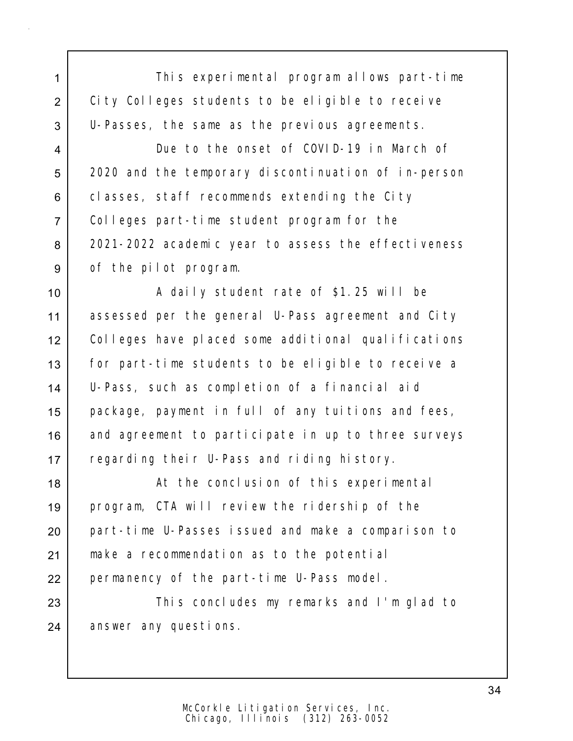1 This experimental program allows part-time 2 | City Colleges students to be eligible to receive 3 U-Passes, the same as the previous agreements.

4 Due to the onset of COVID-19 in March of 5 2020 and the temporary discontinuation of in-person 6 classes, staff recommends extending the City 7 Colleges part-time student program for the 8 2021-2022 academic year to assess the effectiveness 9 of the pilot program.

10 A daily student rate of \$1.25 will be 11 assessed per the general U-Pass agreement and City 12 Colleges have placed some additional qualifications 13 for part-time students to be eligible to receive a 14 U-Pass, such as completion of a financial aid 15 package, payment in full of any tuitions and fees, 16 and agreement to participate in up to three surveys 17 Pegarding their U-Pass and riding history.

18 | At the conclusion of this experimental 19 program, CTA will review the ridership of the 20 part-time U-Passes issued and make a comparison to 21 make a recommendation as to the potential 22 permanency of the part-time U-Pass model.

23 This concludes my remarks and I'm glad to 24 answer any questions.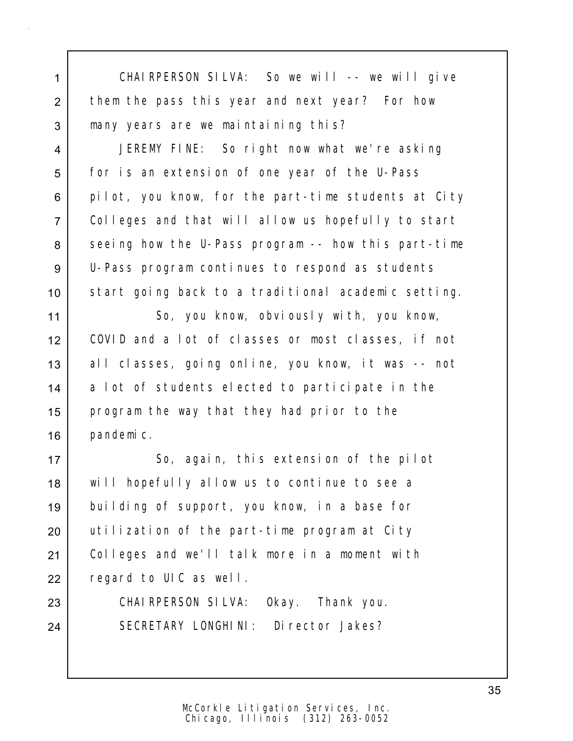| 1              | CHAIRPERSON SILVA: So we will -- we will give       |
|----------------|-----------------------------------------------------|
| $\overline{2}$ | them the pass this year and next year? For how      |
| 3              | many years are we maintaining this?                 |
| 4              | JEREMY FINE: So right now what we're asking         |
| 5              | for is an extension of one year of the U-Pass       |
| 6              | pilot, you know, for the part-time students at City |
| $\overline{7}$ | Colleges and that will allow us hopefully to start  |
| 8              | seeing how the U-Pass program -- how this part-time |
| 9              | U-Pass program continues to respond as students     |
| 10             | start going back to a traditional academic setting. |
| 11             | So, you know, obviously with, you know,             |
| 12             | COVID and a lot of classes or most classes, if not  |
| 13             | all classes, going online, you know, it was -- not  |
| 14             | a lot of students elected to participate in the     |
| 15             | program the way that they had prior to the          |
| 16             | pandemic.                                           |
| 17             | So, again, this extension of the pilot              |
| 18             | will hopefully allow us to continue to see a        |
| 19             | building of support, you know, in a base for        |
| 20             | utilization of the part-time program at City        |
| 21             | Colleges and we'll talk more in a moment with       |
| 22             | regard to UIC as well.                              |
| 23             | CHAI RPERSON SILVA: Okay. Thank you.                |
| 24             | SECRETARY LONGHINI: Director Jakes?                 |
|                |                                                     |
|                |                                                     |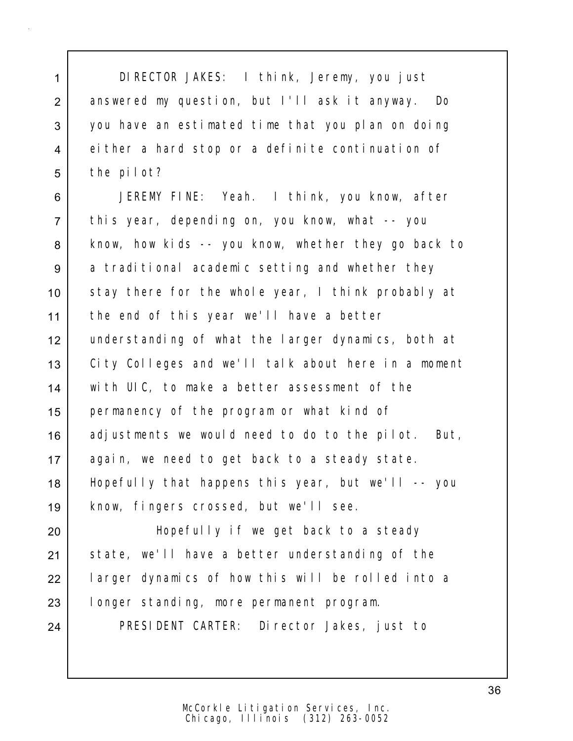1 DIRECTOR JAKES: I think, Jeremy, you just 2 answered my question, but I'll ask it anyway. Do 3 you have an estimated time that you plan on doing 4 either a hard stop or a definite continuation of 5 the pilot?

 JEREMY FINE: Yeah. I think, you know, after this year, depending on, you know, what -- you 8 know, how kids -- you know, whether they go back to 9 a traditional academic setting and whether they 10 stay there for the whole year, I think probably at the end of this year we'll have a better understanding of what the larger dynamics, both at 13 | City Colleges and we'll talk about here in a moment with UIC, to make a better assessment of the permanency of the program or what kind of 16 adjustments we would need to do to the pilot. But, again, we need to get back to a steady state. Hopefully that happens this year, but we'll -- you know, fingers crossed, but we'll see.

 Hopefully if we get back to a steady 21 State, we'll have a better understanding of the larger dynamics of how this will be rolled into a longer standing, more permanent program.

24 | PRESIDENT CARTER: Director Jakes, just to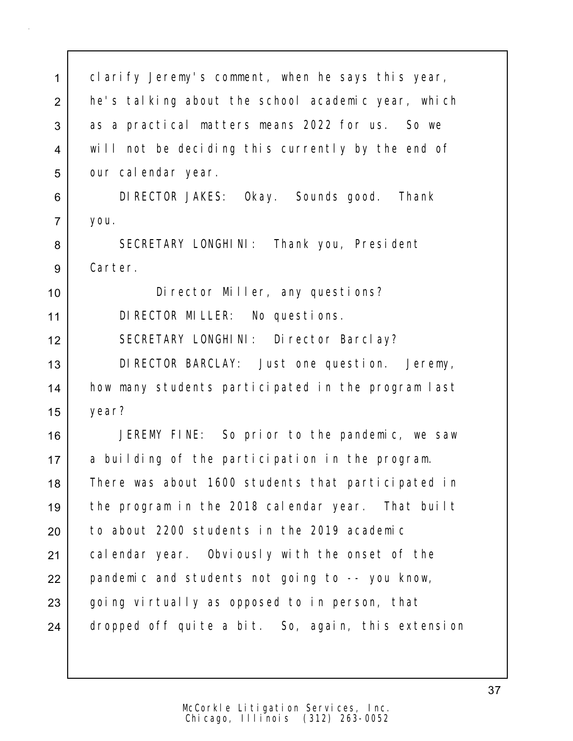| $\mathbf{1}$   | clarify Jeremy's comment, when he says this year,  |
|----------------|----------------------------------------------------|
| $\overline{2}$ | he's talking about the school academic year, which |
| 3              | as a practical matters means 2022 for us. So we    |
| 4              | will not be deciding this currently by the end of  |
| 5              | our calendar year.                                 |
| 6              | DI RECTOR JAKES: Okay. Sounds good. Thank          |
| $\overline{7}$ | you.                                               |
| 8              | SECRETARY LONGHINI: Thank you, President           |
| $9\,$          | Carter.                                            |
| 10             | Director Miller, any questions?                    |
| 11             | DI RECTOR MILLER: No questions.                    |
| 12             | SECRETARY LONGHINI: Director Barclay?              |
| 13             | DI RECTOR BARCLAY: Just one question. Jeremy,      |
| 14             | how many students participated in the program last |
| 15             | year?                                              |
| 16             | JEREMY FINE: So prior to the pandemic, we saw      |
| 17             | a building of the participation in the program.    |
| 18             | There was about 1600 students that participated in |
| 19             | the program in the 2018 calendar year. That built  |
| 20             | to about 2200 students in the 2019 academic        |
| 21             | calendar year. Obviously with the onset of the     |
| 22             | pandemic and students not going to -- you know,    |
| 23             | going virtually as opposed to in person, that      |
| 24             | dropped off quite a bit. So, again, this extension |
|                |                                                    |

Chicago, Illinois (312) 263-0052 McCorkle Litigation Services, Inc. 37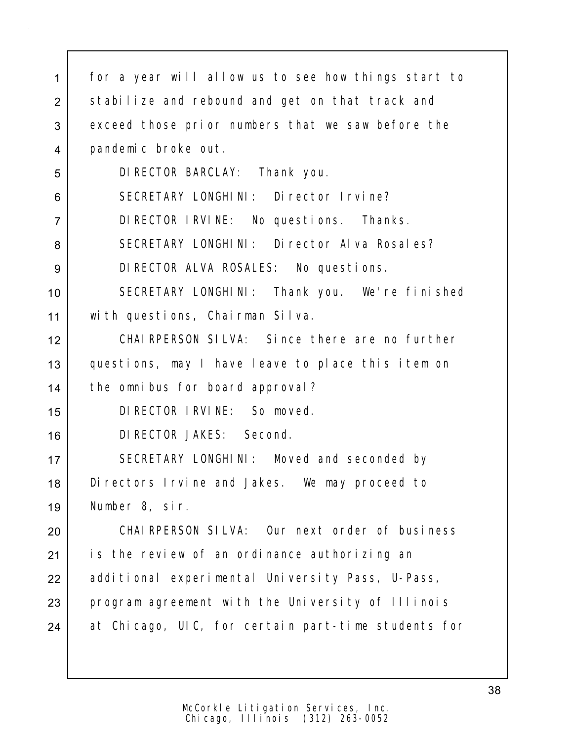| 1              | for a year will allow us to see how things start to |
|----------------|-----------------------------------------------------|
| $\overline{2}$ | stabilize and rebound and get on that track and     |
| 3              | exceed those prior numbers that we saw before the   |
| $\overline{4}$ | pandemic broke out.                                 |
| 5              | DI RECTOR BARCLAY: Thank you.                       |
| 6              | SECRETARY LONGHINI: Director Irvine?                |
| $\overline{7}$ | DI RECTOR IRVINE: No questions. Thanks.             |
| 8              | SECRETARY LONGHINI: Director Alva Rosales?          |
| 9              | DI RECTOR ALVA ROSALES: No questions.               |
| 10             | SECRETARY LONGHINI: Thank you. We're finished       |
| 11             | with questions, Chairman Silva.                     |
| 12             | CHAI RPERSON SILVA: Since there are no further      |
| 13             | questions, may I have leave to place this item on   |
| 14             | the omnibus for board approval?                     |
| 15             | DI RECTOR I RVI NE: So moved.                       |
| 16             | DI RECTOR JAKES: Second.                            |
| 17             | SECRETARY LONGHINI: Moved and seconded by           |
| 18             | Di rectors I rvine and Jakes. We may proceed to     |
| 19             | Number 8, sir.                                      |
| 20             | CHAIRPERSON SILVA: Our next order of business       |
| 21             | is the review of an ordinance authorizing an        |
| 22             | additional experimental University Pass, U-Pass,    |
| 23             | program agreement with the University of Illinois   |
| 24             | at Chicago, UIC, for certain part-time students for |
|                |                                                     |
|                |                                                     |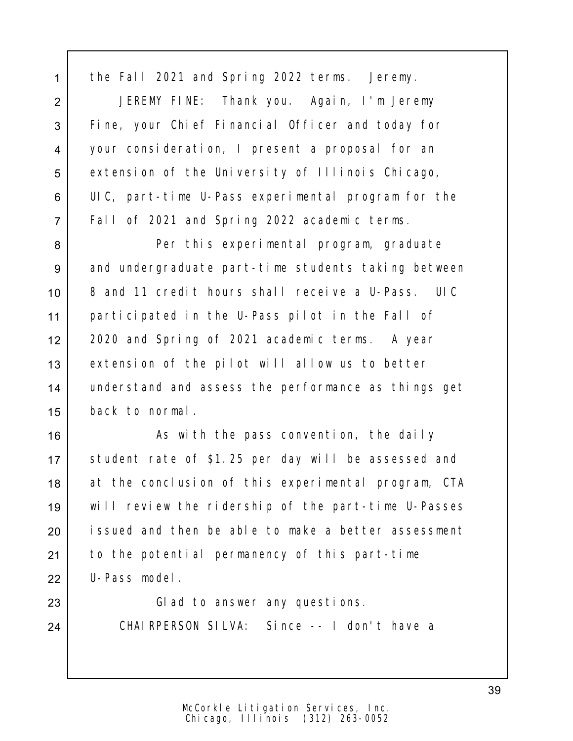1 the Fall 2021 and Spring 2022 terms. Jeremy.

 JEREMY FINE: Thank you. Again, I'm Jeremy Fine, your Chief Financial Officer and today for your consideration, I present a proposal for an 5 extension of the University of Illinois Chicago, UIC, part-time U-Pass experimental program for the Fall of 2021 and Spring 2022 academic terms.

8 | Per this experimental program, graduate 9 and undergraduate part-time students taking between 10 | 8 and 11 credit hours shall receive a U-Pass. UIC 11 participated in the U-Pass pilot in the Fall of 12 2020 and Spring of 2021 academic terms. A year 13 extension of the pilot will allow us to better 14 understand and assess the performance as things get 15 back to normal.

16 | As with the pass convention, the daily 17 Student rate of \$1.25 per day will be assessed and 18 at the conclusion of this experimental program, CTA 19 will review the ridership of the part-time U-Passes 20 issued and then be able to make a better assessment 21 to the potential permanency of this part-time 22 U-Pass model.

23 Glad to answer any questions. 24 CHAIRPERSON SILVA: Since -- I don't have a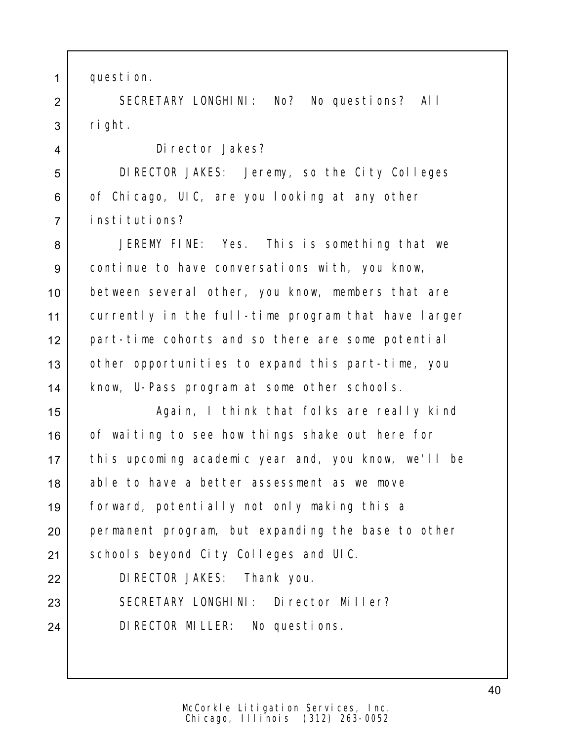1 question.

2 SECRETARY LONGHINI: No? No questions? All  $3$  right.

4 Director Jakes?

5 DIRECTOR JAKES: Jeremy, so the City Colleges 6 of Chicago, UIC, are you looking at any other 7 institutions?

 JEREMY FINE: Yes. This is something that we continue to have conversations with, you know, between several other, you know, members that are currently in the full-time program that have larger part-time cohorts and so there are some potential 13 | other opportunities to expand this part-time, you 14 | know, U-Pass program at some other schools.

15 | Again, I think that folks are really kind 16 of waiting to see how things shake out here for 17 this upcoming academic year and, you know, we'll be 18 able to have a better assessment as we move 19 forward, potentially not only making this a 20 permanent program, but expanding the base to other 21 Schools beyond City Colleges and UIC.

22 DIRECTOR JAKES: Thank you.

23 SECRETARY LONGHINI: Director Miller?

24 DIRECTOR MILLER: No questions.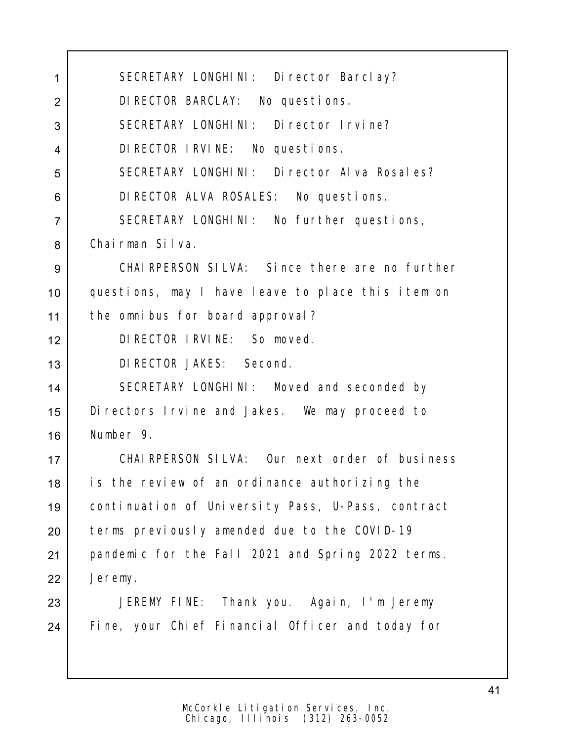1 SECRETARY LONGHINI: Director Barclay? DIRECTOR BARCLAY: No questions. 3 SECRETARY LONGHINI: Director Irvine? DIRECTOR IRVINE: No questions. 5 SECRETARY LONGHINI: Director Alva Rosales? DIRECTOR ALVA ROSALES: No questions. 7 SECRETARY LONGHINI: No further questions, Chairman Silva. CHAIRPERSON SILVA: Since there are no further questions, may I have leave to place this item on the omnibus for board approval? DIRECTOR IRVINE: So moved. DIRECTOR JAKES: Second. 14 SECRETARY LONGHINI: Moved and seconded by Directors Irvine and Jakes. We may proceed to Number 9. CHAIRPERSON SILVA: Our next order of business 18 is the review of an ordinance authorizing the continuation of University Pass, U-Pass, contract 20 terms previously amended due to the COVID-19 pandemic for the Fall 2021 and Spring 2022 terms. Jeremy. JEREMY FINE: Thank you. Again, I'm Jeremy 24 Fine, your Chief Financial Officer and today for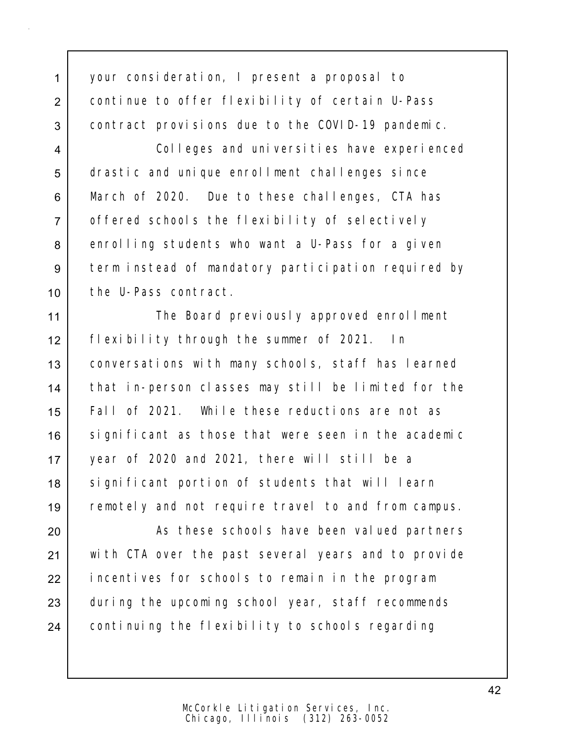1 your consideration, I present a proposal to 2 continue to offer flexibility of certain U-Pass 3 contract provisions due to the COVID-19 pandemic.

4 Colleges and universities have experienced 5 drastic and unique enrollment challenges since 6 March of 2020. Due to these challenges, CTA has 7 offered schools the flexibility of selectively 8 enrolling students who want a U-Pass for a given 9 term instead of mandatory participation required by 10 the U-Pass contract.

11 | The Board previously approved enrollment 12 flexibility through the summer of 2021. In 13 | conversations with many schools, staff has learned 14 that in-person classes may still be limited for the 15 Fall of 2021. While these reductions are not as 16 significant as those that were seen in the academic 17 year of 2020 and 2021, there will still be a 18 | significant portion of students that will learn 19 remotely and not require travel to and from campus.

20 | These schools have been valued partners 21 with CTA over the past several years and to provide 22 | incentives for schools to remain in the program 23 during the upcoming school year, staff recommends 24 continuing the flexibility to schools regarding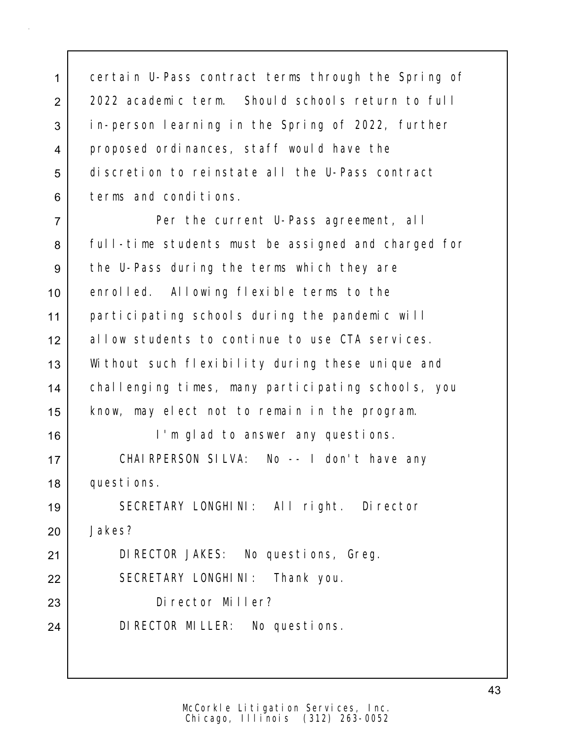certain U-Pass contract terms through the Spring of 2022 academic term. Should schools return to full in-person learning in the Spring of 2022, further proposed ordinances, staff would have the discretion to reinstate all the U-Pass contract 6 terms and conditions.

7 Per the current U-Pass agreement, all 8 Full-time students must be assigned and charged for 9 the U-Pass during the terms which they are 10 enrolled. Allowing flexible terms to the 11 | participating schools during the pandemic will 12 allow students to continue to use CTA services. 13 Without such flexibility during these unique and 14 challenging times, many participating schools, you 15 know, may elect not to remain in the program. 16 I'm glad to answer any questions. 17 | CHAIRPERSON SILVA: No -- I don't have any

18 questions.

19 SECRETARY LONGHINI: All right. Director 20 Jakes?

21 | DIRECTOR JAKES: No questions, Greg.

22 SECRETARY LONGHINI: Thank you.

23 Director Miller?

24 DIRECTOR MILLER: No questions.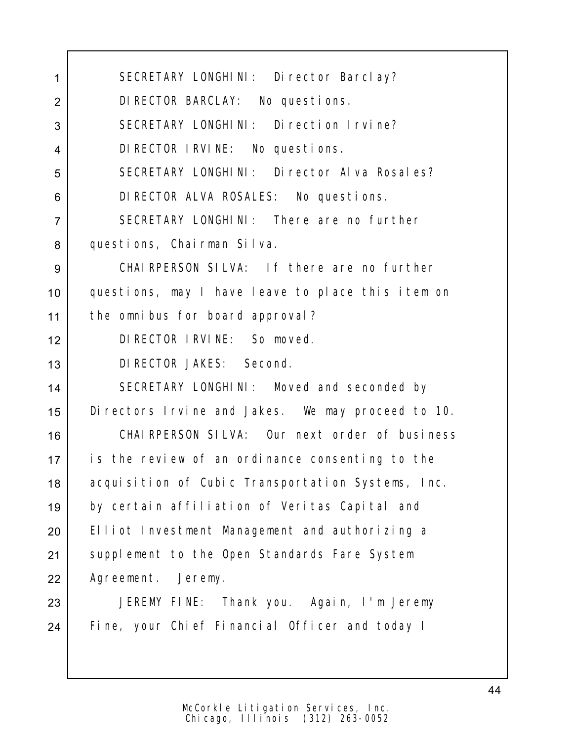1 SECRETARY LONGHINI: Director Barclay? 2 DIRECTOR BARCLAY: No questions. 3 SECRETARY LONGHINI: Direction Irvine? 4 DIRECTOR IRVINE: No questions. 5 SECRETARY LONGHINI: Director Alva Rosales? 6 DIRECTOR ALVA ROSALES: No questions. 7 SECRETARY LONGHINI: There are no further 8 questions, Chairman Silva. 9 CHAIRPERSON SILVA: If there are no further 10 questions, may I have leave to place this item on 11 the omnibus for board approval? 12 DIRECTOR IRVINE: So moved. 13 DIRECTOR JAKES: Second. 14 SECRETARY LONGHINI: Moved and seconded by 15 Directors Irvine and Jakes. We may proceed to 10. 16 CHAIRPERSON SILVA: Our next order of business 17 is the review of an ordinance consenting to the 18 | acquisition of Cubic Transportation Systems, Inc. 19 by certain affiliation of Veritas Capital and 20 Elliot Investment Management and authorizing a 21 | supplement to the Open Standards Fare System 22 | Agreement. Jeremy. 23 JEREMY FINE: Thank you. Again, I'm Jeremy 24 Fine, your Chief Financial Officer and today I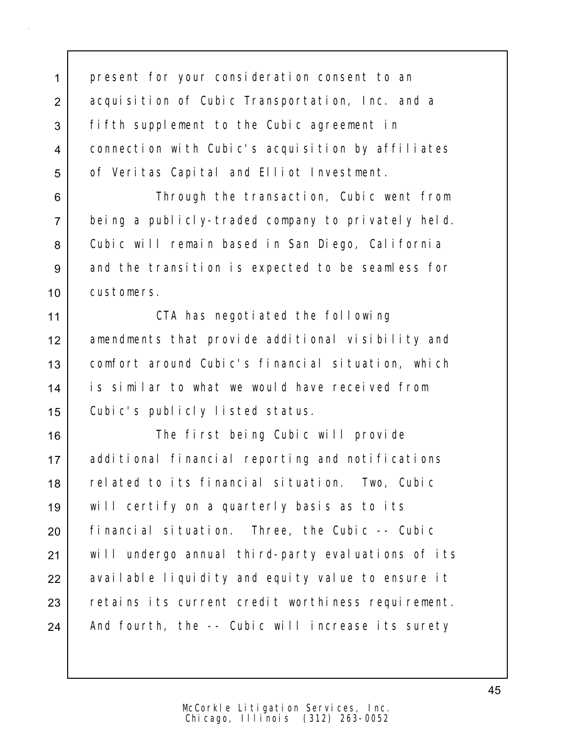1 present for your consideration consent to an 2 acquisition of Cubic Transportation, Inc. and a 3 fifth supplement to the Cubic agreement in 4 connection with Cubic's acquisition by affiliates 5 of Veritas Capital and Elliot Investment.

6 **Through the transaction, Cubic went from** 7 being a publicly-traded company to privately held. 8 Cubic will remain based in San Diego, California 9 and the transition is expected to be seamless for 10 customers.

11 | CTA has negotiated the following 12 amendments that provide additional visibility and 13 comfort around Cubic's financial situation, which 14 is similar to what we would have received from 15 Cubic's publicly listed status.

16 The first being Cubic will provide 17 additional financial reporting and notifications 18 | related to its financial situation. Two, Cubic 19 will certify on a quarterly basis as to its 20 financial situation. Three, the Cubic -- Cubic 21 | will undergo annual third-party evaluations of its 22 | available liquidity and equity value to ensure it 23 retains its current credit worthiness requirement. 24 | And fourth, the -- Cubic will increase its surety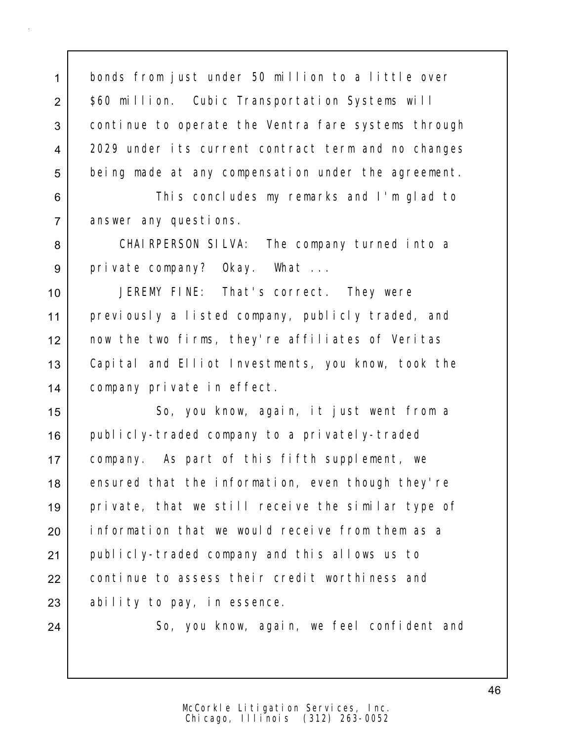1 bonds from just under 50 million to a little over 2 | \$60 million. Cubic Transportation Systems will 3 continue to operate the Ventra fare systems through 4 2029 under its current contract term and no changes 5 being made at any compensation under the agreement.

6 **This concludes my remarks and I'm glad to** 7 answer any questions.

8 CHAIRPERSON SILVA: The company turned into a 9 private company? Okay. What ...

 JEREMY FINE: That's correct. They were previously a listed company, publicly traded, and now the two firms, they're affiliates of Veritas Capital and Elliot Investments, you know, took the company private in effect.

15 | So, you know, again, it just went from a 16 | publicly-traded company to a privately-traded 17 company. As part of this fifth supplement, we 18 ensured that the information, even though they're 19 private, that we still receive the similar type of 20 | information that we would receive from them as a 21 publicly-traded company and this allows us to 22 continue to assess their credit worthiness and  $23$  ability to pay, in essence.

24 So, you know, again, we feel confident and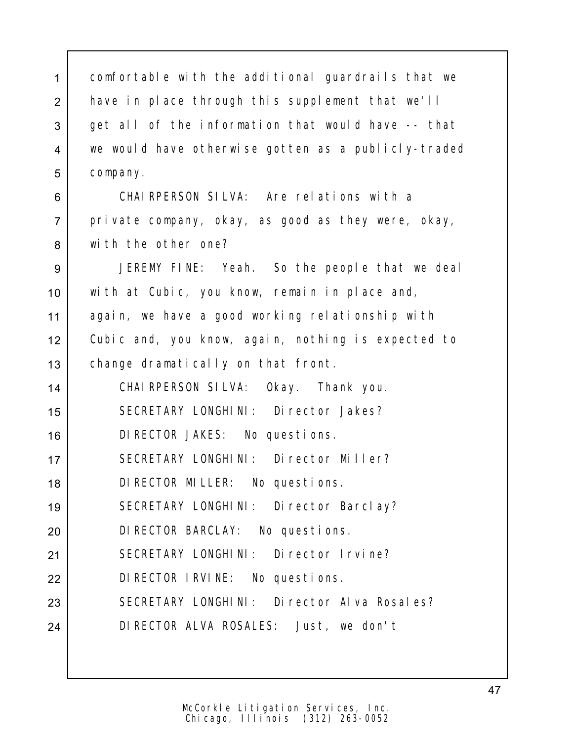1 comfortable with the additional quardrails that we 2 have in place through this supplement that we'll 3 get all of the information that would have -- that we would have otherwise gotten as a publicly-traded 5 company.

 CHAIRPERSON SILVA: Are relations with a 7 private company, okay, as good as they were, okay, with the other one?

 JEREMY FINE: Yeah. So the people that we deal with at Cubic, you know, remain in place and, again, we have a good working relationship with Cubic and, you know, again, nothing is expected to 13 | change dramatically on that front.

 CHAIRPERSON SILVA: Okay. Thank you. SECRETARY LONGHINI: Director Jakes? DIRECTOR JAKES: No questions. 17 SECRETARY LONGHINI: Director Miller? DIRECTOR MILLER: No questions. SECRETARY LONGHINI: Director Barclay? DIRECTOR BARCLAY: No questions. SECRETARY LONGHINI: Director Irvine? DIRECTOR IRVINE: No questions. 23 SECRETARY LONGHINI: Director Alva Rosales? DIRECTOR ALVA ROSALES: Just, we don't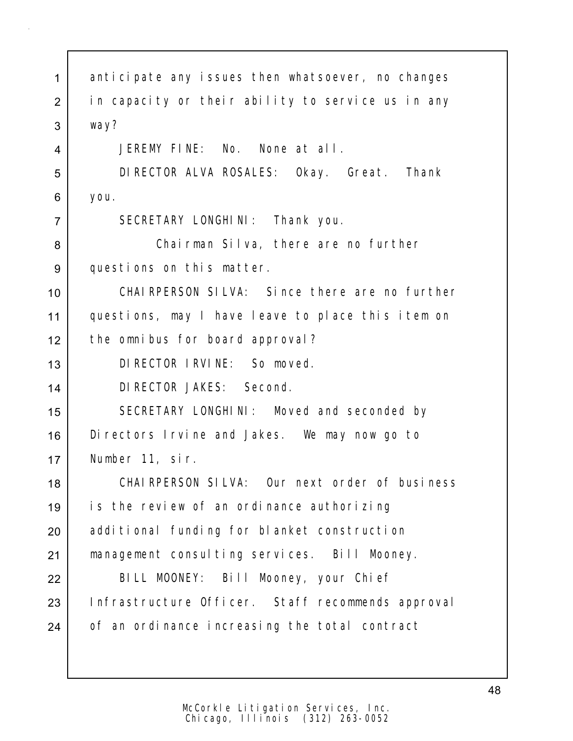| $\mathbf{1}$   | anticipate any issues then whatsoever, no changes |
|----------------|---------------------------------------------------|
| $\overline{2}$ | in capacity or their ability to service us in any |
| 3              | way?                                              |
| 4              | JEREMY FINE: No. None at all.                     |
| 5              | DIRECTOR ALVA ROSALES: Okay. Great. Thank         |
| 6              | you.                                              |
| $\overline{7}$ | SECRETARY LONGHINI: Thank you.                    |
| 8              | Chairman Silva, there are no further              |
| 9              | questions on this matter.                         |
| 10             | CHAIRPERSON SILVA: Since there are no further     |
| 11             | questions, may I have leave to place this item on |
| 12             | the omnibus for board approval?                   |
| 13             | DI RECTOR I RVI NE: So moved.                     |
| 14             | DI RECTOR JAKES: Second.                          |
| 15             | SECRETARY LONGHINI: Moved and seconded by         |
| 16             | Di rectors I rvine and Jakes. We may now go to    |
| 17             | Number 11, sir.                                   |
| 18             | CHAIRPERSON SILVA: Our next order of business     |
| 19             | is the review of an ordinance authorizing         |
| 20             | additional funding for blanket construction       |
| 21             | management consulting services. Bill Mooney.      |
| 22             | BILL MOONEY: Bill Mooney, your Chief              |
| 23             | Infrastructure Officer. Staff recommends approval |
| 24             | of an ordinance increasing the total contract     |
|                |                                                   |
|                |                                                   |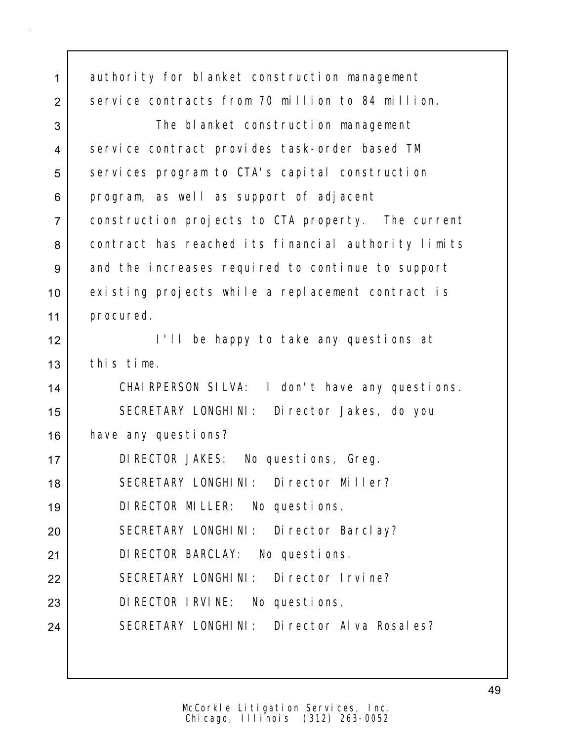| $\mathbf 1$    | authority for blanket construction management       |
|----------------|-----------------------------------------------------|
| $\overline{2}$ | service contracts from 70 million to 84 million.    |
| 3              | The blanket construction management                 |
| $\overline{4}$ | service contract provides task-order based TM       |
| 5              | services program to CTA's capital construction      |
| 6              | program, as well as support of adjacent             |
| $\overline{7}$ | construction projects to CTA property. The current  |
| 8              | contract has reached its financial authority limits |
| 9              | and the increases required to continue to support   |
| 10             | existing projects while a replacement contract is   |
| 11             | procured.                                           |
| 12             | I'll be happy to take any questions at              |
| 13             | this time.                                          |
| 14             | CHAIRPERSON SILVA: I don't have any questions.      |
| 15             | SECRETARY LONGHINI: Director Jakes, do you          |
| 16             | have any questions?                                 |
| 17             | DI RECTOR JAKES: No questions, Greg.                |
| 18             | SECRETARY LONGHINI: Director Miller?                |
| 19             | DI RECTOR MILLER: No questions.                     |
| 20             | SECRETARY LONGHINI: Director Barclay?               |
| 21             | DI RECTOR BARCLAY: No questions.                    |
| 22             | SECRETARY LONGHINI: Director Irvine?                |
| 23             | DIRECTOR IRVINE: No questions.                      |
| 24             | SECRETARY LONGHINI: Director Alva Rosales?          |
|                |                                                     |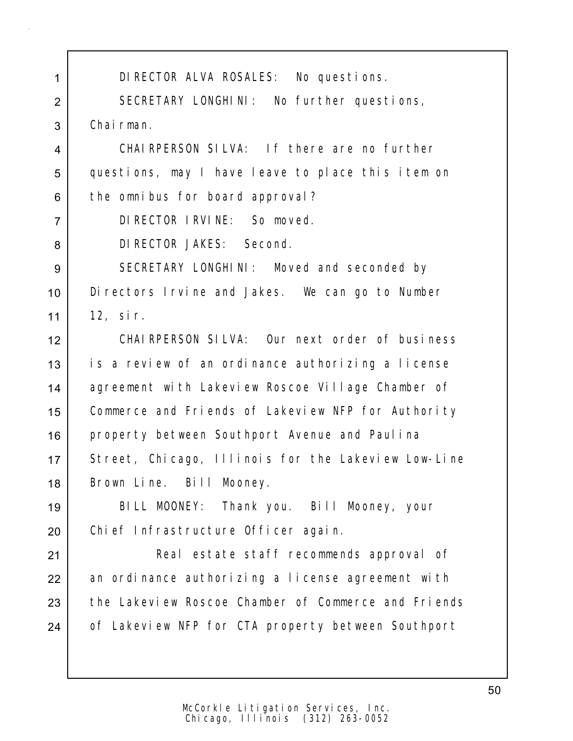| 1              | DI RECTOR ALVA ROSALES: No questions.               |
|----------------|-----------------------------------------------------|
| $\overline{2}$ | SECRETARY LONGHINI: No further questions,           |
| 3              | Chairman.                                           |
| 4              | CHAIRPERSON SILVA: If there are no further          |
| 5              | questions, may I have leave to place this item on   |
| 6              | the omnibus for board approval?                     |
| $\overline{7}$ | DI RECTOR I RVI NE: So moved.                       |
| 8              | DI RECTOR JAKES: Second.                            |
| 9              | SECRETARY LONGHINI: Moved and seconded by           |
| 10             | Di rectors I rvine and Jakes. We can go to Number   |
| 11             | 12, sir.                                            |
| 12             | CHAIRPERSON SILVA: Our next order of business       |
| 13             | is a review of an ordinance authorizing a license   |
| 14             | agreement with Lakeview Roscoe Village Chamber of   |
| 15             | Commerce and Friends of Lakeview NFP for Authority  |
| 16             | property between Southport Avenue and Paulina       |
| 17             | Street, Chicago, Illinois for the Lakeview Low-Line |
| 18             | Brown Line. Bill Mooney.                            |
| 19             | BILL MOONEY: Thank you. Bill Mooney, your           |
| 20             | Chi ef Infrastructure Officer again.                |
| 21             | Real estate staff recommends approval of            |
| 22             | an ordinance authorizing a license agreement with   |
| 23             | the Lakeview Roscoe Chamber of Commerce and Friends |
| 24             | of Lakeview NFP for CTA property between Southport  |
|                |                                                     |
|                |                                                     |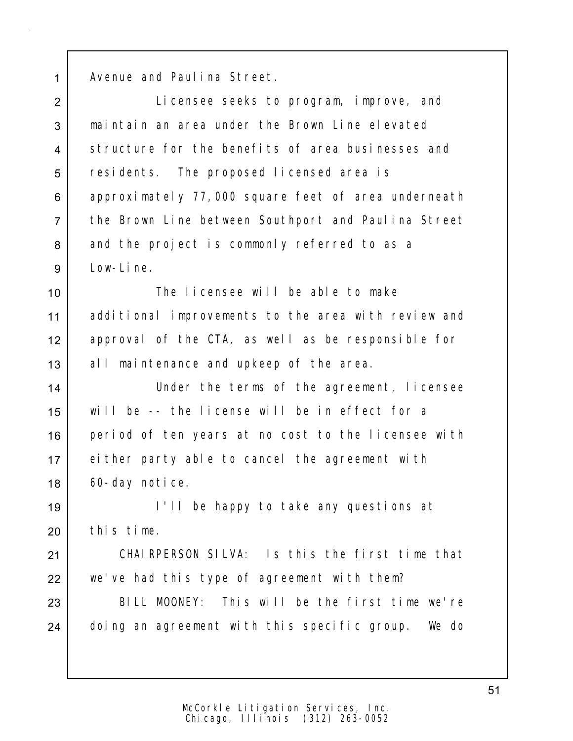1 Avenue and Paulina Street.

 Licensee seeks to program, improve, and maintain an area under the Brown Line elevated structure for the benefits of area businesses and 5 residents. The proposed licensed area is 6 approximately 77,000 square feet of area underneath the Brown Line between Southport and Paulina Street 8 and the project is commonly referred to as a Low-Line.

 The licensee will be able to make additional improvements to the area with review and approval of the CTA, as well as be responsible for 13 all maintenance and upkeep of the area.

14 Under the terms of the agreement, licensee 15 will be -- the license will be in effect for a 16 period of ten years at no cost to the licensee with 17 either party able to cancel the agreement with 18 60-day notice.

19 I'll be happy to take any questions at 20 this time.

21 CHAIRPERSON SILVA: Is this the first time that  $22$  we've had this type of agreement with them?

23 BILL MOONEY: This will be the first time we're 24 doing an agreement with this specific group. We do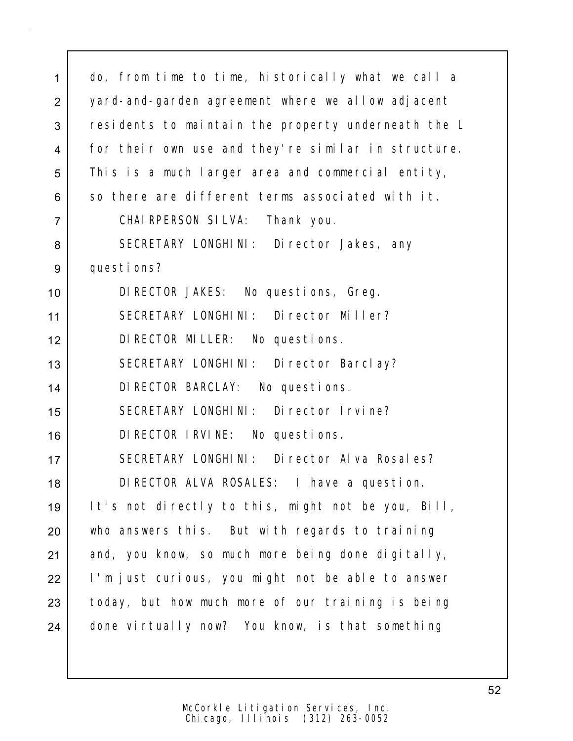| $\mathbf{1}$   | do, from time to time, historically what we call a  |
|----------------|-----------------------------------------------------|
| 2              | yard-and-garden agreement where we allow adjacent   |
| 3              | residents to maintain the property underneath the L |
| 4              | for their own use and they're similar in structure. |
| 5              | This is a much larger area and commercial entity,   |
| 6              | so there are different terms associated with it.    |
| $\overline{7}$ | CHAI RPERSON SILVA: Thank you.                      |
| 8              | SECRETARY LONGHINI: Director Jakes, any             |
| 9              | questions?                                          |
| 10             | DI RECTOR JAKES: No questions, Greg.                |
| 11             | SECRETARY LONGHINI: Director Miller?                |
| 12             | DI RECTOR MILLER: No questions.                     |
| 13             | SECRETARY LONGHINI: Director Barclay?               |
| 14             | DI RECTOR BARCLAY: No questions.                    |
| 15             | SECRETARY LONGHINI: Director Irvine?                |
| 16             | DI RECTOR I RVINE: No questions.                    |
| 17             | SECRETARY LONGHINI: Director Alva Rosales?          |
| 18             | DI RECTOR ALVA ROSALES: I have a question.          |
| 19             | It's not directly to this, might not be you, Bill,  |
| 20             | who answers this. But with regards to training      |
| 21             | and, you know, so much more being done digitally,   |
| 22             | I'm just curious, you might not be able to answer   |
| 23             | today, but how much more of our training is being   |
| 24             | done virtually now? You know, is that something     |
|                |                                                     |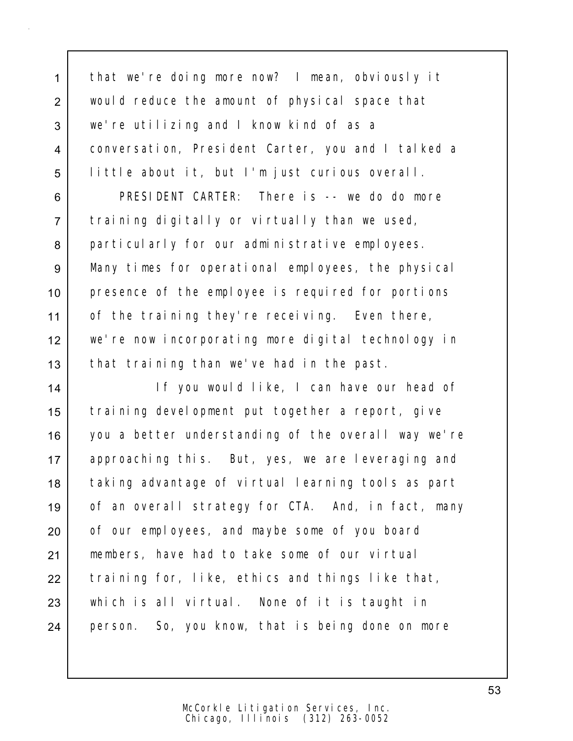1 that we're doing more now? I mean, obviously it would reduce the amount of physical space that we're utilizing and I know kind of as a conversation, President Carter, you and I talked a little about it, but I'm just curious overall.

 PRESIDENT CARTER: There is -- we do do more training digitally or virtually than we used, 8 particularly for our administrative employees. Many times for operational employees, the physical presence of the employee is required for portions 11 of the training they're receiving. Even there, we're now incorporating more digital technology in 13 that training than we've had in the past.

14 If you would like, I can have our head of 15 training development put together a report, give 16 you a better understanding of the overall way we're 17 approaching this. But, yes, we are leveraging and 18 taking advantage of virtual learning tools as part 19 of an overall strategy for CTA. And, in fact, many 20 of our employees, and maybe some of you board 21 members, have had to take some of our virtual  $22$  training for, like, ethics and things like that, 23 which is all virtual. None of it is taught in 24 person. So, you know, that is being done on more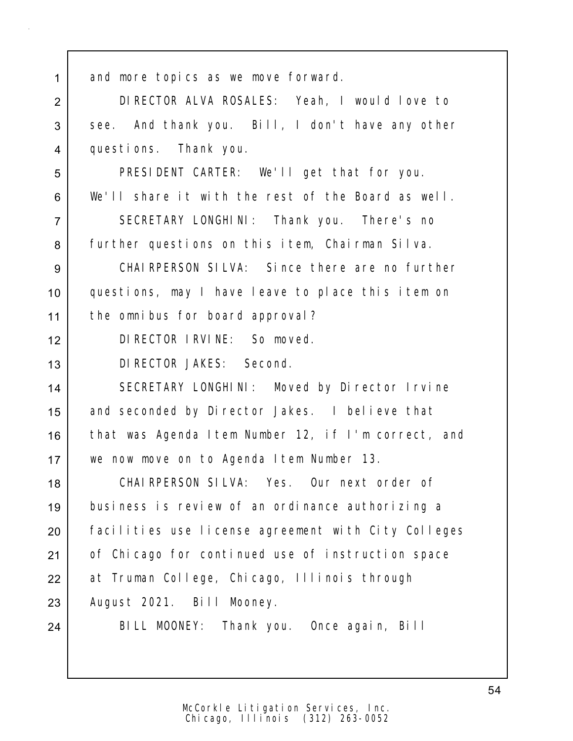| $\mathbf{1}$   | and more topics as we move forward.                 |
|----------------|-----------------------------------------------------|
| $\overline{2}$ | DIRECTOR ALVA ROSALES: Yeah, I would love to        |
| 3              | see. And thank you. Bill, I don't have any other    |
| $\overline{4}$ | questions. Thank you.                               |
| 5              | PRESIDENT CARTER: We'll get that for you.           |
| 6              | We'll share it with the rest of the Board as well.  |
| $\overline{7}$ | SECRETARY LONGHINI: Thank you. There's no           |
| 8              | further questions on this item, Chairman Silva.     |
| 9              | CHAI RPERSON SILVA: Since there are no further      |
| 10             | questions, may I have leave to place this item on   |
| 11             | the omnibus for board approval?                     |
| 12             | DI RECTOR I RVI NE: So moved.                       |
| 13             | DI RECTOR JAKES: Second.                            |
| 14             | SECRETARY LONGHINI: Moved by Director Irvine        |
| 15             | and seconded by Director Jakes. I believe that      |
| 16             | that was Agenda Item Number 12, if I'm correct, and |
| 17             | we now move on to Agenda I tem Number 13.           |
| 18             | CHAIRPERSON SILVA: Yes. Our next order of           |
| 19             | business is review of an ordinance authorizing a    |
| 20             | facilities use license agreement with City Colleges |
| 21             | of Chicago for continued use of instruction space   |
| 22             | at Truman College, Chicago, Illinois through        |
| 23             | August 2021. Bill Mooney.                           |
| 24             | BILL MOONEY: Thank you. Once again, Bill            |
|                |                                                     |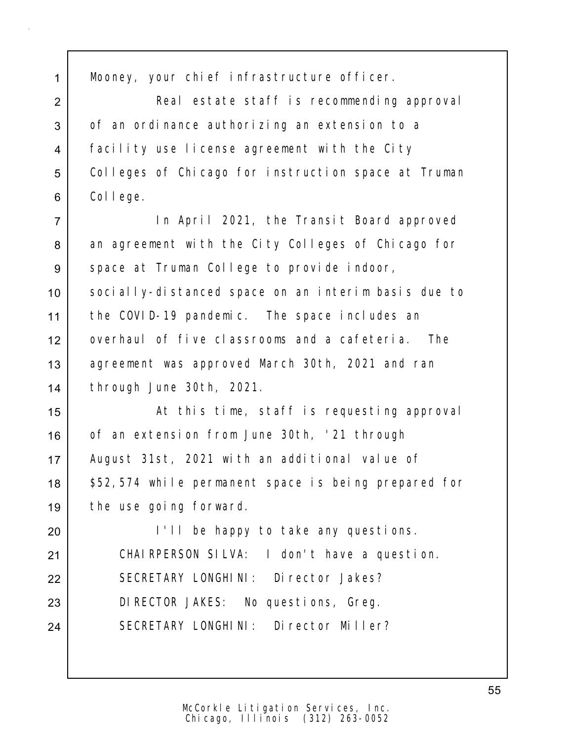1 Mooney, your chief infrastructure officer.

2 Real estate staff is recommending approval 3 of an ordinance authorizing an extension to a 4 facility use license agreement with the City 5 Colleges of Chicago for instruction space at Truman 6 College.

 In April 2021, the Transit Board approved 8 an agreement with the City Colleges of Chicago for 9 space at Truman College to provide indoor, socially-distanced space on an interim basis due to the COVID-19 pandemic. The space includes an overhaul of five classrooms and a cafeteria. The 13 agreement was approved March 30th, 2021 and ran through June 30th, 2021.

15 | At this time, staff is requesting approval 16 of an extension from June 30th, '21 through 17 | August 31st, 2021 with an additional value of 18 | \$52,574 while permanent space is being prepared for 19 the use going forward.

20 I I'll be happy to take any questions. 21 CHAIRPERSON SILVA: I don't have a question. 22 SECRETARY LONGHINI: Director Jakes? 23 DIRECTOR JAKES: No questions, Greg. 24 SECRETARY LONGHINI: Director Miller?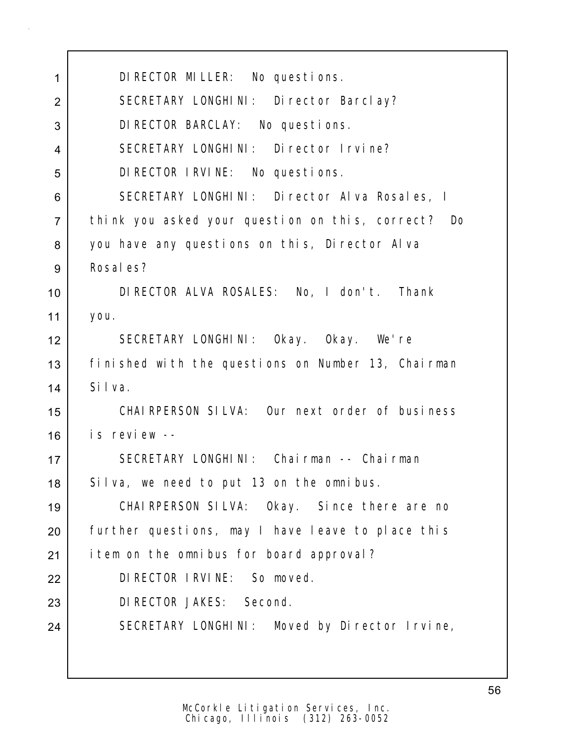| 1              | DI RECTOR MILLER: No questions.                    |
|----------------|----------------------------------------------------|
| $\overline{2}$ | SECRETARY LONGHINI: Director Barclay?              |
| 3              | DI RECTOR BARCLAY: No questions.                   |
| 4              | SECRETARY LONGHINI: Director Irvine?               |
| 5              | DI RECTOR I RVI NE: No questions.                  |
| 6              | SECRETARY LONGHINI: Director Alva Rosales, I       |
| $\overline{7}$ | think you asked your question on this, correct? Do |
| 8              | you have any questions on this, Director Alva      |
| 9              | Rosal es?                                          |
| 10             | DIRECTOR ALVA ROSALES: No, I don't. Thank          |
| 11             | you.                                               |
| 12             | SECRETARY LONGHINI: Okay. Okay. We're              |
| 13             | finished with the questions on Number 13, Chairman |
| 14             | Silva.                                             |
| 15             | CHAIRPERSON SILVA: Our next order of business      |
| 16             | is review --                                       |
| 17             | SECRETARY LONGHINI: Chairman -- Chairman           |
| 18             | Silva, we need to put 13 on the omnibus.           |
| 19             | CHAIRPERSON SILVA: Okay. Since there are no        |
| 20             | further questions, may I have leave to place this  |
| 21             | item on the omnibus for board approval?            |
| 22             | DI RECTOR I RVI NE: So moved.                      |
| 23             | DI RECTOR JAKES: Second.                           |
| 24             | SECRETARY LONGHINI: Moved by Director Irvine,      |
|                |                                                    |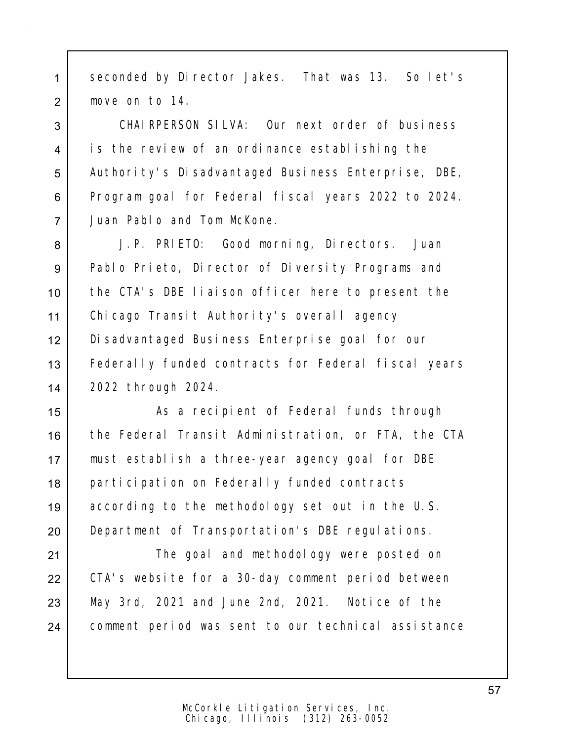1 seconded by Director Jakes. That was 13. So let's 2 move on to 14.

 CHAIRPERSON SILVA: Our next order of business is the review of an ordinance establishing the 5 | Authority's Disadvantaged Business Enterprise, DBE, Program goal for Federal fiscal years 2022 to 2024. Juan Pablo and Tom McKone.

8 J.P. PRIETO: Good morning, Directors. Juan 9 Pablo Prieto, Director of Diversity Programs and the CTA's DBE liaison officer here to present the Chicago Transit Authority's overall agency Disadvantaged Business Enterprise goal for our Federally funded contracts for Federal fiscal years 2022 through 2024.

15 | As a recipient of Federal funds through the Federal Transit Administration, or FTA, the CTA must establish a three-year agency goal for DBE 18 | participation on Federally funded contracts according to the methodology set out in the U.S. **Department of Transportation's DBE regulations.** 

21 | The goal and methodology were posted on 22 CTA's website for a 30-day comment period between  $23$  May 3rd, 2021 and June 2nd, 2021. Notice of the 24 comment period was sent to our technical assistance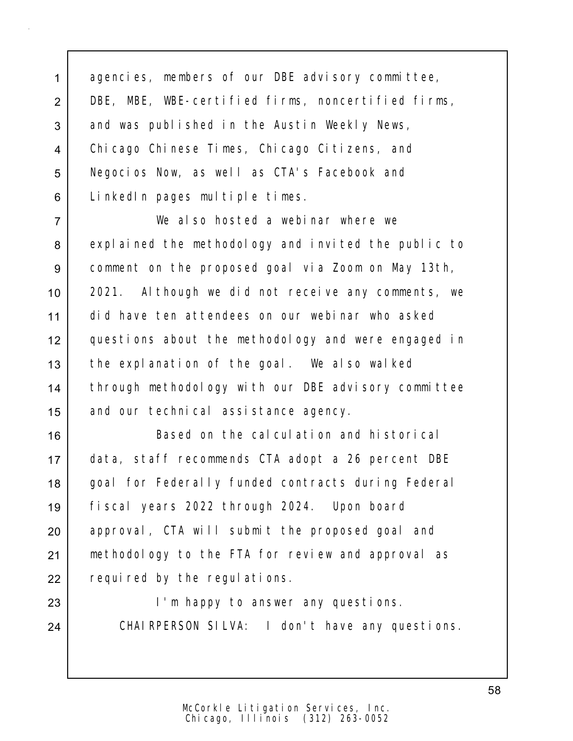1 agencies, members of our DBE advisory committee, 2 DBE, MBE, WBE-certified firms, noncertified firms, 3 and was published in the Austin Weekly News, 4 Chicago Chinese Times, Chicago Citizens, and 5 | Negocios Now, as well as CTA's Facebook and 6 LinkedIn pages multiple times.

7 We also hosted a webinar where we 8 explained the methodology and invited the public to 9 comment on the proposed goal via Zoom on May 13th, 10 2021. Although we did not receive any comments, we 11 did have ten attendees on our webinar who asked 12 questions about the methodology and were engaged in 13 the explanation of the goal. We also walked 14 through methodology with our DBE advisory committee 15 and our technical assistance agency.

16 Based on the calculation and historical 17 data, staff recommends CTA adopt a 26 percent DBE 18 | goal for Federally funded contracts during Federal 19 fiscal years 2022 through 2024. Upon board 20 | approval, CTA will submit the proposed goal and 21 | methodology to the FTA for review and approval as 22 required by the regulations.

23 | The happy to answer any questions. 24 | CHAIRPERSON SILVA: I don't have any questions.

58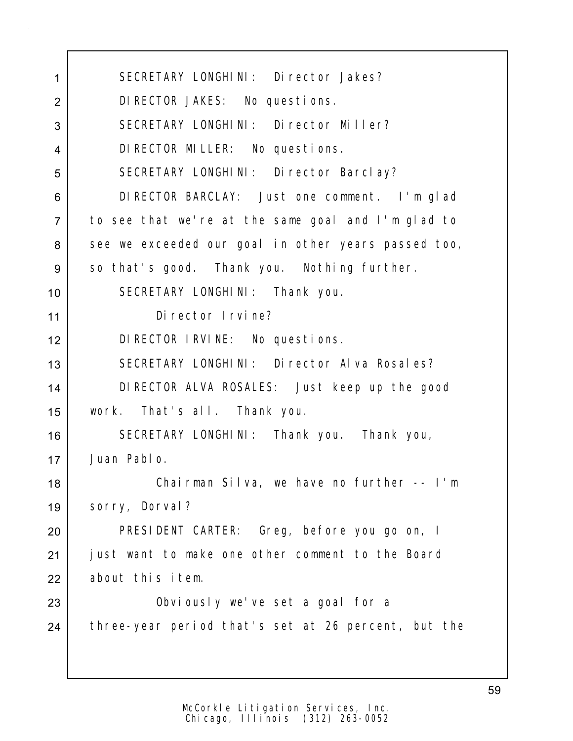| 1              | SECRETARY LONGHINI: Director Jakes?                 |
|----------------|-----------------------------------------------------|
| $\overline{2}$ | DI RECTOR JAKES: No questions.                      |
| 3              | SECRETARY LONGHINI: Director Miller?                |
| $\overline{4}$ | DI RECTOR MILLER: No questions.                     |
| 5              | SECRETARY LONGHINI: Director Barclay?               |
| 6              | DIRECTOR BARCLAY: Just one comment. I'm glad        |
| $\overline{7}$ | to see that we're at the same goal and I'm glad to  |
| 8              | see we exceeded our goal in other years passed too, |
| 9              | so that's good. Thank you. Nothing further.         |
| 10             | SECRETARY LONGHINI: Thank you.                      |
| 11             | Di rector I rvine?                                  |
| 12             | DI RECTOR I RVINE: No questions.                    |
| 13             | SECRETARY LONGHINI: Director Alva Rosales?          |
| 14             | DIRECTOR ALVA ROSALES: Just keep up the good        |
| 15             | work. That's all. Thank you.                        |
| 16             | SECRETARY LONGHINI: Thank you. Thank you,           |
| 17             | Juan Pablo.                                         |
| 18             | Chairman Silva, we have no further -- I'm           |
| 19             | sorry, Dorval?                                      |
| 20             | PRESIDENT CARTER: Greg, before you go on, I         |
| 21             | just want to make one other comment to the Board    |
| 22             | about this item.                                    |
| 23             | Obviously we've set a goal for a                    |
| 24             | three-year period that's set at 26 percent, but the |
|                |                                                     |
|                |                                                     |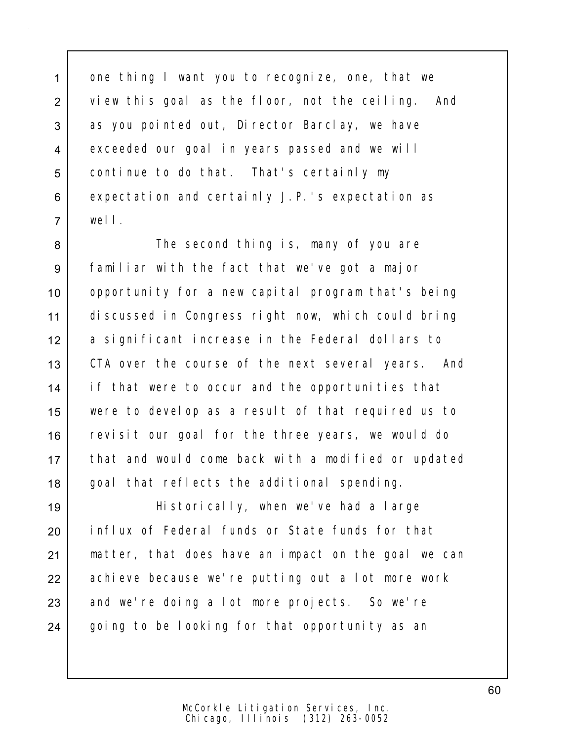1 one thing I want you to recognize, one, that we 2 view this goal as the floor, not the ceiling. And 3 as you pointed out, Director Barclay, we have 4 exceeded our goal in years passed and we will 5 continue to do that. That's certainly my 6 expectation and certainly J.P.'s expectation as 7 well.

8 Subsectional thing is, many of you are 9 familiar with the fact that we've got a major 10 | opportunity for a new capital program that's being 11 discussed in Congress right now, which could bring 12 a significant increase in the Federal dollars to 13 CTA over the course of the next several years. And 14 | if that were to occur and the opportunities that 15 were to develop as a result of that required us to 16 revisit our goal for the three years, we would do 17 that and would come back with a modified or updated 18 goal that reflects the additional spending.

 Historically, when we've had a large influx of Federal funds or State funds for that matter, that does have an impact on the goal we can 22 achieve because we're putting out a lot more work 23 and we're doing a lot more projects. So we're going to be looking for that opportunity as an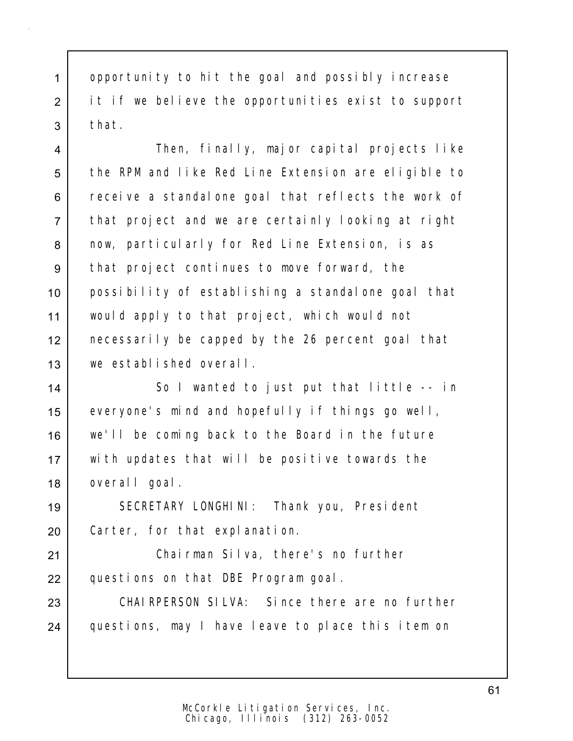1 opportunity to hit the goal and possibly increase 2 it if we believe the opportunities exist to support 3 that.

4 Then, finally, major capital projects like 5 the RPM and like Red Line Extension are eligible to 6 receive a standalone goal that reflects the work of 7 that project and we are certainly looking at right 8 | now, particularly for Red Line Extension, is as 9 that project continues to move forward, the 10 possibility of establishing a standalone goal that 11 would apply to that project, which would not 12 necessarily be capped by the 26 percent goal that 13 we established overall.

14 So I wanted to just put that little -- in 15 everyone's mind and hopefully if things go well, 16 we'll be coming back to the Board in the future 17 with updates that will be positive towards the 18 overall goal.

19 SECRETARY LONGHINI: Thank you, President 20 Carter, for that explanation.

21 Chairman Silva, there's no further 22 questions on that DBE Program goal.

23 CHAIRPERSON SILVA: Since there are no further 24 questions, may I have leave to place this item on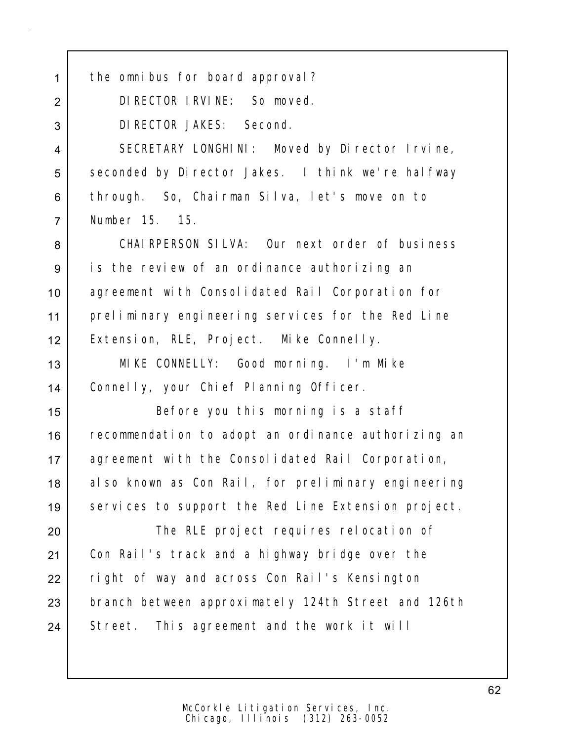| $\mathbf{1}$   | the omnibus for board approval?                     |
|----------------|-----------------------------------------------------|
| $\overline{2}$ | DI RECTOR I RVI NE: So moved.                       |
| 3              | DI RECTOR JAKES: Second.                            |
| $\overline{4}$ | SECRETARY LONGHINI: Moved by Director Irvine,       |
| 5              | seconded by Director Jakes. I think we're halfway   |
| 6              | through. So, Chairman Silva, let's move on to       |
| $\overline{7}$ | Number 15. 15.                                      |
| 8              | CHAIRPERSON SILVA: Our next order of business       |
| 9              | is the review of an ordinance authorizing an        |
| 10             | agreement with Consolidated Rail Corporation for    |
| 11             | preliminary engineering services for the Red Line   |
| 12             | Extension, RLE, Project. Mike Connelly.             |
| 13             | MIKE CONNELLY: Good morning. I'm Mike               |
| 14             | Connelly, your Chief Planning Officer.              |
| 15             | Before you this morning is a staff                  |
| 16             | recommendation to adopt an ordinance authorizing an |
| 17             | agreement with the Consolidated Rail Corporation,   |
| 18             | also known as Con Rail, for preliminary engineering |
| 19             | services to support the Red Line Extension project. |
| 20             | The RLE project requires relocation of              |
| 21             | Con Rail's track and a highway bridge over the      |
| 22             | right of way and across Con Rail's Kensington       |
| 23             | branch between approximately 124th Street and 126th |
| 24             | Street. This agreement and the work it will         |
|                |                                                     |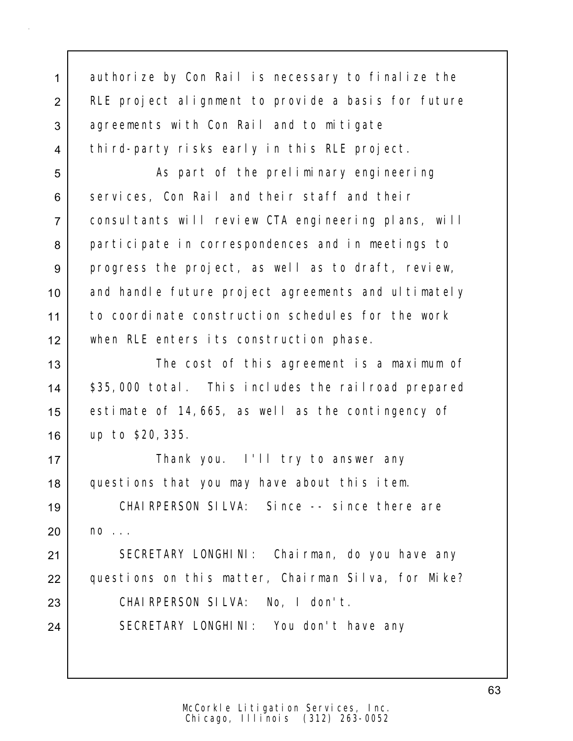1 authorize by Con Rail is necessary to finalize the 2 RLE project alignment to provide a basis for future 3 agreements with Con Rail and to mitigate 4 third-party risks early in this RLE project.

5 | As part of the preliminary engineering 6 services, Con Rail and their staff and their 7 consultants will review CTA engineering plans, will 8 participate in correspondences and in meetings to 9 progress the project, as well as to draft, review, 10 and handle future project agreements and ultimately 11 to coordinate construction schedules for the work 12 when RLE enters its construction phase.

13 The cost of this agreement is a maximum of 14 | \$35,000 total. This includes the railroad prepared 15 estimate of 14,665, as well as the contingency of 16 up to \$20,335.

17 | Thank you. I'll try to answer any 18 questions that you may have about this item.

19 CHAIRPERSON SILVA: Since -- since there are  $20$  no  $\ldots$ 

21 SECRETARY LONGHINI: Chairman, do you have any 22 questions on this matter, Chairman Silva, for Mike? 23 CHAIRPERSON SILVA: No, I don't. 24 SECRETARY LONGHINI: You don't have any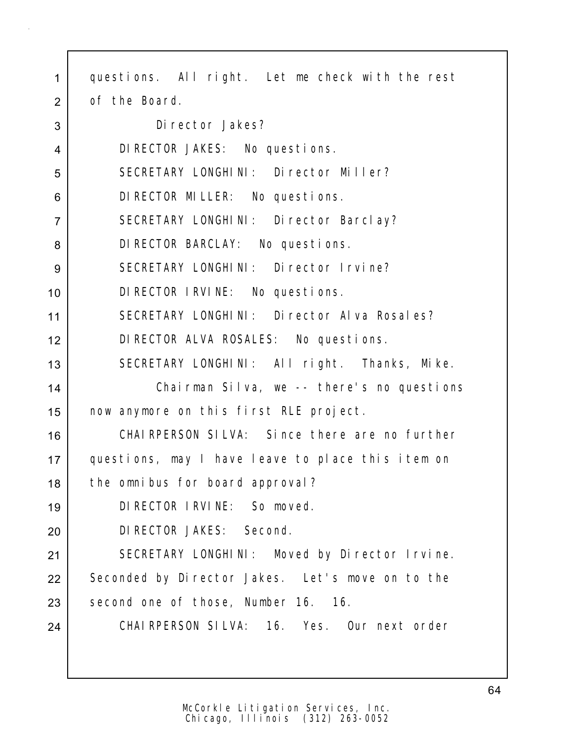| $\mathbf{1}$   | questions. All right. Let me check with the rest  |
|----------------|---------------------------------------------------|
| $\overline{2}$ | of the Board.                                     |
| 3              | Di rector Jakes?                                  |
| 4              | DI RECTOR JAKES: No questions.                    |
| 5              | SECRETARY LONGHINI: Director Miller?              |
| 6              | DI RECTOR MILLER: No questions.                   |
| $\overline{7}$ | SECRETARY LONGHINI: Director Barclay?             |
| 8              | DI RECTOR BARCLAY: No questions.                  |
| 9              | SECRETARY LONGHINI: Director Irvine?              |
| 10             | DI RECTOR I RVINE: No questions.                  |
| 11             | SECRETARY LONGHINI: Director Alva Rosales?        |
| 12             | DI RECTOR ALVA ROSALES: No questions.             |
| 13             | SECRETARY LONGHINI: All right. Thanks, Mike.      |
| 14             | Chairman Silva, we -- there's no questions        |
| 15             | now anymore on this first RLE project.            |
| 16             | CHAI RPERSON SILVA: Since there are no further    |
| 17             | questions, may I have leave to place this item on |
| 18             | the omnibus for board approval?                   |
| 19             | DI RECTOR I RVI NE: So moved.                     |
| 20             | DI RECTOR JAKES: Second.                          |
| 21             | SECRETARY LONGHINI: Moved by Director Irvine.     |
| 22             | Seconded by Director Jakes. Let's move on to the  |
| 23             | second one of those, Number 16. 16.               |
| 24             | CHAIRPERSON SILVA: 16. Yes. Our next order        |
|                |                                                   |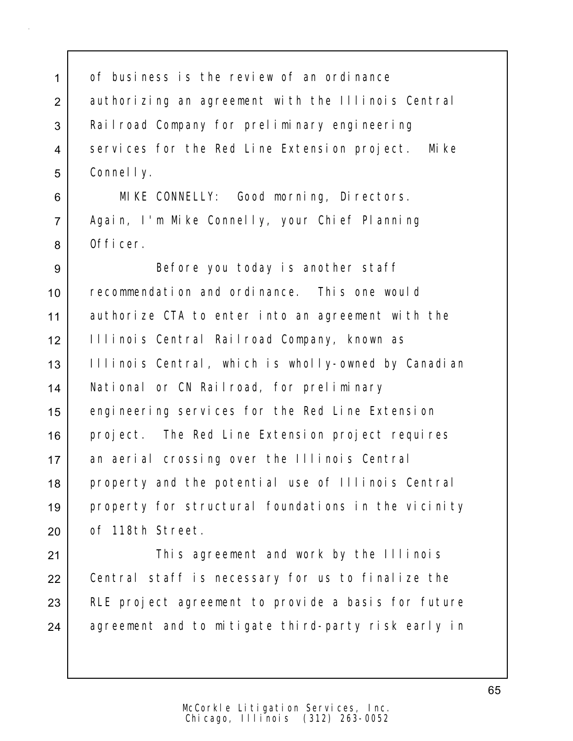1 of business is the review of an ordinance 2 | authorizing an agreement with the Illinois Central 3 Railroad Company for preliminary engineering 4 services for the Red Line Extension project. Mike 5 Connelly.

6 MIKE CONNELLY: Good morning, Directors. 7 Again, I'm Mike Connelly, your Chief Planning 8 Officer.

 Before you today is another staff recommendation and ordinance. This one would authorize CTA to enter into an agreement with the Illinois Central Railroad Company, known as 13 | Illinois Central, which is wholly-owned by Canadian National or CN Railroad, for preliminary engineering services for the Red Line Extension 16 project. The Red Line Extension project requires an aerial crossing over the Illinois Central 18 property and the potential use of Illinois Central property for structural foundations in the vicinity 20 of 118th Street.

21 | This agreement and work by the Illinois 22 Central staff is necessary for us to finalize the 23 RLE project agreement to provide a basis for future 24 agreement and to mitigate third-party risk early in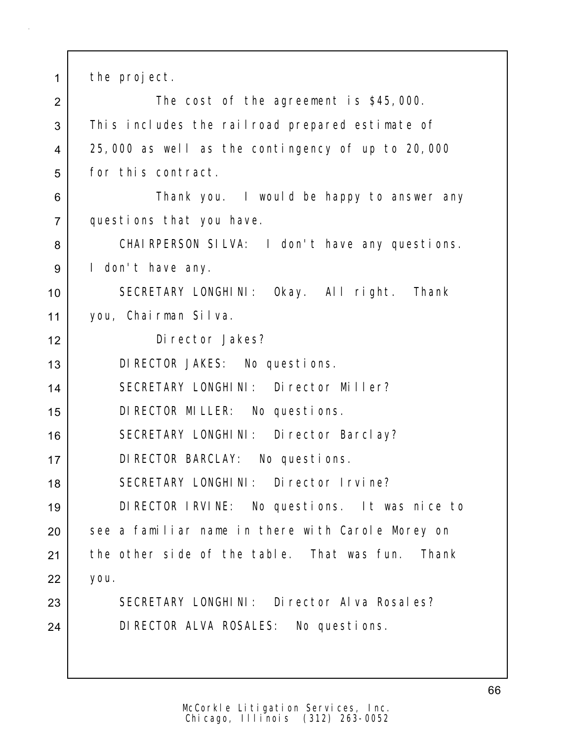1 the project.

2 The cost of the agreement is \$45,000. 3 This includes the railroad prepared estimate of 4 25,000 as well as the contingency of up to 20,000 5 for this contract. 6 Solution of thank you. I would be happy to answer any 7 questions that you have. 8 | CHAIRPERSON SILVA: I don't have any questions. 9 | I don't have any. 10 SECRETARY LONGHINI: Okay. All right. Thank 11 you, Chairman Silva. 12 Director Jakes? 13 DIRECTOR JAKES: No questions. 14 SECRETARY LONGHINI: Director Miller? 15 DIRECTOR MILLER: No questions. 16 | SECRETARY LONGHINI: Director Barclay? 17 DIRECTOR BARCLAY: No questions. 18 SECRETARY LONGHINI: Director Irvine? 19 DIRECTOR IRVINE: No questions. It was nice to 20 See a familiar name in there with Carole Morey on 21 the other side of the table. That was fun. Thank 22 you. 23 SECRETARY LONGHINI: Director Alva Rosales? 24 DIRECTOR ALVA ROSALES: No questions.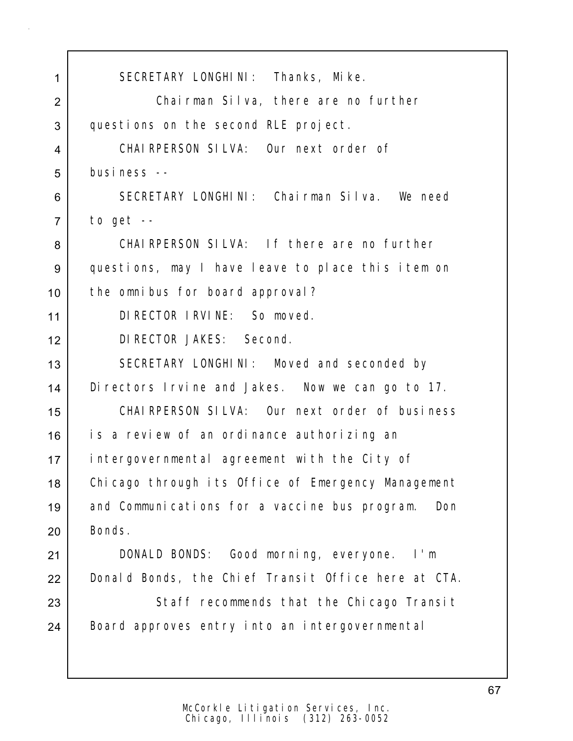1 SECRETARY LONGHINI: Thanks, Mike. 2 Chairman Silva, there are no further 3 questions on the second RLE project. 4 CHAIRPERSON SILVA: Our next order of 5 business -- 6 SECRETARY LONGHINI: Chairman Silva. We need  $7$  to get  $-$ 8 CHAIRPERSON SILVA: If there are no further 9 questions, may I have leave to place this item on 10 | the omnibus for board approval? 11 DIRECTOR IRVINE: So moved. 12 DIRECTOR JAKES: Second. 13 SECRETARY LONGHINI: Moved and seconded by 14 Directors Irvine and Jakes. Now we can go to 17. 15 CHAIRPERSON SILVA: Our next order of business 16 is a review of an ordinance authorizing an 17 intergovernmental agreement with the City of 18 Chicago through its Office of Emergency Management 19 and Communications for a vaccine bus program. Don 20 Bonds. 21 DONALD BONDS: Good morning, everyone. I'm 22 Donald Bonds, the Chief Transit Office here at CTA. 23 Staff recommends that the Chicago Transit 24 Board approves entry into an intergovernmental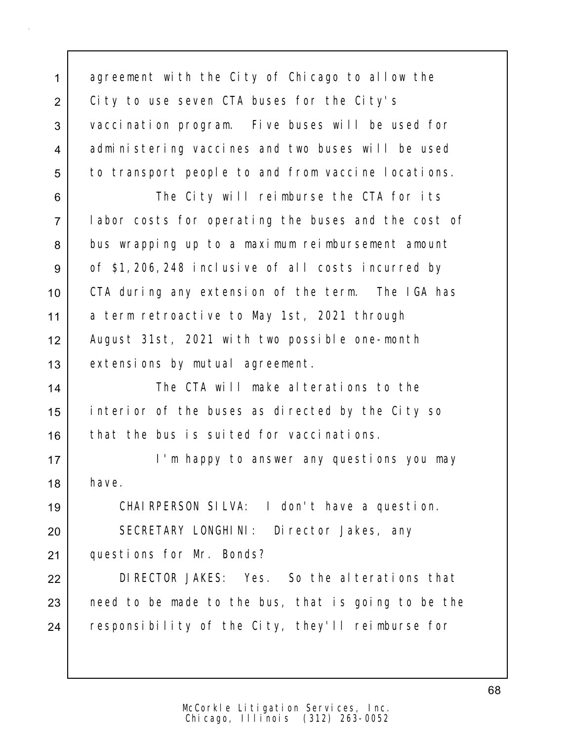1 agreement with the City of Chicago to allow the 2 City to use seven CTA buses for the City's 3 vaccination program. Five buses will be used for 4 administering vaccines and two buses will be used 5 to transport people to and from vaccine locations.

6 The City will reimburse the CTA for its 7 labor costs for operating the buses and the cost of 8 bus wrapping up to a maximum reimbursement amount 9 of \$1,206,248 inclusive of all costs incurred by 10 CTA during any extension of the term. The IGA has 11 a term retroactive to May 1st, 2021 through 12 August 31st, 2021 with two possible one-month 13 extensions by mutual agreement.

14 The CTA will make alterations to the 15 interior of the buses as directed by the City so 16 that the bus is suited for vaccinations.

17 | **I'm happy to answer any questions you may**  $18$  have.

19 CHAIRPERSON SILVA: I don't have a question. 20 SECRETARY LONGHINI: Director Jakes, any

21 questions for Mr. Bonds?

22 DIRECTOR JAKES: Yes. So the alterations that  $23$  need to be made to the bus, that is going to be the 24 responsibility of the City, they'll reimburse for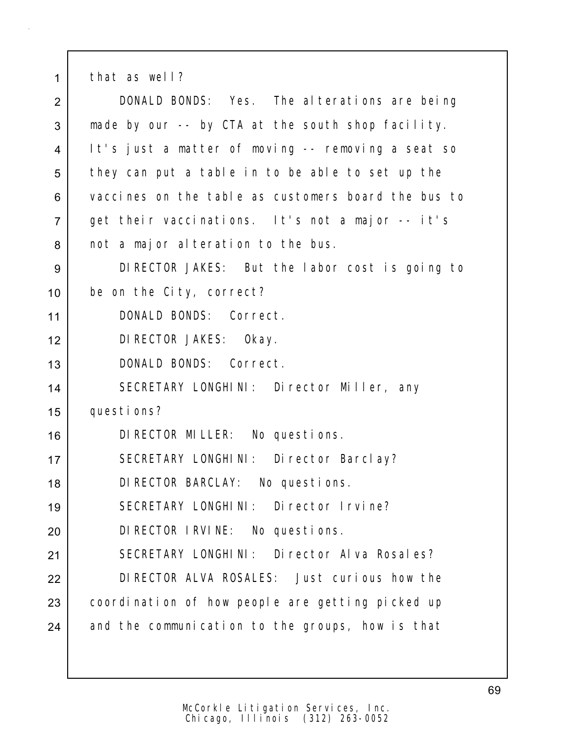1 that as well? 2 DONALD BONDS: Yes. The alterations are being 3 made by our -- by CTA at the south shop facility. It's just a matter of moving -- removing a seat so 5 they can put a table in to be able to set up the vaccines on the table as customers board the bus to get their vaccinations. It's not a major -- it's 8 not a major alteration to the bus. DIRECTOR JAKES: But the labor cost is going to be on the City, correct? DONALD BONDS: Correct. DIRECTOR JAKES: Okay. DONALD BONDS: Correct. SECRETARY LONGHINI: Director Miller, any questions? DIRECTOR MILLER: No questions. SECRETARY LONGHINI: Director Barclay? DIRECTOR BARCLAY: No questions. SECRETARY LONGHINI: Director Irvine? DIRECTOR IRVINE: No questions. 21 SECRETARY LONGHINI: Director Alva Rosales? DIRECTOR ALVA ROSALES: Just curious how the 23 coordination of how people are getting picked up 24 and the communication to the groups, how is that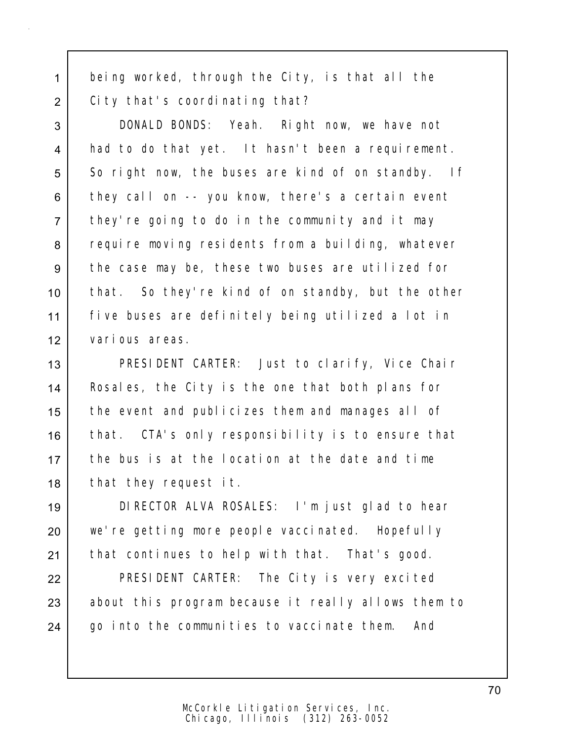1 being worked, through the City, is that all the 2 City that's coordinating that?

3 DONALD BONDS: Yeah. Right now, we have not 4 | had to do that yet. It hasn't been a requirement. 5 So right now, the buses are kind of on standby. If 6 they call on -- you know, there's a certain event 7 they're going to do in the community and it may 8 require moving residents from a building, whatever 9 the case may be, these two buses are utilized for 10 that. So they're kind of on standby, but the other 11 five buses are definitely being utilized a lot in 12 various areas.

13 PRESIDENT CARTER: Just to clarify, Vice Chair 14 | Rosales, the City is the one that both plans for 15 the event and publicizes them and manages all of 16 | that. CTA's only responsibility is to ensure that 17 the bus is at the location at the date and time 18 | that they request it.

19 DIRECTOR ALVA ROSALES: I'm just glad to hear 20 we're getting more people vaccinated. Hopefully 21 | that continues to help with that. That's good.

22 **PRESIDENT CARTER:** The City is very excited 23 about this program because it really allows them to 24 | go into the communities to vaccinate them. And

70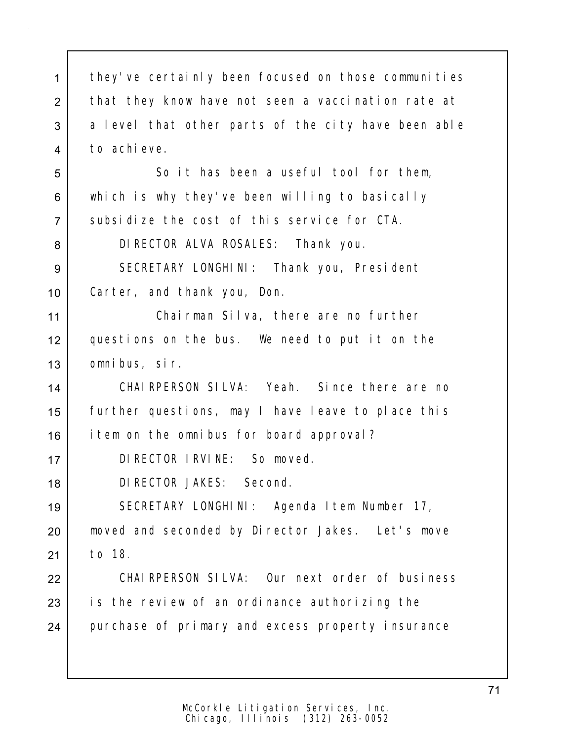1 they've certainly been focused on those communities 2 that they know have not seen a vaccination rate at 3 a level that other parts of the city have been able 4 to achieve.

5 So it has been a useful tool for them, 6 which is why they've been willing to basically 7 Subsidize the cost of this service for CTA.

8 DIRECTOR ALVA ROSALES: Thank you.

9 SECRETARY LONGHINI: Thank you, President 10 Carter, and thank you, Don.

11 Chairman Silva, there are no further 12 questions on the bus. We need to put it on the 13 omnibus, sir.

14 CHAIRPERSON SILVA: Yeah. Since there are no 15 further questions, may I have leave to place this 16 item on the omnibus for board approval?

17 DIRECTOR IRVINE: So moved.

18 DIRECTOR JAKES: Second.

19 SECRETARY LONGHINI: Agenda Item Number 17, 20 | moved and seconded by Director Jakes. Let's move 21 to 18.

22 CHAIRPERSON SILVA: Our next order of business  $23$  is the review of an ordinance authorizing the 24 purchase of primary and excess property insurance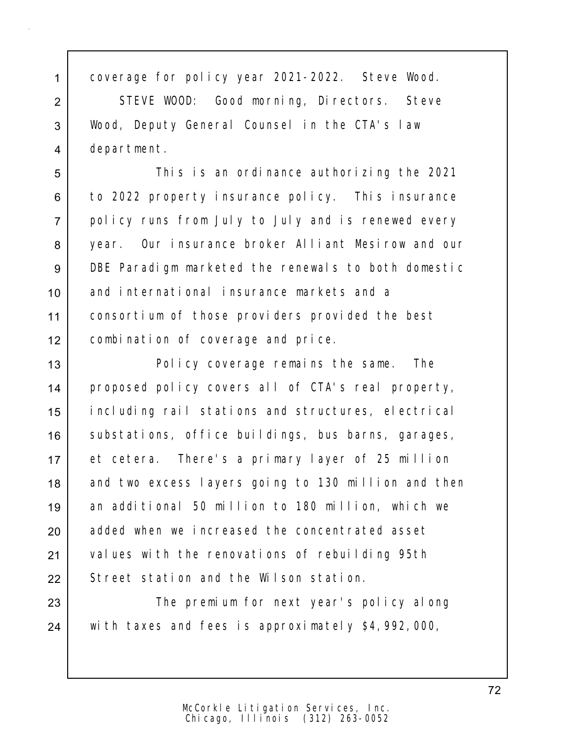1 coverage for policy year 2021-2022. Steve Wood.

2 STEVE WOOD: Good morning, Directors. Steve 3 Wood, Deputy General Counsel in the CTA's law 4 department.

5 This is an ordinance authorizing the 2021 6 to 2022 property insurance policy. This insurance 7 policy runs from July to July and is renewed every 8 vear. Our insurance broker Alliant Mesirow and our 9 DBE Paradigm marketed the renewals to both domestic 10 and international insurance markets and a 11 consortium of those providers provided the best 12 combination of coverage and price.

13 Policy coverage remains the same. The 14 | proposed policy covers all of CTA's real property, 15 including rail stations and structures, electrical 16 | substations, office buildings, bus barns, garages, 17 et cetera. There's a primary layer of 25 million 18 and two excess layers going to 130 million and then 19 an additional 50 million to 180 million, which we 20 added when we increased the concentrated asset 21 | values with the renovations of rebuilding 95th 22 Street station and the Wilson station.

23  $\vert$  The premium for next year's policy along 24 with taxes and fees is approximately \$4,992,000,

72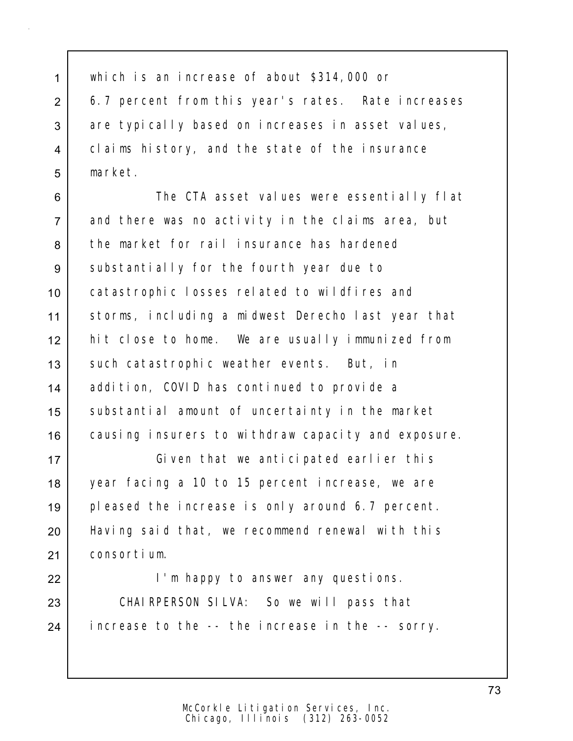1 which is an increase of about \$314,000 or 2 6.7 percent from this year's rates. Rate increases 3 are typically based on increases in asset values, 4 claims history, and the state of the insurance 5 market.

6 **The CTA asset values were essentially flat** 7 and there was no activity in the claims area, but 8 the market for rail insurance has hardened 9 substantially for the fourth year due to 10 catastrophic losses related to wildfires and 11 storms, including a midwest Derecho last year that 12 hit close to home. We are usually immunized from 13 | such catastrophic weather events. But, in 14 addition, COVID has continued to provide a 15 | substantial amount of uncertainty in the market 16 causing insurers to withdraw capacity and exposure.

 Given that we anticipated earlier this year facing a 10 to 15 percent increase, we are pleased the increase is only around 6.7 percent. 20 | Having said that, we recommend renewal with this consortium.

22 | **I'm happy to answer any questions.** 23 CHAIRPERSON SILVA: So we will pass that 24 increase to the -- the increase in the -- sorry.

> Chicago, Illinois (312) 263-0052 McCorkle Litigation Services, Inc.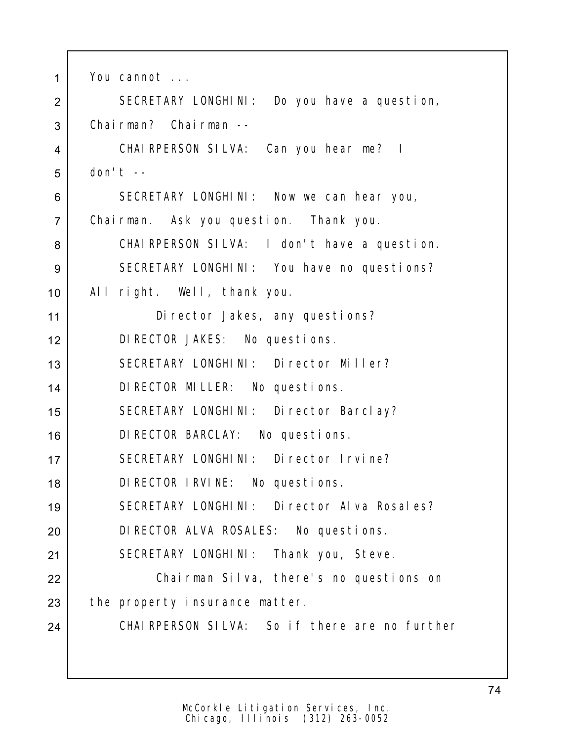| 1              | You cannot                                     |  |  |  |  |  |  |
|----------------|------------------------------------------------|--|--|--|--|--|--|
| $\overline{2}$ | SECRETARY LONGHINI: Do you have a question,    |  |  |  |  |  |  |
| 3              | Chairman? Chairman --                          |  |  |  |  |  |  |
| 4              | CHAIRPERSON SILVA: Can you hear me? I          |  |  |  |  |  |  |
| 5              | don't $-$                                      |  |  |  |  |  |  |
| 6              | SECRETARY LONGHINI: Now we can hear you,       |  |  |  |  |  |  |
| $\overline{7}$ | Chairman. Ask you question. Thank you.         |  |  |  |  |  |  |
| 8              | CHAIRPERSON SILVA: I don't have a question.    |  |  |  |  |  |  |
| 9              | SECRETARY LONGHINI: You have no questions?     |  |  |  |  |  |  |
| 10             | All right. Well, thank you.                    |  |  |  |  |  |  |
| 11             | Di rector Jakes, any questions?                |  |  |  |  |  |  |
| 12             | DI RECTOR JAKES: No questions.                 |  |  |  |  |  |  |
| 13             | SECRETARY LONGHINI: Director Miller?           |  |  |  |  |  |  |
| 14             | DI RECTOR MILLER: No questions.                |  |  |  |  |  |  |
| 15             | SECRETARY LONGHINI: Director Barclay?          |  |  |  |  |  |  |
| 16             | DI RECTOR BARCLAY: No questions.               |  |  |  |  |  |  |
| 17             | SECRETARY LONGHINI: Director Irvine?           |  |  |  |  |  |  |
| 18             | DI RECTOR I RVINE: No questions.               |  |  |  |  |  |  |
| 19             | SECRETARY LONGHINI: Director Alva Rosales?     |  |  |  |  |  |  |
| 20             | DI RECTOR ALVA ROSALES: No questions.          |  |  |  |  |  |  |
| 21             | SECRETARY LONGHINI: Thank you, Steve.          |  |  |  |  |  |  |
| 22             | Chairman Silva, there's no questions on        |  |  |  |  |  |  |
| 23             | the property insurance matter.                 |  |  |  |  |  |  |
| 24             | CHAI RPERSON SILVA: So if there are no further |  |  |  |  |  |  |
|                |                                                |  |  |  |  |  |  |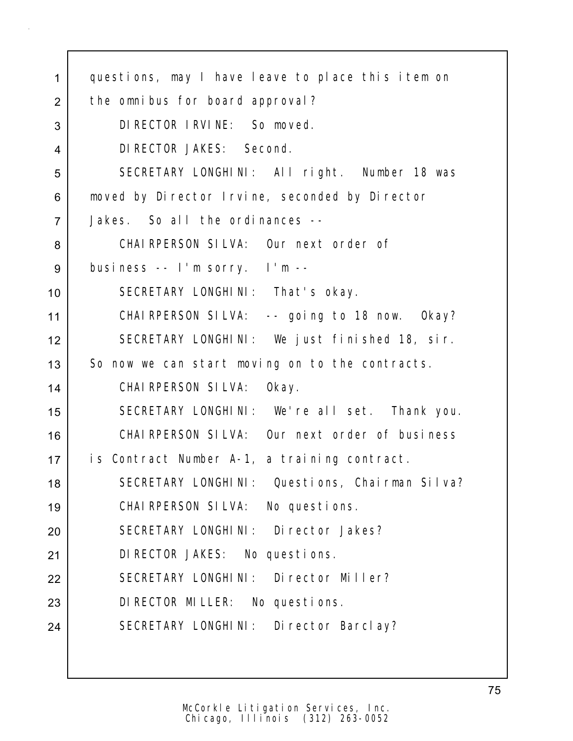| $\mathbf{1}$   | questions, may I have leave to place this item on |  |  |  |  |  |  |
|----------------|---------------------------------------------------|--|--|--|--|--|--|
| 2              | the omnibus for board approval?                   |  |  |  |  |  |  |
| 3              | DI RECTOR I RVI NE: So moved.                     |  |  |  |  |  |  |
| $\overline{4}$ | DI RECTOR JAKES: Second.                          |  |  |  |  |  |  |
| 5              | SECRETARY LONGHINI: All right. Number 18 was      |  |  |  |  |  |  |
| 6              | moved by Director Irvine, seconded by Director    |  |  |  |  |  |  |
| $\overline{7}$ | Jakes. So all the ordinances --                   |  |  |  |  |  |  |
| 8              | CHAIRPERSON SILVA: Our next order of              |  |  |  |  |  |  |
| 9              | business -- I'm sorry. I'm --                     |  |  |  |  |  |  |
| 10             | SECRETARY LONGHINI: That's okay.                  |  |  |  |  |  |  |
| 11             | CHAIRPERSON SILVA: -- going to 18 now. Okay?      |  |  |  |  |  |  |
| 12             | SECRETARY LONGHINI: We just finished 18, sir.     |  |  |  |  |  |  |
| 13             | So now we can start moving on to the contracts.   |  |  |  |  |  |  |
| 14             | CHAI RPERSON SILVA: Okay.                         |  |  |  |  |  |  |
| 15             | SECRETARY LONGHINI: We're all set. Thank you.     |  |  |  |  |  |  |
| 16             | CHAIRPERSON SILVA: Our next order of business     |  |  |  |  |  |  |
| 17             | is Contract Number A-1, a training contract.      |  |  |  |  |  |  |
| 18             | SECRETARY LONGHINI: Questions, Chairman Silva?    |  |  |  |  |  |  |
| 19             | CHAIRPERSON SILVA: No questions.                  |  |  |  |  |  |  |
| 20             | SECRETARY LONGHINI: Director Jakes?               |  |  |  |  |  |  |
| 21             | DI RECTOR JAKES: No questions.                    |  |  |  |  |  |  |
| 22             | SECRETARY LONGHINI: Director Miller?              |  |  |  |  |  |  |
| 23             | DI RECTOR MILLER: No questions.                   |  |  |  |  |  |  |
| 24             | SECRETARY LONGHINI: Director Barclay?             |  |  |  |  |  |  |
|                |                                                   |  |  |  |  |  |  |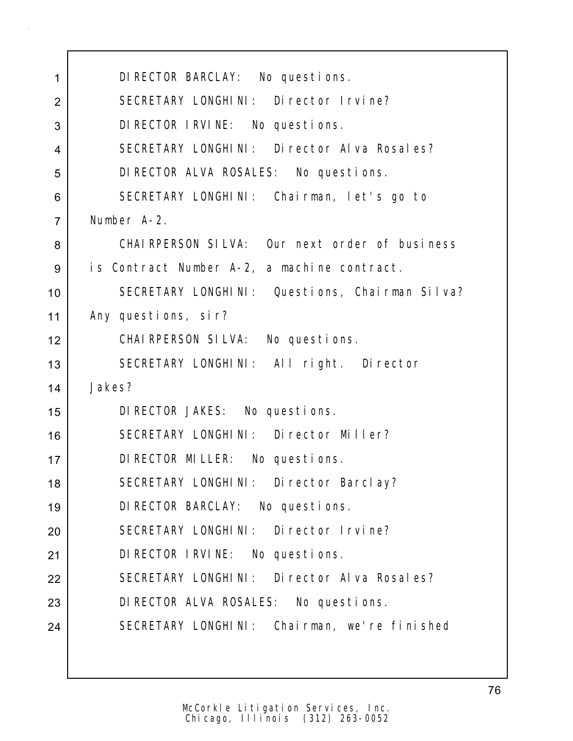| $\mathbf{1}$   | DI RECTOR BARCLAY: No questions.               |  |  |  |  |  |  |
|----------------|------------------------------------------------|--|--|--|--|--|--|
| $\overline{2}$ | SECRETARY LONGHINI: Director Irvine?           |  |  |  |  |  |  |
| 3              | DI RECTOR I RVINE: No questions.               |  |  |  |  |  |  |
| $\overline{4}$ | SECRETARY LONGHINI: Director Alva Rosales?     |  |  |  |  |  |  |
| 5              | DI RECTOR ALVA ROSALES: No questions.          |  |  |  |  |  |  |
| 6              | SECRETARY LONGHINI: Chairman, let's go to      |  |  |  |  |  |  |
| $\overline{7}$ | Number A-2.                                    |  |  |  |  |  |  |
| 8              | CHAIRPERSON SILVA: Our next order of business  |  |  |  |  |  |  |
| 9              | is Contract Number A-2, a machine contract.    |  |  |  |  |  |  |
| 10             | SECRETARY LONGHINI: Questions, Chairman Silva? |  |  |  |  |  |  |
| 11             | Any questions, sir?                            |  |  |  |  |  |  |
| 12             | CHAIRPERSON SILVA: No questions.               |  |  |  |  |  |  |
| 13             | SECRETARY LONGHINI: All right. Director        |  |  |  |  |  |  |
| 14             | Jakes?                                         |  |  |  |  |  |  |
| 15             | DI RECTOR JAKES: No questions.                 |  |  |  |  |  |  |
| 16             | SECRETARY LONGHINI: Director Miller?           |  |  |  |  |  |  |
| 17             | DI RECTOR MILLER: No questions.                |  |  |  |  |  |  |
| 18             | SECRETARY LONGHINI: Director Barclay?          |  |  |  |  |  |  |
| 19             | DI RECTOR BARCLAY: No questions.               |  |  |  |  |  |  |
| 20             | SECRETARY LONGHINI: Director Irvine?           |  |  |  |  |  |  |
| 21             | DI RECTOR I RVI NE: No questions.              |  |  |  |  |  |  |
| 22             | SECRETARY LONGHINI: Director Alva Rosales?     |  |  |  |  |  |  |
| 23             | DI RECTOR ALVA ROSALES: No questions.          |  |  |  |  |  |  |
| 24             | SECRETARY LONGHINI: Chairman, we're finished   |  |  |  |  |  |  |
|                |                                                |  |  |  |  |  |  |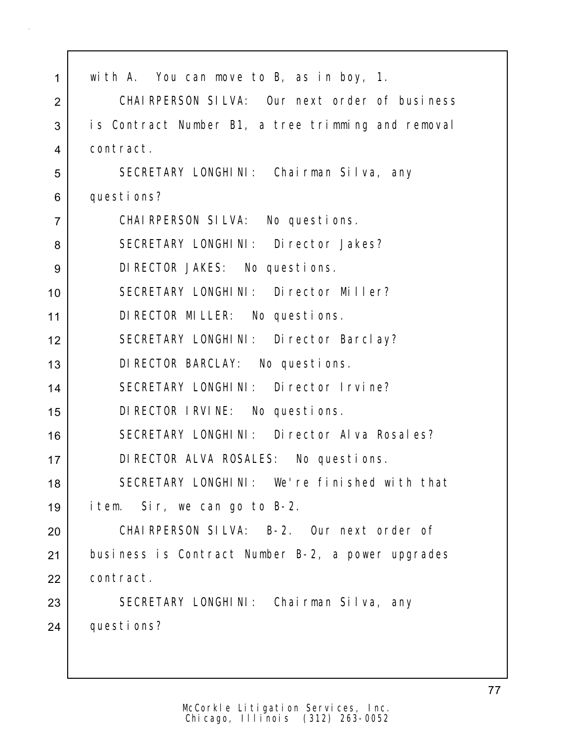| 1              | with A. You can move to B, as in boy, 1.           |  |  |  |  |  |  |  |
|----------------|----------------------------------------------------|--|--|--|--|--|--|--|
| 2              | CHAIRPERSON SILVA: Our next order of business      |  |  |  |  |  |  |  |
| 3              | is Contract Number B1, a tree trimming and removal |  |  |  |  |  |  |  |
| $\overline{4}$ | contract.                                          |  |  |  |  |  |  |  |
| 5              | SECRETARY LONGHINI: Chairman Silva, any            |  |  |  |  |  |  |  |
| 6              | questions?                                         |  |  |  |  |  |  |  |
| $\overline{7}$ | CHAIRPERSON SILVA: No questions.                   |  |  |  |  |  |  |  |
| 8              | SECRETARY LONGHINI: Director Jakes?                |  |  |  |  |  |  |  |
| 9              | DI RECTOR JAKES: No questions.                     |  |  |  |  |  |  |  |
| 10             | SECRETARY LONGHINI: Director Miller?               |  |  |  |  |  |  |  |
| 11             | DI RECTOR MILLER: No questions.                    |  |  |  |  |  |  |  |
| 12             | SECRETARY LONGHINI: Director Barclay?              |  |  |  |  |  |  |  |
| 13             | DI RECTOR BARCLAY: No questions.                   |  |  |  |  |  |  |  |
| 14             | SECRETARY LONGHINI: Director Irvine?               |  |  |  |  |  |  |  |
| 15             | DI RECTOR I RVI NE: No questions.                  |  |  |  |  |  |  |  |
| 16             | SECRETARY LONGHINI: Director Alva Rosales?         |  |  |  |  |  |  |  |
| 17             | DI RECTOR ALVA ROSALES: No questions.              |  |  |  |  |  |  |  |
| 18             | SECRETARY LONGHINI: We're finished with that       |  |  |  |  |  |  |  |
| 19             | item. Sir, we can go to B-2.                       |  |  |  |  |  |  |  |
| 20             | CHAIRPERSON SILVA: B-2. Our next order of          |  |  |  |  |  |  |  |
| 21             | business is Contract Number B-2, a power upgrades  |  |  |  |  |  |  |  |
| 22             | contract.                                          |  |  |  |  |  |  |  |
| 23             | SECRETARY LONGHINI: Chairman Silva, any            |  |  |  |  |  |  |  |
| 24             | questions?                                         |  |  |  |  |  |  |  |
|                |                                                    |  |  |  |  |  |  |  |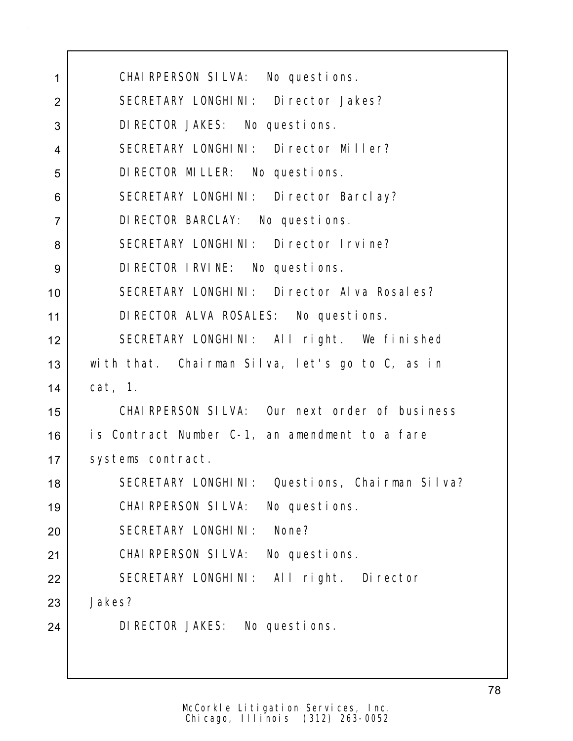| 1              | CHAIRPERSON SILVA: No questions.                |  |  |  |  |  |  |
|----------------|-------------------------------------------------|--|--|--|--|--|--|
| $\overline{2}$ | SECRETARY LONGHINI: Director Jakes?             |  |  |  |  |  |  |
| 3              | DI RECTOR JAKES: No questions.                  |  |  |  |  |  |  |
| 4              | SECRETARY LONGHINI: Director Miller?            |  |  |  |  |  |  |
| 5              | DI RECTOR MILLER: No questions.                 |  |  |  |  |  |  |
| 6              | SECRETARY LONGHINI: Director Barclay?           |  |  |  |  |  |  |
| $\overline{7}$ | DI RECTOR BARCLAY: No questions.                |  |  |  |  |  |  |
| 8              | SECRETARY LONGHINI: Director Irvine?            |  |  |  |  |  |  |
| 9              | DI RECTOR I RVINE: No questions.                |  |  |  |  |  |  |
| 10             | SECRETARY LONGHINI: Director Alva Rosales?      |  |  |  |  |  |  |
| 11             | DI RECTOR ALVA ROSALES: No questions.           |  |  |  |  |  |  |
| 12             | SECRETARY LONGHINI: All right. We finished      |  |  |  |  |  |  |
| 13             | with that. Chairman Silva, let's go to C, as in |  |  |  |  |  |  |
| 14             | cat, 1.                                         |  |  |  |  |  |  |
| 15             | CHAIRPERSON SILVA: Our next order of business   |  |  |  |  |  |  |
| 16             | is Contract Number C-1, an amendment to a fare  |  |  |  |  |  |  |
| 17             | systems contract.                               |  |  |  |  |  |  |
| 18             | SECRETARY LONGHINI: Questions, Chairman Silva?  |  |  |  |  |  |  |
| 19             | CHAIRPERSON SILVA: No questions.                |  |  |  |  |  |  |
| 20             | SECRETARY LONGHINI: None?                       |  |  |  |  |  |  |
| 21             | CHAIRPERSON SILVA: No questions.                |  |  |  |  |  |  |
| 22             | SECRETARY LONGHINI: All right. Director         |  |  |  |  |  |  |
| 23             | Jakes?                                          |  |  |  |  |  |  |
| 24             | DI RECTOR JAKES: No questions.                  |  |  |  |  |  |  |
|                |                                                 |  |  |  |  |  |  |
|                |                                                 |  |  |  |  |  |  |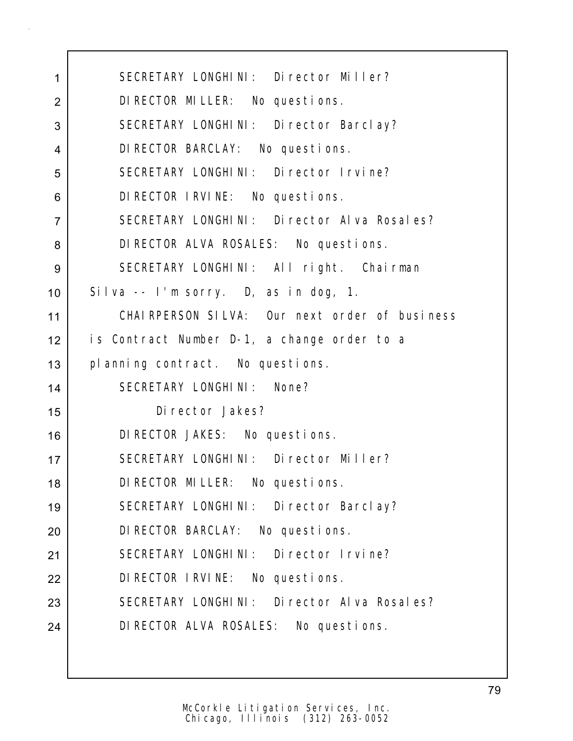| 1              | SECRETARY LONGHINI: Director Miller?          |  |  |  |  |  |  |
|----------------|-----------------------------------------------|--|--|--|--|--|--|
| $\overline{2}$ | DI RECTOR MILLER: No questions.               |  |  |  |  |  |  |
| 3              | SECRETARY LONGHINI: Director Barclay?         |  |  |  |  |  |  |
| $\overline{4}$ | DI RECTOR BARCLAY: No questions.              |  |  |  |  |  |  |
| 5              | SECRETARY LONGHINI: Director Irvine?          |  |  |  |  |  |  |
| 6              | DI RECTOR I RVINE: No questions.              |  |  |  |  |  |  |
| $\overline{7}$ | SECRETARY LONGHINI: Director Alva Rosales?    |  |  |  |  |  |  |
| 8              | DI RECTOR ALVA ROSALES: No questions.         |  |  |  |  |  |  |
| 9              | SECRETARY LONGHINI: All right. Chairman       |  |  |  |  |  |  |
| 10             | Silva -- I'm sorry. D, as in dog, 1.          |  |  |  |  |  |  |
| 11             | CHAIRPERSON SILVA: Our next order of business |  |  |  |  |  |  |
| 12             | is Contract Number D-1, a change order to a   |  |  |  |  |  |  |
| 13             | planning contract. No questions.              |  |  |  |  |  |  |
| 14             | SECRETARY LONGHINI: None?                     |  |  |  |  |  |  |
| 15             | Di rector Jakes?                              |  |  |  |  |  |  |
| 16             | DI RECTOR JAKES: No questions.                |  |  |  |  |  |  |
| 17             | SECRETARY LONGHINI: Director Miller?          |  |  |  |  |  |  |
| 18             | DI RECTOR MILLER: No questions.               |  |  |  |  |  |  |
| 19             | SECRETARY LONGHINI: Director Barclay?         |  |  |  |  |  |  |
| 20             | DI RECTOR BARCLAY: No questions.              |  |  |  |  |  |  |
| 21             | SECRETARY LONGHINI: Director Irvine?          |  |  |  |  |  |  |
| 22             | DI RECTOR I RVINE: No questions.              |  |  |  |  |  |  |
| 23             | SECRETARY LONGHINI: Director Alva Rosales?    |  |  |  |  |  |  |
| 24             | DI RECTOR ALVA ROSALES: No questions.         |  |  |  |  |  |  |
|                |                                               |  |  |  |  |  |  |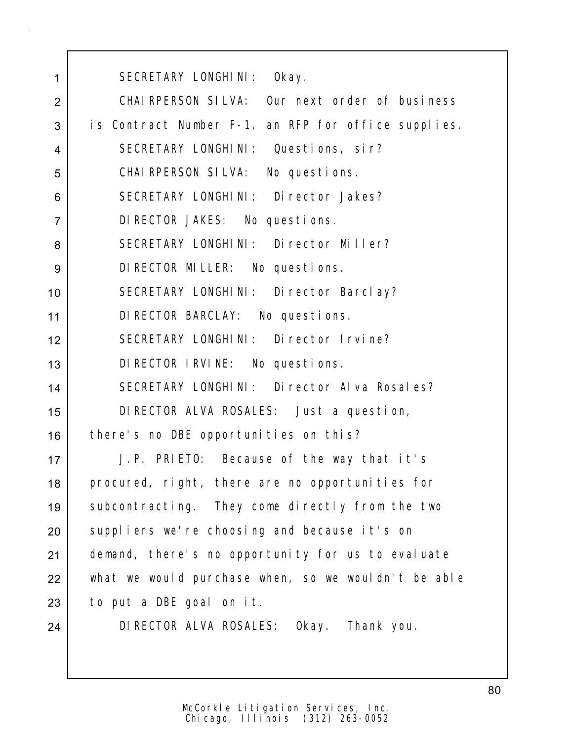SECRETARY LONGHINI: Okay. CHAIRPERSON SILVA: Our next order of business 3 is Contract Number F-1, an RFP for office supplies. SECRETARY LONGHINI: Questions, sir? CHAIRPERSON SILVA: No questions. SECRETARY LONGHINI: Director Jakes? DIRECTOR JAKES: No questions. 8 SECRETARY LONGHINI: Director Miller? DIRECTOR MILLER: No questions. SECRETARY LONGHINI: Director Barclay? DIRECTOR BARCLAY: No questions. SECRETARY LONGHINI: Director Irvine? DIRECTOR IRVINE: No questions. SECRETARY LONGHINI: Director Alva Rosales? DIRECTOR ALVA ROSALES: Just a question, 16 there's no DBE opportunities on this? J.P. PRIETO: Because of the way that it's 18 procured, right, there are no opportunities for 19 Subcontracting. They come directly from the two 20 suppliers we're choosing and because it's on 21 demand, there's no opportunity for us to evaluate what we would purchase when, so we wouldn't be able to put a DBE goal on it. DIRECTOR ALVA ROSALES: Okay. Thank you.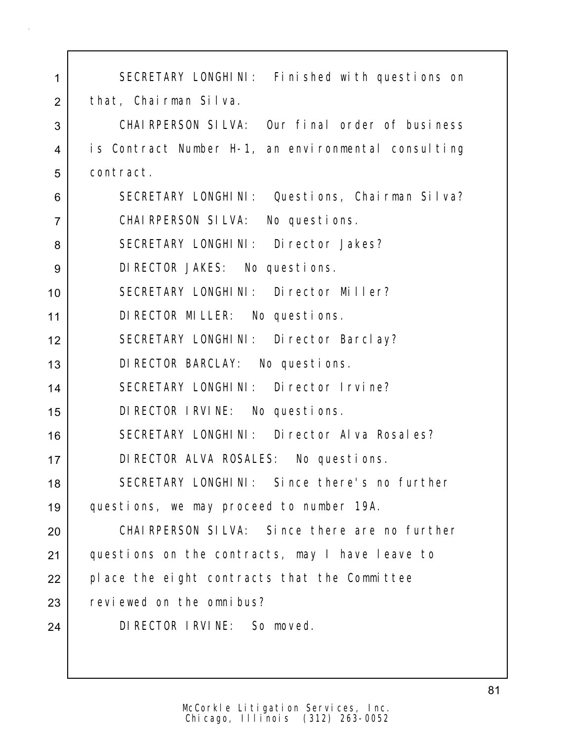| 1              | SECRETARY LONGHINI: Finished with questions on      |  |  |  |  |  |  |  |
|----------------|-----------------------------------------------------|--|--|--|--|--|--|--|
| $\overline{2}$ | that, Chairman Silva.                               |  |  |  |  |  |  |  |
| 3              | CHAI RPERSON SILVA: Our final order of business     |  |  |  |  |  |  |  |
| 4              | is Contract Number H-1, an environmental consulting |  |  |  |  |  |  |  |
| 5              | contract.                                           |  |  |  |  |  |  |  |
| 6              | SECRETARY LONGHINI: Questions, Chairman Silva?      |  |  |  |  |  |  |  |
| $\overline{7}$ | CHAIRPERSON SILVA: No questions.                    |  |  |  |  |  |  |  |
| 8              | SECRETARY LONGHINI: Director Jakes?                 |  |  |  |  |  |  |  |
| 9              | DI RECTOR JAKES: No questions.                      |  |  |  |  |  |  |  |
| 10             | SECRETARY LONGHINI: Director Miller?                |  |  |  |  |  |  |  |
| 11             | DI RECTOR MILLER: No questions.                     |  |  |  |  |  |  |  |
| 12             | SECRETARY LONGHINI: Director Barclay?               |  |  |  |  |  |  |  |
| 13             | DI RECTOR BARCLAY: No questions.                    |  |  |  |  |  |  |  |
| 14             | SECRETARY LONGHINI: Director Irvine?                |  |  |  |  |  |  |  |
| 15             | DI RECTOR I RVINE: No questions.                    |  |  |  |  |  |  |  |
| 16             | SECRETARY LONGHINI: Director Alva Rosales?          |  |  |  |  |  |  |  |
| 17             | DI RECTOR ALVA ROSALES: No questions.               |  |  |  |  |  |  |  |
| 18             | SECRETARY LONGHINI: Since there's no further        |  |  |  |  |  |  |  |
| 19             | questions, we may proceed to number 19A.            |  |  |  |  |  |  |  |
| 20             | CHAI RPERSON SILVA: Since there are no further      |  |  |  |  |  |  |  |
| 21             | questions on the contracts, may I have leave to     |  |  |  |  |  |  |  |
| 22             | place the eight contracts that the Committee        |  |  |  |  |  |  |  |
| 23             | reviewed on the omnibus?                            |  |  |  |  |  |  |  |
| 24             | DIRECTOR IRVINE: So moved.                          |  |  |  |  |  |  |  |
|                |                                                     |  |  |  |  |  |  |  |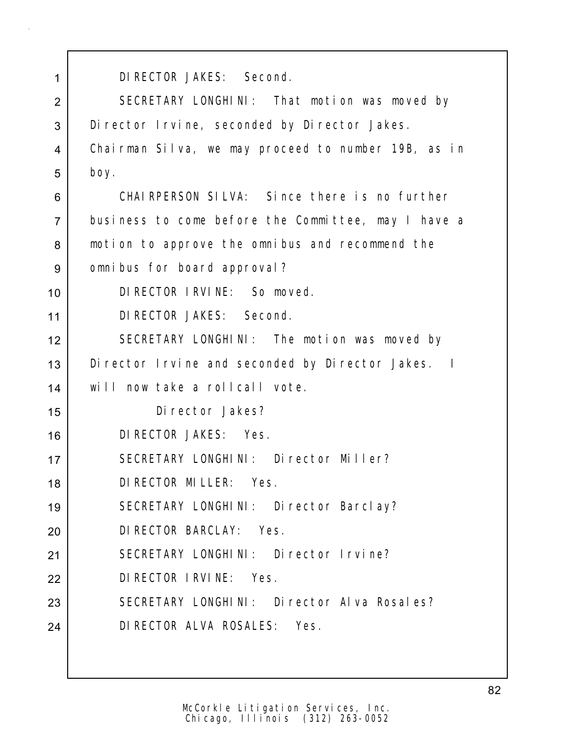| 1              | DI RECTOR JAKES: Second.                             |  |  |  |  |  |  |
|----------------|------------------------------------------------------|--|--|--|--|--|--|
| $\overline{2}$ | SECRETARY LONGHINI: That motion was moved by         |  |  |  |  |  |  |
| 3              | Di rector I rvine, seconded by Di rector Jakes.      |  |  |  |  |  |  |
| 4              | Chairman Silva, we may proceed to number 19B, as in  |  |  |  |  |  |  |
| 5              | boy.                                                 |  |  |  |  |  |  |
| 6              | CHAIRPERSON SILVA: Since there is no further         |  |  |  |  |  |  |
| $\overline{7}$ | business to come before the Committee, may I have a  |  |  |  |  |  |  |
| 8              | motion to approve the omnibus and recommend the      |  |  |  |  |  |  |
| 9              | omnibus for board approval?                          |  |  |  |  |  |  |
| 10             | DI RECTOR I RVI NE: So moved.                        |  |  |  |  |  |  |
| 11             | DI RECTOR JAKES: Second.                             |  |  |  |  |  |  |
| 12             | SECRETARY LONGHINI: The motion was moved by          |  |  |  |  |  |  |
| 13             | Di rector I rvine and seconded by Di rector Jakes. I |  |  |  |  |  |  |
| 14             | will now take a rollcall vote.                       |  |  |  |  |  |  |
| 15             | Di rector Jakes?                                     |  |  |  |  |  |  |
| 16             | DI RECTOR JAKES: Yes.                                |  |  |  |  |  |  |
| 17             | SECRETARY LONGHINI: Director Miller?                 |  |  |  |  |  |  |
| 18             | DI RECTOR MI LLER: Yes.                              |  |  |  |  |  |  |
| 19             | SECRETARY LONGHINI: Director Barclay?                |  |  |  |  |  |  |
| 20             | DI RECTOR BARCLAY: Yes.                              |  |  |  |  |  |  |
| 21             | SECRETARY LONGHINI: Director Irvine?                 |  |  |  |  |  |  |
| 22             | DI RECTOR I RVI NE: Yes.                             |  |  |  |  |  |  |
| 23             | SECRETARY LONGHINI: Director Alva Rosales?           |  |  |  |  |  |  |
| 24             | DI RECTOR ALVA ROSALES: Yes.                         |  |  |  |  |  |  |
|                |                                                      |  |  |  |  |  |  |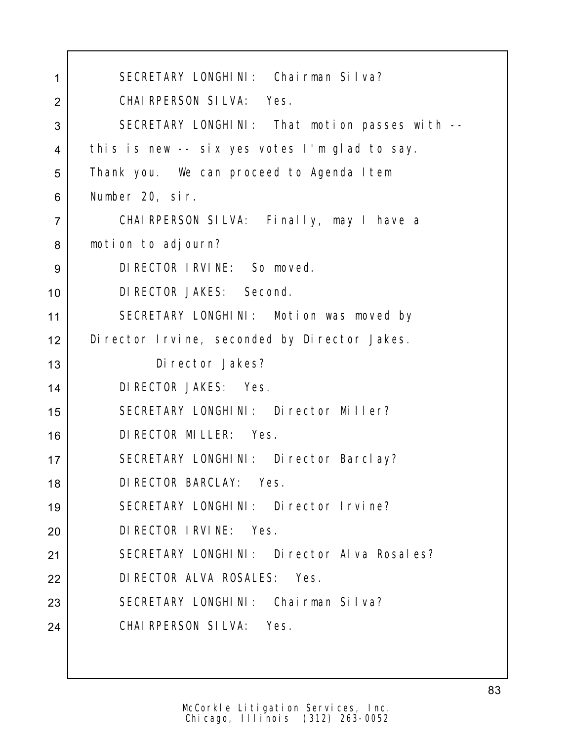| 1              | SECRETARY LONGHINI: Chairman Silva?              |  |  |  |  |  |  |
|----------------|--------------------------------------------------|--|--|--|--|--|--|
| $\overline{2}$ | CHAIRPERSON SILVA: Yes.                          |  |  |  |  |  |  |
| 3              | SECRETARY LONGHINI: That motion passes with --   |  |  |  |  |  |  |
| 4              | this is new -- six yes votes I'm glad to say.    |  |  |  |  |  |  |
| 5              | Thank you. We can proceed to Agenda I tem        |  |  |  |  |  |  |
| 6              | Number 20, sir.                                  |  |  |  |  |  |  |
| $\overline{7}$ | CHAIRPERSON SILVA: Finally, may I have a         |  |  |  |  |  |  |
| 8              | motion to adjourn?                               |  |  |  |  |  |  |
| 9              | DI RECTOR I RVI NE: So moved.                    |  |  |  |  |  |  |
| 10             | DI RECTOR JAKES: Second.                         |  |  |  |  |  |  |
| 11             | SECRETARY LONGHINI: Motion was moved by          |  |  |  |  |  |  |
| 12             | Di rector I rvi ne, seconded by Di rector Jakes. |  |  |  |  |  |  |
| 13             | Di rector Jakes?                                 |  |  |  |  |  |  |
| 14             | DI RECTOR JAKES: Yes.                            |  |  |  |  |  |  |
| 15             | SECRETARY LONGHINI: Director Miller?             |  |  |  |  |  |  |
| 16             | DI RECTOR MILLER: Yes.                           |  |  |  |  |  |  |
| 17             | SECRETARY LONGHINI: Director Barclay?            |  |  |  |  |  |  |
| 18             | DI RECTOR BARCLAY: Yes.                          |  |  |  |  |  |  |
| 19             | SECRETARY LONGHINI: Director Irvine?             |  |  |  |  |  |  |
| 20             | DI RECTOR I RVI NE: Yes.                         |  |  |  |  |  |  |
| 21             | SECRETARY LONGHINI: Director Alva Rosales?       |  |  |  |  |  |  |
| 22             | DI RECTOR ALVA ROSALES: Yes.                     |  |  |  |  |  |  |
| 23             | SECRETARY LONGHINI: Chairman Silva?              |  |  |  |  |  |  |
| 24             | CHAIRPERSON SILVA: Yes.                          |  |  |  |  |  |  |
|                |                                                  |  |  |  |  |  |  |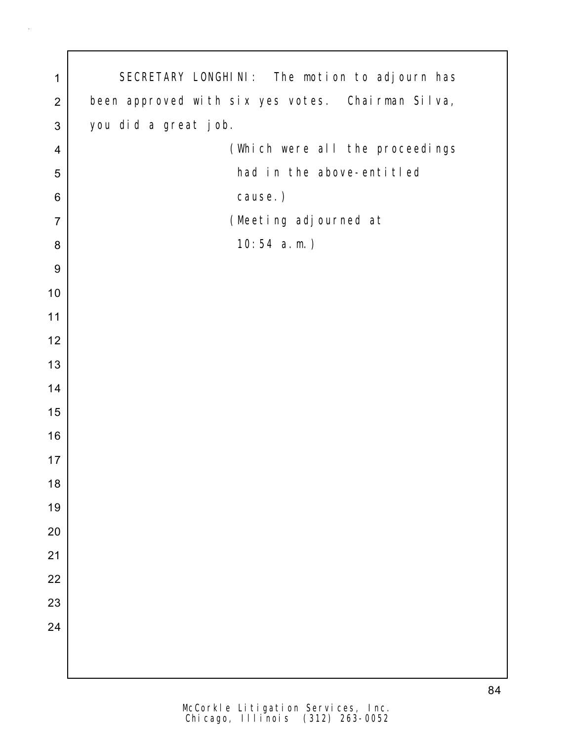| $\mathbf 1$      | SECRETARY LONGHINI: The motion to adjourn has     |  |  |  |  |  |  |  |
|------------------|---------------------------------------------------|--|--|--|--|--|--|--|
| $\overline{2}$   | been approved with six yes votes. Chairman Silva, |  |  |  |  |  |  |  |
| $\sqrt{3}$       | you did a great job.                              |  |  |  |  |  |  |  |
| $\overline{4}$   | (Which were all the proceedings                   |  |  |  |  |  |  |  |
| 5                | had in the above-entitled                         |  |  |  |  |  |  |  |
| 6                | cause.)                                           |  |  |  |  |  |  |  |
| $\overline{7}$   | (Meeting adjourned at                             |  |  |  |  |  |  |  |
| 8                | $10:54$ a.m.)                                     |  |  |  |  |  |  |  |
| $\boldsymbol{9}$ |                                                   |  |  |  |  |  |  |  |
| $10$             |                                                   |  |  |  |  |  |  |  |
| 11               |                                                   |  |  |  |  |  |  |  |
| 12               |                                                   |  |  |  |  |  |  |  |
| 13               |                                                   |  |  |  |  |  |  |  |
| 14               |                                                   |  |  |  |  |  |  |  |
| 15               |                                                   |  |  |  |  |  |  |  |
| 16               |                                                   |  |  |  |  |  |  |  |
| 17               |                                                   |  |  |  |  |  |  |  |
| 18               |                                                   |  |  |  |  |  |  |  |
| 19               |                                                   |  |  |  |  |  |  |  |
| 20               |                                                   |  |  |  |  |  |  |  |
| 21               |                                                   |  |  |  |  |  |  |  |
| 22               |                                                   |  |  |  |  |  |  |  |
| 23               |                                                   |  |  |  |  |  |  |  |
| 24               |                                                   |  |  |  |  |  |  |  |
|                  |                                                   |  |  |  |  |  |  |  |
|                  |                                                   |  |  |  |  |  |  |  |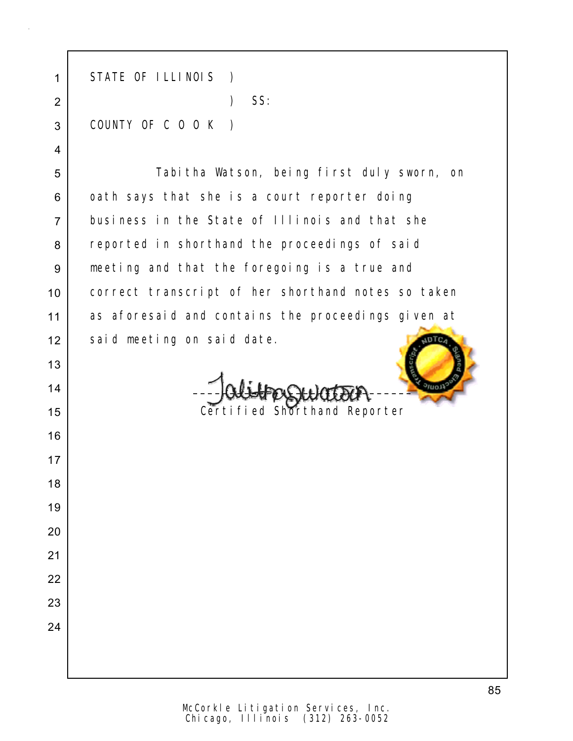| 1              | STATE OF ILLINOIS<br>$\rightarrow$                 |  |  |  |  |  |  |  |
|----------------|----------------------------------------------------|--|--|--|--|--|--|--|
| $\overline{2}$ | SS:<br>$\mathcal{E}$                               |  |  |  |  |  |  |  |
| 3              | COUNTY OF C O O K                                  |  |  |  |  |  |  |  |
| 4              |                                                    |  |  |  |  |  |  |  |
| 5              | Tabitha Watson, being first duly sworn, on         |  |  |  |  |  |  |  |
| 6              | oath says that she is a court reporter doing       |  |  |  |  |  |  |  |
| $\overline{7}$ | business in the State of Illinois and that she     |  |  |  |  |  |  |  |
| 8              | reported in shorthand the proceedings of said      |  |  |  |  |  |  |  |
| 9              | meeting and that the foregoing is a true and       |  |  |  |  |  |  |  |
| 10             | correct transcript of her shorthand notes so taken |  |  |  |  |  |  |  |
| 11             | as aforesaid and contains the proceedings given at |  |  |  |  |  |  |  |
| 12             | said meeting on said date.                         |  |  |  |  |  |  |  |
| 13             |                                                    |  |  |  |  |  |  |  |
| 14             |                                                    |  |  |  |  |  |  |  |
| 15             | Certified Shorthand Reporter                       |  |  |  |  |  |  |  |
| 16             |                                                    |  |  |  |  |  |  |  |
| 17             |                                                    |  |  |  |  |  |  |  |
| 18             |                                                    |  |  |  |  |  |  |  |
| 19             |                                                    |  |  |  |  |  |  |  |
| 20             |                                                    |  |  |  |  |  |  |  |
| 21             |                                                    |  |  |  |  |  |  |  |
| 22             |                                                    |  |  |  |  |  |  |  |
| 23             |                                                    |  |  |  |  |  |  |  |
| 24             |                                                    |  |  |  |  |  |  |  |
|                |                                                    |  |  |  |  |  |  |  |
|                |                                                    |  |  |  |  |  |  |  |

Chicago, Illinois (312) 263-0052 McCorkle Litigation Services, Inc.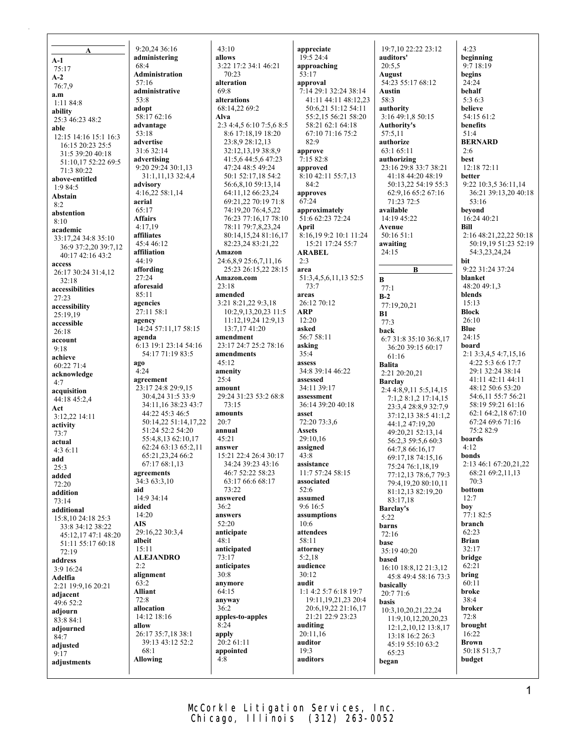**A A-1** 75:17 **A-2** 76:7,9 **a.m** 1:11 84:8 **ability** 25:3 46:23 48:2 **able** 12:15 14:16 15:1 16:3 16:15 20:23 25:5 31:5 39:20 40:18 51:10,17 52:22 69:5 71:3 80:22 **above-entitled** 1:9 84:5 **Abstain**  $8.2$ **abstention**  $8.10$ **academic** 33:17,24 34:8 35:10 36:9 37:2,20 39:7,12 40:17 42:16 43:2 **access** 26:17 30:24 31:4,12 32:18 **accessibilities** 27:23 **accessibility** 25:19,19 **accessible** 26:18 **account** 9:18 **achieve** 60:22 71:4 **acknowledge** 4:7 **acquisition** 44:18 45:2,4 **Act** 3:12,22 14:11 **activity** 73:7 **actual** 4:3 6:11 **add** 25:3 **added** 72:20 **addition** 73:14 **additional** 15:8,10 24:18 25:3 33:8 34:12 38:22 45:12,17 47:1 48:20 51:11 55:17 60:18  $72.19$ **address** 3:9 16:24 **Adelfia** 2:21 19:9,16 20:21 **adjacent** 49:6 52:2 **adjourn** 83:8 84:1 **adjourned**  $84.7$ **adjusted** 9:17 **adjustments**

9:20,24 36:16 **administering** 68:4 **Administration** 57:16 **administrative** 53:8 **adopt** 58:17 62:16 **advantage** 53:18 **advertise** 31:6 32:14 **advertising** 9:20 29:24 30:1,13 31:1,11,13 32:4,4 **advisory** 4:16,22 58:1,14 **aerial** 65:17 **Affairs** 4:17,19 **affiliates** 45:4 46:12 **affiliation**  $44.19$ **affording**  $27.24$ **aforesaid** 85:11 **agencies** 27:11 58:1 **agency** 14:24 57:11,17 58:15 **agenda** 6:13 19:1 23:14 54:16 54:17 71:19 83:5 **ago**  $4.24$ **agreement** 23:17 24:8 29:9,15 30:4,24 31:5 33:9 34:11,16 38:23 43:7 44:22 45:3 46:5 50:14,22 51:14,17,22 51:24 52:2 54:20 55:4,8,13 62:10,17 62:24 63:13 65:2,11 65:21,23,24 66:2 67:17 68:1,13 **agreements** 34:3 63:3,10 **aid** 14:9 34:14 **aided** 14:20 **AIS** 29:16,22 30:3,4 **albeit** 15:11 **ALEJANDRO**  $2:2$ **alignment** 63:2 **Alliant** 72:8 **allocation** 14:12 18:16 **allow** 26:17 35:7,18 38:1 39:13 43:12 52:2 68:1 **Allowing**

 $43 \cdot 10$ **allows** 3:22 17:2 34:1 46:21 70:23 **alteration** 69:8 **alterations** 68:14,22 69:2 **Alva** 2:3 4:4,5 6:10 7:5,6 8:5 8:6 17:18,19 18:20 23:8,9 28:12,13 32:12,13,19 38:8,9 41:5,6 44:5,6 47:23 47:24 48:5 49:24 50:1 52:17,18 54:2 56:6,8,10 59:13,14 64:11,12 66:23,24 69:21,22 70:19 71:8 74:19,20 76:4,5,22 76:23 77:16,17 78:10 78:11 79:7,8,23,24 80:14,15,24 81:16,17 82:23,24 83:21,22 **Amazon** 24:6,8,9 25:6,7,11,16 25:23 26:15,22 28:15 **Amazon.com** 23:18 **amended** 3:21 8:21,22 9:3,18 10:2,9,13,20,23 11:5 11:12,19,24 12:9,13 13:7,17 41:20 **amendment** 23:17 24:7 25:2 78:16 **amendments** 45:12 **amenity**  $25.4$ **amount** 29:24 31:23 53:2 68:8 73:15 **amounts** 20:7 **annual** 45:21 **answer** 15:21 22:4 26:4 30:17 34:24 39:23 43:16 46:7 52:22 58:23 63:17 66:6 68:17  $73.22$ **answered** 36:2 **answers** 52:20 **anticipate** 48:1 **anticipated** 73:17 **anticipates**  $30.8$ **anymore**  $64.15$ **anyway** 36:2 **apples-to-apples**  $8:24$ **apply** 20:2 61:11 **appointed** 4:8

**appreciate** 19:5 24:4 **approaching** 53:17 **approval** 7:14 29:1 32:24 38:14 41:11 44:11 48:12,23 50:6,21 51:12 54:11 55:2,15 56:21 58:20 58:21 62:1 64:18 67:10 71:16 75:2 82:9 **approve**  $7.15828$ **approved** 8:10 42:11 55:7,13 84:2 **approves** 67:24 **approximately** 51:6 62:23 72:24 **April** 8:16,19 9:2 10:1 11:24 15:21 17:24 55:7 **ARABEL**  $2.3$ **area** 51:3,4,5,6,11,13 52:5 73:7 **areas** 26:12 70:12 **ARP** 12:20 **asked** 56:7 58:11 **asking** 35:4 **assess** 34:8 39:14 46:22 **assessed** 34:11 39:17 **assessment** 36:14 39:20 40:18 **asset** 72:20 73:3,6 **Assets** 29:10,16 **assigned** 43:8 **assistance** 11:7 57:24 58:15 **associated** 52:6 **assumed** 9:6 16:5 **assumptions** 10:6 **attendees** 58:11 **attorney** 5:2,18 **audience**  $30.12$ **audit** 1:1 4:2 5:7 6:18 19:7 19:11,19,21,23 20:4 20:6,19,22 21:16,17 21:21 22:9 23:23 **auditing** 20:11,16 **auditor** 19:3 **auditors**

19:7,10 22:22 23:12 **auditors'**  $20.5,5$ **August** 54:23 55:17 68:12 **Austin** 58:3 **authority** 3:16 49:1,8 50:15 **Authority's** 57:5,11 **authorize** 63:1 65:11 **authorizing** 23:16 29:8 33:7 38:21 41:18 44:20 48:19 50:13,22 54:19 55:3 62:9,16 65:2 67:16 71:23 72:5 **available** 14:19 45:22 **Avenue** 50:16 51:1 **awaiting** 24:15 **B B** 77:1 **B-2** 77:19,20,21 **B1** 77:3 **back** 6:7 31:8 35:10 36:8,17 36:20 39:15 60:17 61:16 **Balita** 2:21 20:20,21 **Barclay** 2:4 4:8,9,11 5:5,14,15 7:1,2 8:1,2 17:14,15 23:3,4 28:8,9 32:7,9 37:12,13 38:5 41:1,2 44:1,2 47:19,20 49:20,21 52:13,14 56:2,3 59:5,6 60:3 64:7,8 66:16,17 69:17,18 74:15,16 75:24 76:1,18,19 77:12,13 78:6,7 79:3 79:4,19,20 80:10,11 81:12,13 82:19,20  $83.17,18$ **Barclay's** 5:22 **barns** 72:16 **base** 35:19 40:20 **based** 16:10 18:8,12 21:3,12 45:8 49:4 58:16 73:3 **basically**  $20.7716$ **basis** 10:3,10,20,21,22,24 11:9,10,12,20,20,23 12:1,2,10,12 13:8,17 13:18 16:2 26:3 45:19 55:10 63:2 65:23 **began**

 $4.23$ **beginning** 9:7 18:19 **begins** 24:24 **behalf** 5:3 6:3 **believe** 54:15 61:2 **benefits** 51:4 **BERNARD** 2:6 **best** 12:18 72:11 **better** 9:22 10:3,5 36:11,14 36:21 39:13,20 40:18 53:16 **beyond** 16:24 40:21 **Bill** 2:16 48:21,22,22 50:18 50:19,19 51:23 52:19 54:3,23,24,24 **bit** 9:22 31:24 37:24 **blanket** 48:20 49:1,3 **blends** 15:13 **Block** 26:10 **Blue** 24:15 **board** 2:1 3:3,4,5 4:7,15,16 4:22 5:3 6:6 17:7 29:1 32:24 38:14 41:11 42:11 44:11 48:12 50:6 53:20 54:6,11 55:7 56:21 58:19 59:21 61:16 62:1 64:2,18 67:10 67:24 69:6 71:16 75:2 82:9 **boards** 4:12 **bonds** 2:13 46:1 67:20,21,22 68:21 69:2,11,13  $70.3$ **bottom** 12:7 **boy** 77:1 82:5 **branch** 62:23 **Brian** 32:17 **bridge** 62:21 **bring** 60:11 **broke** 38:4 **broker** 72:8 **brought** 16:22 **Brown**

50:18 51:3,7 **budget**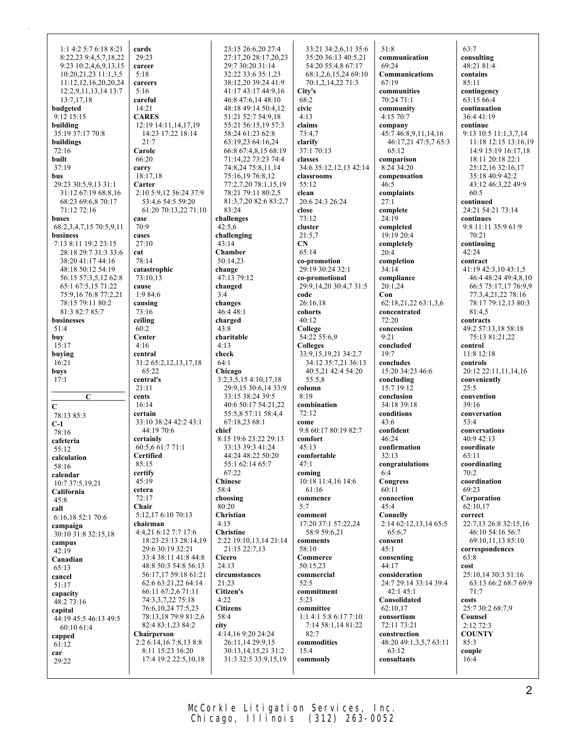1:1 4:2 5:7 6:18 8:21 8:22,23 9:4,5,7,18,22 9:23 10:2,4,6,9,13,15 10:20,21,23 11:1,3,5 11:12,12,16,20,20,24 12:2,9,11,13,14 13:7 13:7,17,18 **budgeted** 9:12 15:15 **building** 35:19 37:17 70:8 **buildings** 72:16 **built** 37:19 **bus** 29:23 30:5,9,13 31:1 31:12 67:19 68:8,16 68:23 69:6,8 70:17 71:12 72:16 **buses** 68:2,3,4,7,15 70:5,9,11 **business** 7:13 8:11 19:2 23:15 28:18 29:7 31:3 33:6 38:20 41:17 44:16 48:18 50:12 54:19 56:15 57:3,5,12 62:8 65:1 67:5,15 71:22 75:9,16 76:8 77:2,21 78:15 79:11 80:2 81:3 82:7 85:7 **businesses** 51:4 **buy** 15:17 **buying** 16:21 **buys**  $17.1$ **C C** 78:13 85:3 **C-1** 78:16 **cafeteria** 55:12 **calculation** 58:16 **calendar**  $10.737.519.21$ **California**  $45.8$ **call** 6:16,18 52:1 70:6 **campaign** 30:10 31:8 32:15,18 **campus** 42:19 **Canadian** 65:13 **cancel** 51:17 **capacity**  $48.273.16$ **capital** 44:19 45:5 46:13 49:5 60:10 61:4 **capped** 61:12 **car** 29:22

**cards**  $29.23$ **career** 5:18 **careers** 5:16 **careful** 14:21 **CARES** 12:19 14:11,14,17,19 14:23 17:22 18:14 21:7 **Carole** 66:20 **carry** 18:17,18 **Carter** 2:10 5:9,12 36:24 37:9 53:4,6 54:5 59:20 61:20 70:13,22 71:10 **case** 70:9 **cases** 27:10 **cat** 78:14 **catastrophic** 73:10,13 **cause** 1:9 84:6 **causing** 73:16 **ceiling** 60:2 **Center** 4:16 **central** 31:2 65:2,12,13,17,18 65:22 **central's** 21:11 **cents** 16:14 **certain** 33:10 38:24 42:2 43:1 44:19 70:6 **certainly** 60:5,6 61:7 71:1 **Certified** 85:15 **certify** 45:19 **cetera** 72:17 **Chair** 5:12,17 6:10 70:13 **chairman** 4:4,21 6:12 7:7 17:6 18:23 23:13 28:14,19 29:6 30:19 32:21 33:4 38:11 41:8 44:8 48:8 50:3 54:8 56:13 56:17,17 59:18 61:21 62:6 63:21,22 64:14 66:11 67:2,6 71:11 74:3,3,7,22 75:18 76:6,10,24 77:5,23 78:13,18 79:9 81:2,6 82:4 83:1,23 84:2 **Chairperson** 2:2 6:14,16 7:8,13 8:8 8:11 15:23 16:20 17:4 19:2 22:5,10,18

23:15 26:6,20 27:4 27:17,20 28:17,20,23 29:7 30:20 31:14 32:22 33:6 35:1,23 38:12,20 39:24 41:9 41:17 43:17 44:9,16 46:8 47:6,14 48:10 48:18 49:14 50:4,12 51:21 52:7 54:9,18 55:21 56:15,19 57:3 58:24 61:23 62:8 63:19,23 64:16,24 66:8 67:4,8,15 68:19 71:14,22 73:23 74:4 74:8,24 75:8,11,14 75:16,19 76:8,12 77:2,7,20 78:1,15,19 78:21 79:11 80:2,5 81:3,7,20 82:6 83:2,7 83:24 **challenges** 42:5,6 **challenging** 43:14 **Chamber** 50:14,23 **change** 47:13 79:12 **changed** 3:4 **changes** 46:4 48:1 **charged**  $43:8$ **charitable** 4:13 **check** 64:1 **Chicago** 3:2,3,5,15 4:10,17,18 29:9,15 30:6,14 33:9 33:15 38:24 39:5 40:6 50:17 54:21,22 55:5,8 57:11 58:4,4 67:18,23 68:1 **chief** 8:15 19:6 23:22 29:13 33:13 39:3 41:24 44:24 48:22 50:20 55:1 62:14 65:7 67:22 **Chinese** 58:4 **choosing** 80:20 **Christian** 4:15 **Christine** 2:22 19:10,13,14 21:14 21:15 22:7,13 **Cicero** 24:13 **circumstances** 21:23 **Citizen's** 4:22 **Citizens** 58:4 **city** 4:14,16 9:20 24:24 26:11,14 29:9,15 30:13,14,15,21 31:2 31:3 32:5 33:9,15,19

33:21 34:2,6,11 35:6 35:20 36:13 40:5,21 54:20 55:4,8 67:17 68:1,2,6,15,24 69:10 70:1,2,14,22 71:3 **City's** 68:2 **civic** 4:13 **claims** 73:4,7 **clarify** 37:1 70:13 **classes** 34:6 35:12,12,13 42:14 **classrooms** 55:12 **clean** 20:6 24:3 26:24 **close** 73:12 **cluster** 21:5,7 **CN** 65:14 **co-promotion** 29:19 30:24 32:1 **co-promotional** 29:9,14,20 30:4,7 31:5 **code** 26:16,18 **cohorts** 40:12 **College** 54:22 55:6,9 **Colleges** 33:9,15,19,21 34:2,7 34:12 35:7,21 36:13 40:5,21 42:4 54:20  $55.58$ **column**  $8.19$ **combination** 72:12 **come** 9:8 60:17 80:19 82:7 **comfort** 45:13 **comfortable** 47:1 **coming** 10:18 11:4,16 14:6 61:16 **commence** 5:7 **comment** 17:20 37:1 57:22,24 58:9 59:6,21 **comments** 58:10 **Commerce** 50:15,23 **commercial** 52:5 **commitment** 5:23 **committee** 1:1 4:1 5:8 6:17 7:10 7:14 58:1,14 81:22  $82.7$ **commodities** 15:4 **commonly**

51:8 **communication** 69:24 **Communications** 67:19 **communities** 70:24 71:1 **community** 4:15 70:7 **company** 45:7 46:8,9,11,14,16 46:17,21 47:5,7 65:3 65:12 **comparison**  $8.2434.20$ **compensation** 46:5 **complaints** 27:1 **complete** 24:19 **completed** 19:19 20:4 **completely** 20:4 **completion** 34:14 **compliance** 20:1,24 **Con** 62:18,21,22 63:1,3,6 **concentrated** 72:20 **concession** 9:21 **concluded** 19:7 **concludes** 15:20 34:23 46:6 **concluding** 15:7 19:12 **conclusion** 34:18 39:18 **conditions** 43:6 **confident** 46:24 **confirmation** 32:13 **congratulations**  $6.4$ **Congress** 60:11 **connection** 45:4 **Connelly** 2:14 62:12,13,14 65:5 65:6,7 **consent** 45:1 **consenting** 44:17 **consideration** 24:7 29:14 33:14 39:4 42:1 45:1 **Consolidated** 62:10,17 **consortium** 72:11 73:21 **construction** 48:20 49:1,3,5,7 63:11 63:12 **consultants**

 $63.7$ **consulting** 48:21 81:4 **contains** 85:11 **contingency** 63:15 66:4 **continuation** 36:4 41:19 **continue** 9:13 10:5 11:1,3,7,14 11:18 12:15 13:16,19 14:9 15:19 16:17,18 18:11 20:18 22:1 25:12,16 32:16,17 35:18 40:9 42:2 43:12 46:3,22 49:9 60:5 **continued** 24:21 54:21 73:14 **continues** 9:8 11:11 35:9 61:9 70:21 **continuing** 42:24 **contract** 41:19 42:3,10 43:1,5 46:4 48:24 49:4,8,10 66:5 75:17,17 76:9,9 77:3,4,21,22 78:16 78:17 79:12,13 80:3  $81:4.5$ **contracts** 49:2 57:13,18 58:18 75:13 81:21,22 **control** 11:8 12:18 **controls** 20:12 22:11,11,14,16 **conveniently** 25:5 **convention** 39:16 **conversation** 53:4 **conversations** 40:9 42:13 **coordinate** 63:11 **coordinating**  $70.2$ **coordination** 69:23 **Corporation** 62:10,17 **correct** 22:7,13 26:8 32:15,16 46:10 54:16 56:7 69:10,11,13 85:10 **correspondences** 63:8 **cost** 25:10,14 30:3 51:16 63:13 66:2 68:7 69:9 71:7 **costs** 25:7 30:2 68:7,9 **Counsel** 2:12 72:3 **COUNTY** 85:3 **couple** 16:4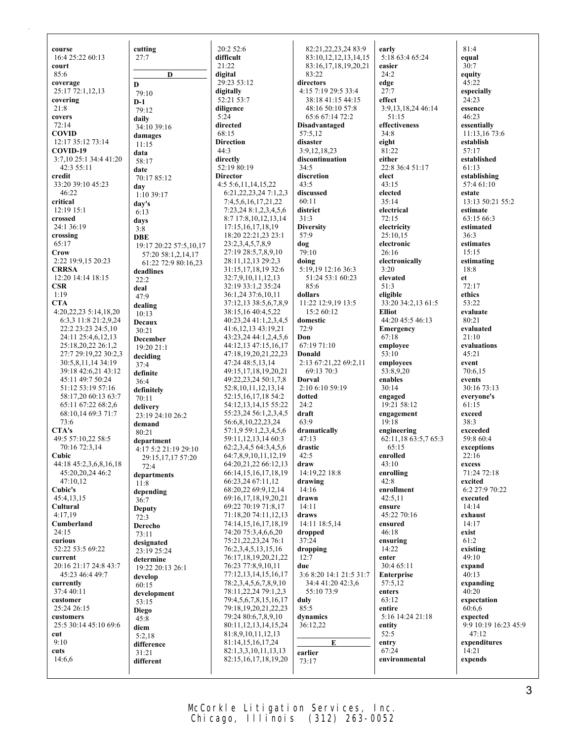**course** 16:4 25:22 60:13 **court** 85:6 **coverage** 25:17 72:1,12,13 **covering** 21:8 **covers** 72:14 **COVID** 12:17 35:12 73:14 **COVID-19** 3:7,10 25:1 34:4 41:20  $42.355.11$ **credit** 33:20 39:10 45:23 46:22 **critical** 12:19 15:1 **crossed** 24:1 36:19 **crossing** 65:17 **Crow** 2:22 19:9,15 20:23 **CRRSA** 12:20 14:14 18:15 **CSR** 1:19 **CTA** 4:20,22,23 5:14,18,20 6:3,3 11:8 21:2,9,24 22:2 23:23 24:5,10 24:11 25:4,6,12,13 25:18,20,22 26:1,2 27:7 29:19,22 30:2,3 30:5,8,11,14 34:19 39:18 42:6,21 43:12 45:11 49:7 50:24 51:12 53:19 57:16 58:17,20 60:13 63:7 65:11 67:22 68:2,6 68:10,14 69:3 71:7 73:6 **CTA's** 49:5 57:10,22 58:5 70:16 72:3,14 **Cubic** 44:18 45:2,3,6,8,16,18 45:20,20,24 46:2 47:10,12 **Cubic's** 45:4,13,15 **Cultural** 4:17,19 **Cumberland** 24:15 **curious** 52:22 53:5 69:22 **current** 20:16 21:17 24:8 43:7 45:23 46:4 49:7 **currently** 37:4 40:11 **customer** 25:24 26:15 **customers** 25:5 30:14 45:10 69:6 **cut** 9:10 **cuts** 14:6,6

**cutting** 27:7 **D D** 79:10 **D-1** 79:12 **daily** 34:10 39:16 **damages** 11:15 **data** 58:17 **date** 70:17 85:12 **day** 1:10 39:17 **day's** 6:13 **days** 3:8 **DBE** 19:17 20:22 57:5,10,17 57:20 58:1,2,14,17 61:22 72:9 80:16,23 **deadlines**  $22.2$ **deal** 47:9 **dealing** 10:13 **Decaux** 30:21 **December** 19:20 21:1 **deciding** 37:4 **definite** 36:4 **definitely** 70:11 **delivery** 23:19 24:10 26:2 **demand** 80:21 **department** 4:17 5:2 21:19 29:10 29:15,17,17 57:20 72:4 **departments**  $11.8$ **depending** 36:7 **Deputy** 72:3 **Derecho** 73:11 **designated** 23:19 25:24 **determine** 19:22 20:13 26:1 **develop** 60:15 **development** 53:15 **Diego** 45:8 **diem** 5:2,18 **difference** 31:21 **different**

 $20.2526$ **difficult**  $21.22$ **digital** 29:23 53:12 **digitally** 52:21 53:7 **diligence**  $5:24$ **directed** 68:15 **Direction** 44:3 **directly** 52:19 80:19 **Director** 4:5 5:6,11,14,15,22 6:21,22,23,24 7:1,2,3 7:4,5,6,16,17,21,22 7:23,24 8:1,2,3,4,5,6 8:7 17:8,10,12,13,14 17:15,16,17,18,19 18:20 22:21,23 23:1 23:2,3,4,5,7,8,9 27:19 28:5,7,8,9,10 28:11,12,13 29:2,3 31:15,17,18,19 32:6 32:7,9,10,11,12,13 32:19 33:1,2 35:24 36:1,24 37:6,10,11 37:12,13 38:5,6,7,8,9 38:15,16 40:4,5,22 40:23,24 41:1,2,3,4,5 41:6,12,13 43:19,21 43:23,24 44:1,2,4,5,6 44:12,13 47:15,16,17 47:18,19,20,21,22,23 47:24 48:5,13,14 49:15,17,18,19,20,21 49:22,23,24 50:1,7,8 52:8,10,11,12,13,14 52:15,16,17,18 54:2 54:12,13,14,15 55:22 55:23,24 56:1,2,3,4,5 56:6,8,10,22,23,24 57:1,9 59:1,2,3,4,5,6 59:11,12,13,14 60:3 62:2,3,4,5 64:3,4,5,6 64:7,8,9,10,11,12,19 64:20,21,22 66:12,13 66:14,15,16,17,18,19 66:23,24 67:11,12 68:20,22 69:9,12,14 69:16,17,18,19,20,21 69:22 70:19 71:8,17 71:18,20 74:11,12,13 74:14,15,16,17,18,19 74:20 75:3,4,6,6,20 75:21,22,23,24 76:1 76:2,3,4,5,13,15,16 76:17,18,19,20,21,22 76:23 77:8,9,10,11 77:12,13,14,15,16,17 78:2,3,4,5,6,7,8,9,10 78:11,22,24 79:1,2,3 79:4,5,6,7,8,15,16,17 79:18,19,20,21,22,23 79:24 80:6,7,8,9,10 80:11,12,13,14,15,24 81:8,9,10,11,12,13 81:14,15,16,17,24 82:1,3,3,10,11,13,13 82:15,16,17,18,19,20

82:21,22,23,24 83:9 83:10,12,12,13,14,15 83:16,17,18,19,20,21 83:22 **directors** 4:15 7:19 29:5 33:4 38:18 41:15 44:15 48:16 50:10 57:8 65:6 67:14 72:2 **Disadvantaged** 57:5,12 **disaster** 3:9,12,18,23 **discontinuation**  $34.5$ **discretion** 43:5 **discussed** 60:11 **district** 31:3 **Diversity** 57:9 **dog**  $79.10$ **doing** 5:19,19 12:16 36:3 51:24 53:1 60:23 85:6 **dollars** 11:22 12:9,19 13:5 15:2 60:12 **domestic** 72:9 **Don** 67:19 71:10 **Donald** 2:13 67:21,22 69:2,11 69:13 70:3 **Dorval** 2:10 6:10 59:19 **dotted** 24:2 **draft** 63:9 **dramatically**  $47:13$ **drastic**  $42:5$ **draw** 14:19,22 18:8 **drawing** 14:16 **drawn** 14:11 **draws** 14:11 18:5,14 **dropped** 37:24 **dropping** 12:7 **due** 3:6 8:20 14:1 21:5 31:7 34:4 41:20 42:3,6 55:10 73:9 **duly** 85:5 **dynamics** 36:12,22 **E earlier**

**early** 5:18 63:4 65:24 **easier** 24:2 **edge** 27:7 **effect** 3:9,13,18,24 46:14 51:15 **effectiveness** 34:8 **eight** 81:22 **either** 22:8 36:4 51:17 **elect** 43:15 **elected** 35:14 **electrical** 72:15 **electricity**  $25:10.15$ **electronic** 26:16 **electronically** 3:20 **elevated** 51:3 **eligible** 33:20 34:2,13 61:5 **Elliot** 44:20 45:5 46:13 **Emergency** 67:18 **employee** 53:10 **employees** 53:8,9,20 **enables** 30:14 **engaged** 19:21 58:12 **engagement** 19:18 **engineering** 62:11,18 63:5,7 65:3 65:15 **enrolled** 43:10 **enrolling** 42:8 **enrollment** 42:5,11 **ensure** 45:22 70:16 **ensured** 46:18 **ensuring** 14:22 **enter** 30:4 65:11 **Enterprise** 57:5,12 **enters** 63:12 **entire** 5:16 14:24 21:18 **entity** 52:5 **entry** 67:24 **environmental**

81:4 **equal**  $30.7$ **equity** 45:22 **especially** 24:23 **essence** 46:23 **essentially** 11:13,16 73:6 **establish** 57:17 **established** 61:13 **establishing** 57:4 61:10 **estate** 13:13 50:21 55:2 **estimate** 63:15 66:3 **estimated** 36:3 **estimates** 15:15 **estimating** 18:8 **et** 72:17 **ethics** 53:22 **evaluate** 80:21 **evaluated** 21:10 **evaluations** 45:21 **event** 70:6,15 **events** 30:16 73:13 **everyone's** 61:15 **exceed** 38:3 **exceeded** 59:8 60:4 **exceptions**  $22:16$ **excess** 71:24 72:18 **excited** 6:2 27:9 70:22 **executed** 14:14 **exhaust** 14:17 **exist** 61:2 **existing** 49:10 **expand**  $40.13$ **expanding**  $40:20$ **expectation** 60:6,6 **expected** 9:9 10:19 16:23 45:9  $47:12$ **expenditures** 14:21 **expends**

73:17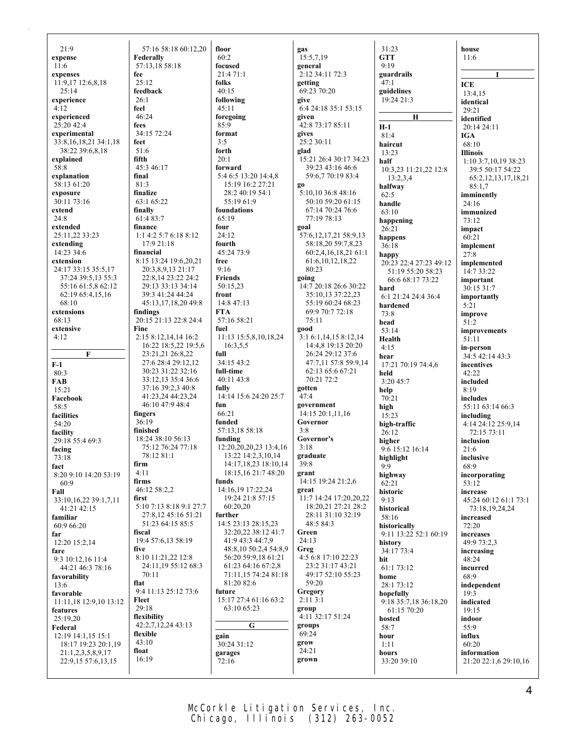$21.9$ **expense** 11:6 **expenses** 11:9,17 12:6,8,18 25:14 **experience** 4:12 **experienced** 25:20 42:4 **experimental** 33:8,16,18,21 34:1,18 38:22 39:6,8,18 **explained** 58:8 **explanation** 58:13 61:20 **exposure** 30:11 73:16 **extend**  $24:8$ **extended** 25:11,22 33:23 **extending** 14:23 34:6 **extension** 24:17 33:15 35:5,17 37:24 39:5,13 55:3 55:16 61:5,8 62:12 62:19 65:4,15,16 68:10 **extensions** 68:13 **extensive** 4:12 **F F-1** 80:3 **FAB**  $15.21$ **Facebook** 58:5 **facilities** 54:20 **facility** 29:18 55:4 69:3 **facing** 73:18 **fact** 8:20 9:10 14:20 53:19 60:9 **Fall** 33:10,16,22 39:1,7,11 41:21 42:15 **familiar** 60:9 66:20 **far** 12:20 15:2,14 **fare** 9:3 10:12,16 11:4 44:21 46:3 78:16 **favorability** 13:6 **favorable** 11:11,18 12:9,10 13:12 **features** 25:19,20 **Federal** 12:19 14:1,15 15:1 18:17 19:23 20:1,19 21:1,2,3,5,8,9,17 22:9,15 57:6,13,15

57:16 58:18 60:12,20 **Federally** 57:13,18 58:18 **fee**  $25.12$ **feedback** 26:1 **feel** 46:24 **fees** 34:15 72:24 **feet** 51:6 **fifth** 45:3 46:17 **final** 81:3 **finalize** 63:1 65:22 **finally** 61:4 83:7 **finance** 1:1 4:2 5:7 6:18 8:12 17:9 21:18 **financial** 8:15 13:24 19:6,20,21 20:3,8,9,13 21:17 22:8,14 23:22 24:2 29:13 33:13 34:14 39:3 41:24 44:24 45:13,17,18,20 49:8 **findings** 20:15 21:13 22:8 24:4 **Fine** 2:15 8:12,14,14 16:2 16:22 18:5,22 19:5,6 23:21,21 26:8,22 27:6 28:4 29:12,12 30:23 31:22 32:16 33:12,13 35:4 36:6 37:16 39:2,3 40:8 41:23,24 44:23,24 46:10 47:9 48:4 **fingers** 36:19 **finished** 18:24 38:10 56:13 75:12 76:24 77:18 78:12 81:1 **firm** 4:11 **firms** 46:12 58:2,2 **first** 5:10 7:13 8:18 9:1 27:7 27:8,12 45:16 51:21 51:23 64:15 85:5 **fiscal** 19:4 57:6,13 58:19 **five** 8:10 11:21,22 12:8 24:11,19 55:12 68:3  $70 \cdot 11$ **flat** 9:4 11:13 25:12 73:6 **Fleet** 29:18 **flexibility** 42:2,7,12,24 43:13 **flexible**  $43:10$ **float** 16:19

**floor**  $60.2$ **focused** 21:4 71:1 **folks** 40:15 **following** 45:11 **foregoing** 85:9 **format** 3:5 **forth**  $20.1$ **forward** 5:4 6:5 13:20 14:4,8 15:19 16:2 27:21 28:2 40:19 54:1 55:19 61:9 **foundations** 65:19 **four** 24:12 **fourth** 45:24 73:9 **free** 9:16 **Friends** 50:15,23 **front** 14:8 47:13 **FTA** 57:16 58:21 **fuel** 11:13 15:5,8,10,18,24 16:3,5,5 **full** 34:15 43:2 **full-time**  $40.11$   $43.8$ **fully** 14:14 15:6 24:20 25:7 **fun** 66:21 **funded** 57:13,18 58:18 **funding** 12:20,20,20,23 13:4,16 13:22 14:2,3,10,14 14:17,18,23 18:10,14 18:15,16 21:7 48:20 **funds** 14:16,19 17:22,24 19:24 21:8 57:15 60:20,20 **further** 14:5 23:13 28:15,23 32:20,22 38:12 41:7 41:9 43:3 44:7,9 48:8,10 50:2,4 54:8,9 56:20 59:9,18 61:21 61:23 64:16 67:2,8 71:11,15 74:24 81:18 81:20 82:6 **future** 15:17 27:4 61:16 63:2 63:10 65:23 **G gain** 30:24 31:12 **garages** 72:16

**gas** 15:5,7,19 **general** 2:12 34:11 72:3 **getting** 69:23 70:20 **give** 6:4 24:18 35:1 53:15 **given** 42:8 73:17 85:11 **gives**  $25:230:11$ **glad** 15:21 26:4 30:17 34:23 39:23 43:16 46:6 59:6,7 70:19 83:4 **go** 5:10,10 36:8 48:16 50:10 59:20 61:15 67:14 70:24 76:6 77:19 78:13 **goal** 57:6,12,17,21 58:9,13 58:18,20 59:7,8,23 60:2,4,16,18,21 61:1 61:6,10,12,18,22 80:23 **going** 14:7 20:18 26:6 30:22 35:10,13 37:22,23 55:19 60:24 68:23 69:9 70:7 72:18 75:11 **good** 3:1 6:1,14,15 8:12,14 14:4,8 19:13 20:20 26:24 29:12 37:6 47:7,11 57:8 59:9,14 62:13 65:6 67:21  $70.21 72.2$ **gotten** 47:4 **government** 14:15 20:1,11,16 **Governor** 3:8 **Governor's** 3:18 **graduate** 39:8 **grant** 14:15 19:24 21:2,6 **great** 11:7 14:24 17:20,20,22 18:20,21 27:21 28:2 28:11 31:10 32:19 48:5 84:3 **Green** 24:13 **Greg** 4:5 6:8 17:10 22:23 23:2 31:17 43:21 49:17 52:10 55:23 59:20 **Gregory** 2:11 3:1 **group** 4:11 32:17 51:24 **groups** 69:24 **grow** 24:21 **grown**

 $31.23$ **GTT**  $0.10$ **guardrails** 47:1 **guidelines** 19:24 21:3 **H H-1** 81:4 **haircut** 13:23 **half** 10:3,23 11:21,22 12:8  $13.234$ **halfway** 62:5 **handle** 63:10 **happening** 26:21 **happens** 36:18 **happy** 20:23 22:4 27:23 49:12 51:19 55:20 58:23 66:6 68:17 73:22 **hard** 6:1 21:24 24:4 36:4 **hardened** 73:8 **head** 53:14 **Health** 4:15 **hear** 17:21 70:19 74:4,6 **held**  $3:20.45:7$ **help** 70:21 **high** 15:23 **high-traffic** 26:12 **higher** 9:6 15:12 16:14 **highlight** 9:9 **highway** 62:21 **historic** 9:13 **historical** 58:16 **historically** 9:11 13:22 52:1 60:19 **history** 34:17 73:4 **hit** 61:1 73:12 **home** 28:1 73:12 **hopefully** 9:18 35:7,18 36:18,20 61:15 70:20 **hosted** 58:7 **hour** 1:11 **hours** 33:20 39:10

**house** 11:6 **I ICE** 13:4,15 **identical** 29:21 **identified** 20:14 24:11 **IGA** 68:10 **Illinois** 1:10 3:7,10,19 38:23 39:5 50:17 54:22 65:2,12,13,17,18,21 85:1,7 **imminently** 24:16 **immunized** 73:12 **impact** 60:21 **implement** 27:8 **implemented** 14:7 33:22 **important** 30:15 31:7 **importantly** 5:21 **improve** 51:2 **improvements** 51:11 **in-person** 34:5 42:14 43:3 **incentives** 42:22 **included** 8:19 **includes** 55:11 63:14 66:3 **including** 4:14 24:12 25:9,14 72:15 73:11 **inclusion** 21:6 **inclusive** 68:9 **incorporating** 53:12 **increase** 45:24 60:12 61:1 73:1 73:18,19,24,24 **increased** 72:20 **increases** 49:9 73:2,3 **increasing** 48:24 **incurred** 68:9 **independent** 19:3 **indicated** 19:15 **indoor** 55:9 **influx** 60:20 **information** 21:20 22:1,6 29:10,16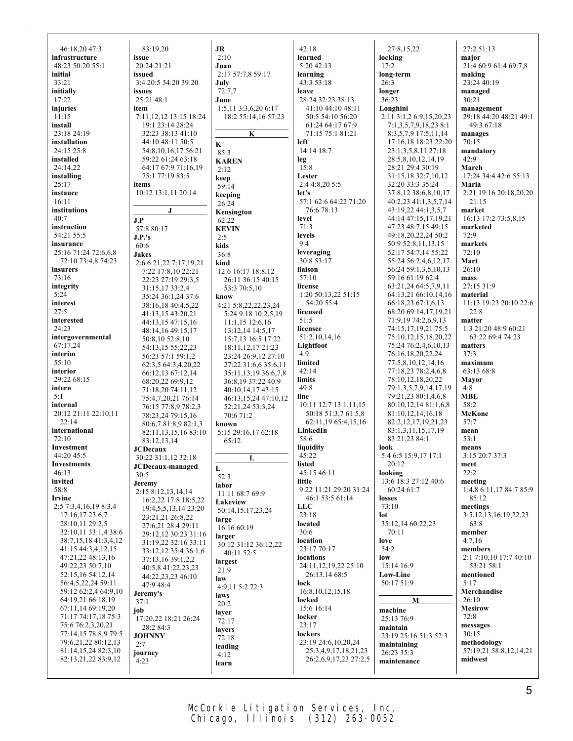| 46:18,20 47:3                             | 83:19,20                                          | JR                                              | 42:18                                     | 27:8,15,22                                     | 27:2 51:13                           |
|-------------------------------------------|---------------------------------------------------|-------------------------------------------------|-------------------------------------------|------------------------------------------------|--------------------------------------|
| infrastructure<br>48:23 50:20 55:1        | issue<br>20:24 21:21                              | 2:10<br>Juan                                    | learned<br>5:20 42:13                     | locking<br>17:2                                | major<br>21:4 60:9 61:4 69:7,8       |
| initial                                   | issued                                            | 2:17 57:7,8 59:17                               | learning                                  | long-term                                      | making                               |
| 33:21                                     | 3:4 20:5 34:20 39:20                              | July                                            | 43:3 53:18                                | 26:3                                           | 23:24 40:19                          |
| initially                                 | issues                                            | 72:7.7                                          | leave                                     | longer                                         | managed                              |
| 17:22                                     | 25:21 48:1                                        | June                                            | 28:24 32:23 38:13                         | 36:23                                          | 30:21                                |
| injuries                                  | item                                              | 1:5,11 3:3,6,20 6:17                            | 41:10 44:10 48:11                         | Longhini                                       | management                           |
| 11:15                                     | 7:11,12,12 13:15 18:24                            | 18:2 55:14,16 57:23                             | 50:5 54:10 56:20                          | 2:11 3:1,2 6:9,15,20,23                        | 29:18 44:20 48:21 49:1               |
| install                                   | 19:1 23:14 28:24                                  |                                                 | 61:24 64:17 67:9                          | 7:1,3,5,7,9,18,23 8:1                          | 49:3 67:18                           |
| 23:18 24:19<br>installation               | 32:23 38:13 41:10<br>44:10 48:11 50:5             | K                                               | 71:15 75:1 81:21<br>left                  | 8:3,5,7,9 17:5,11,14<br>17:16,18 18:23 22:20   | manages<br>70:15                     |
| 24:15 25:8                                | 54:8, 10, 16, 17 56:21                            | K<br>85:3                                       | 14:14 18:7                                | 23:1,3,5,8,11 27:18                            | mandatory                            |
| installed                                 | 59:22 61:24 63:18                                 | <b>KAREN</b>                                    | leg                                       | 28:5,8,10,12,14,19                             | 42:9                                 |
| 24:14,22                                  | 64:17 67:9 71:16,19                               | 2:12                                            | 15:8                                      | 28:21 29:4 30:19                               | March                                |
| installing                                | 75:1 77:19 83:5                                   | keep                                            | Lester                                    | 31:15,18 32:7,10,12                            | 17:24 34:4 42:6 55:13                |
| 25:17                                     | items                                             | 59:14                                           | 2:4 4:8,20 5:5                            | 32:20 33:3 35:24                               | Maria                                |
| instance                                  | 10:12 13:1,11 20:14                               | keeping                                         | let's                                     | 37:8,12 38:6,8,10,17                           | 2:21 19:16 20:18,20,20               |
| 16:11<br>institutions                     | J                                                 | 26:24                                           | 57:1 62:6 64:22 71:20<br>76:6 78:13       | 40:2,23 41:1,3,5,7,14<br>43:19,22 44:1,3,5,7   | 21:15<br>market                      |
| 40:7                                      |                                                   | Kensington                                      | level                                     | 44:14 47:15,17,19,21                           | 16:13 17:2 73:5,8,15                 |
| instruction                               | J.P<br>57:8 80:17                                 | 62:22<br><b>KEVIN</b>                           | 71:3                                      | 47:23 48:7,15 49:15                            | marketed                             |
| 54:21 55:5                                | J.P.'s                                            | 2:5                                             | levels                                    | 49:18,20,22,24 50:2                            | 72:9                                 |
| insurance                                 | 60:6                                              | kids                                            | 9:4                                       | 50:9 52:8,11,13,15                             | markets                              |
| 25:16 71:24 72:6,6,8                      | <b>Jakes</b>                                      | 36:8                                            | leveraging                                | 52:17 54:7,14 55:22                            | 72:10                                |
| 72:10 73:4,8 74:23                        | 2:6 6:21,22 7:17,19,21                            | kind                                            | 30:8 53:17                                | 55:24 56:2,4,6,12,17                           | Mart                                 |
| insurers                                  | 7:22 17:8,10 22:21                                | 12:6 16:17 18:8,12                              | liaison                                   | 56:24 59:1,3,5,10,13                           | 26:10                                |
| 73:16<br>integrity                        | 22:23 27:19 29:3,5                                | 26:11 36:15 40:15                               | 57:10<br>license                          | 59:16 61:19 62:4<br>63:21,24 64:5,7,9,11       | mass<br>27:15 31:9                   |
| 5:24                                      | 31:15,17 33:2,4                                   | 53:3 70:5.10                                    | 1:20 50:13,22 51:15                       | 64:13,21 66:10,14,16                           | material                             |
| interest                                  | 35:24 36:1,24 37:6<br>38:16,18 40:4,5,22          | know<br>4:21 5:8,22,22,23,24                    | 54:20 55:4                                | 66:18,23 67:1,6,13                             | 11:13 19:23 20:10 22:6               |
| 27:5                                      | 41:13,15 43:20,21                                 | 5:24 9:18 10:2,5,19                             | licensed                                  | 68:20 69:14,17,19,21                           | 22:8                                 |
| interested                                | 44:13,15 47:15,16                                 | $11:1,15$ 12:6,16                               | 51:5                                      | 71:9,19 74:2,6,9,13                            | matter                               |
| 24:23                                     | 48:14,16 49:15,17                                 | 13:12,14 14:5,17                                | licensee                                  | 74:15,17,19,21 75:5                            | 1:3 21:20 48:9 60:21                 |
| intergovernmental                         | 50:8,10 52:8,10                                   | 15:7,13 16:5 17:22                              | 51:2,10,14,16                             | 75:10,12,15,18,20,22                           | 63:22 69:4 74:23                     |
| 67:17.24<br>interim                       | 54:13,15 55:22,23                                 | 18:11, 12, 17 21:23                             | Lightfoot<br>4:9                          | 75:24 76:2,4,6,10,13                           | matters<br>37:3                      |
| 55:10                                     | 56:23 57:1 59:1,2                                 | 23:24 26:9,12 27:10                             | limited                                   | 76:16,18,20,22,24<br>77:5,8,10,12,14,16        | maximum                              |
| interior                                  | 62:3,5 64:3,4,20,22                               | 27:22 31:6,6 35:6,11                            | 42:14                                     | 77:18,23 78:2,4,6,8                            | 63:13 68:8                           |
| 29:22 68:15                               | 66:12,13 67:12,14<br>68:20,22 69:9,12             | 35:11, 13, 19 36: 6, 7, 8<br>36:8,19 37:22 40:9 | limits                                    | 78:10,12,18,20,22                              | <b>Mayor</b>                         |
| intern                                    | 71:18,20 74:11,12                                 | 40:10,14,17 43:15                               | 49:8                                      | 79:1,3,5,7,9,14,17,19                          | 4:8                                  |
| 5:1                                       | 75:4,7,20,21 76:14                                | 46:13,15,24 47:10,12                            | line                                      | 79:21,23 80:1,4,6,8                            | <b>MBE</b>                           |
| internal                                  | 76:15 77:8,9 78:2,3                               | 52:21,24 53:3,24                                | 10:11 12:7 13:1,11,15                     | 80:10,12,14 81:1,6,8                           | 58:2                                 |
| 20:12 21:11 22:10,11                      | 78:23,24 79:15,16                                 | 70:6 71:2                                       | 50:18 51:3,7 61:5,8                       | 81:10,12,14,16,18                              | McKone                               |
| 22:14<br>international                    | 80:6,7 81:8,9 82:1,3                              | known                                           | 62:11,19 65:4,15,16<br>LinkedIn           | 82:2, 12, 17, 19, 21, 23<br>83:1,3,11,15,17,19 | 57:7<br>mean                         |
| 72:10                                     | 82:11, 13, 15, 16 83:10                           | 5:15 29:16,17 62:18                             | 58:6                                      | 83:21,23 84:1                                  | 53:1                                 |
| Investment                                | 83:12,13,14<br><b>JCDecaux</b>                    | 65:12                                           | liquidity                                 | look                                           | means                                |
| 44:20 45:5                                | 30:22 31:1,12 32:18                               | L                                               | 45:22                                     | 5:4 6:5 15:9,17 17:1                           | 3:15 20:7 37:3                       |
| <b>Investments</b>                        | JCDecaux-managed                                  | L                                               | listed                                    | 20:12                                          | meet                                 |
| 46:13                                     | 30:5                                              | 52:3                                            | 45:15 46:11                               | looking                                        | 22:2                                 |
| invited                                   | Jeremy                                            | labor                                           | little                                    | 13:6 18:3 27:12 40:6                           | meeting                              |
| 58:8<br>Irvine                            | 2:15 8:12,13,14,14                                | 11:11 68:7 69:9                                 | 9:22 11:21 29:20 31:24<br>46:1 53:5 61:14 | 60:24 61:7<br>losses                           | 1:4,8 6:11,17 84:7 85:9<br>85:12     |
| 2:5 7:3,4,16,19 8:3,4                     | 16:2,22 17:8 18:5,22<br>19:4, 5, 5, 13, 14 23: 20 | Lakeview                                        | <b>LLC</b>                                | 73:10                                          | meetings                             |
| 17:16,17 23:6,7                           | 23:21,21 26:8,22                                  | 50:14,15,17,23,24                               | 23:18                                     | lot                                            | 3:5, 12, 13, 16, 19, 22, 23          |
| 28:10,11 29:2,5                           | 27:6,21 28:4 29:11                                | large<br>16:16 60:19                            | located                                   | 35:12,14 60:22,23                              | 63:8                                 |
| 32:10,11 33:1,4 38:6                      | 29:12,12 30:23 31:16                              | larger                                          | 30:6                                      | 70:11                                          | member                               |
| 38:7,15,18 41:3,4,12                      | 31:19,22 32:16 33:11                              | 30:12 31:12 36:12,22                            | location                                  | love                                           | 4:7,16                               |
| 41:15 44:3,4,12,15<br>47:21,22 48:13,16   | 33:12,12 35:4 36:1,6                              | 40:11 52:5                                      | 23:17 70:17<br>locations                  | 54:2<br>low                                    | members                              |
| 49:22,23 50:7,10                          | 37:13,16 39:1,2,2                                 | largest                                         | 24:11, 12, 19, 22 25:10                   | 15:14 16:9                                     | 2:1 7:10,10 17:7 40:10<br>53:21 58:1 |
| 52:15,16 54:12,14                         | 40:5,8 41:22,23,23<br>44:22,23,23 46:10           | 21:9                                            | 26:13,14 68:5                             | Low-Line                                       | mentioned                            |
| 56:4,5,22,24 59:11                        | 47:9 48:4                                         | law                                             | lock                                      | 50:17 51:9                                     | 5:17                                 |
| 59:12 62:2,4 64:9,10                      | Jeremy's                                          | 4:9,11 5:2 72:3<br>laws                         | 16:8, 10, 12, 15, 18                      |                                                | Merchandise                          |
| 64:19,21 66:18,19                         | 37:1                                              | 20:2                                            | locked                                    | M                                              | 26:10                                |
| 67:11,14 69:19,20                         | job                                               | layer                                           | 15:6 16:14                                | machine                                        | <b>Mesirow</b>                       |
| 71:17 74:17,18 75:3                       | 17:20,22 18:21 26:24                              | 72:17                                           | locker                                    | 25:13 76:9                                     | 72:8                                 |
| 75:6 76:2,3,20,21<br>77:14,15 78:8,9 79:5 | 28:2 84:3                                         | layers                                          | 23:17<br>lockers                          | maintain                                       | messages<br>30:15                    |
| 79:6,21,22 80:12,13                       | <b>JOHNNY</b><br>2:7                              | 72:18                                           | 23:19 24:6,10,20,24                       | 23:19 25:16 51:3 52:3                          | methodology                          |
| 81:14,15,24 82:3,10                       | journey                                           | leading                                         | 25:3,4,9,17,18,21,23                      | maintaining<br>26:23 35:3                      | 57:19,21 58:8,12,14,21               |
| 82:13,21,22 83:9,12                       | 4:23                                              | 4:12<br>learn                                   | 26:2,6,9,17,23 27:2,5                     | maintenance                                    | midwest                              |
|                                           |                                                   |                                                 |                                           |                                                |                                      |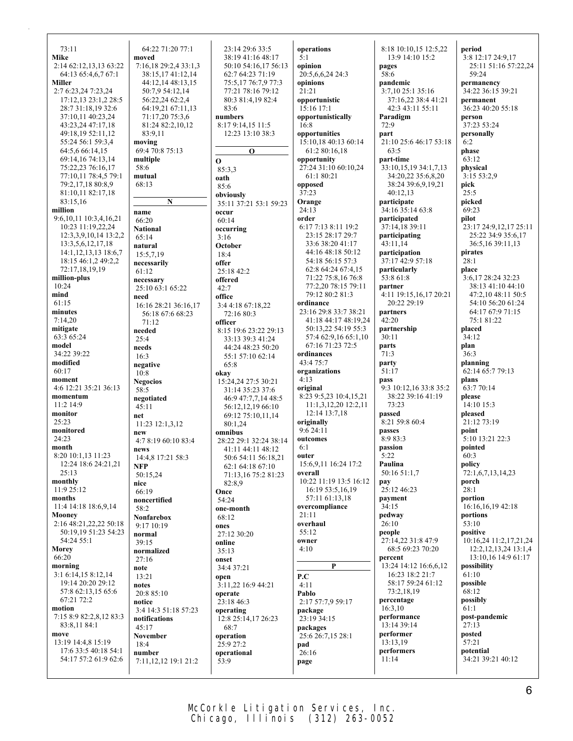73:11 **Mike** 2:14 62:12,13,13 63:22 64:13 65:4,6,7 67:1 **Miller** 2:7 6:23,24 7:23,24 17:12,13 23:1,2 28:5 28:7 31:18,19 32:6 37:10,11 40:23,24 43:23,24 47:17,18 49:18,19 52:11,12 55:24 56:1 59:3,4 64:5,6 66:14,15 69:14,16 74:13,14 75:22,23 76:16,17 77:10,11 78:4,5 79:1 79:2,17,18 80:8,9 81:10,11 82:17,18 83:15,16 **million** 9:6,10,11 10:3,4,16,21 10:23 11:19,22,24 12:3,3,9,10,14 13:2,2 13:3,5,6,12,17,18 14:1,12,13,13 18:6,7 18:15 46:1,2 49:2,2 72:17,18,19,19 **million-plus** 10:24 **mind** 61:15 **minutes** 7:14,20 **mitigate** 63:3 65:24 **model** 34:22 39:22 **modified**  $60.17$ **moment** 4:6 12:21 35:21 36:13 **momentum** 11:2 14:9 **monitor** 25:23 **monitored** 24:23 **month** 8:20 10:1,13 11:23 12:24 18:6 24:21,21 25:13 **monthly** 11:9 25:12 **months** 11:4 14:18 18:6,9,14 **Mooney** 2:16 48:21,22,22 50:18 50:19,19 51:23 54:23 54:24 55:1 **Morey** 66:20 **morning** 3:1 6:14,15 8:12,14 19:14 20:20 29:12 57:8 62:13,15 65:6 67:21 72:2 **motion** 7:15 8:9 82:2,8,12 83:3 83:8,11 84:1 **move** 13:19 14:4,8 15:19 17:6 33:5 40:18 54:1 54:17 57:2 61:9 62:6 64:22 71:20 77:1 **moved** 7:16,18 29:2,4 33:1,3 38:15,17 41:12,14 44:12,14 48:13,15 50:7,9 54:12,14 56:22,24 62:2,4 64:19,21 67:11,13 71:17,20 75:3,6 81:24 82:2,10,12 83:9,11 **moving** 69:4 70:8 75:13 **multiple** 58:6 **mutual** 68:13 **N name** 66:20 **National** 65:14 **natural** 15:5,7,19 **necessarily** 61:12 **necessary** 25:10 63:1 65:22 **need** 16:16 28:21 36:16,17 56:18 67:6 68:23 71:12 **needed** 25:4 **needs** 16:3 **negative** 10:8 **Negocios** 58:5 **negotiated** 45:11 **net** 11:23 12:1,3,12 **new** 4:7 8:19 60:10 83:4 **news** 14:4,8 17:21 58:3 **NFP** 50:15,24 **nice** 66:19 **noncertified** 58:2 **Nonfarebox** 9:17 10:19 **normal** 39:15 **normalized** 27:16 **note** 13:21 **notes** 20:8 85:10 **notice** 3:4 14:3 51:18 57:23 **notifications** 45:17 **November** 18:4 **number** 7:11,12,12 19:1 21:2 23:14 29:6 33:5 38:19 41:16 48:17 50:10 54:16,17 56:13 62:7 64:23 71:19 75:5,17 76:7,9 77:3 77:21 78:16 79:12 80:3 81:4,19 82:4 83:6 **numbers** 8:17 9:14,15 11:5 12:23 13:10 38:3 **O O** 85:3,3 **oath** 85:6 **obviously** 35:11 37:21 53:1 59:23 **occur** 60:14 **occurring** 3:16 **October** 18:4 **offer** 25:18 42:2 **offered**  $42.7$ **office** 3:4 4:18 67:18,22 72:16 80:3 **officer** 8:15 19:6 23:22 29:13 33:13 39:3 41:24 44:24 48:23 50:20 55:1 57:10 62:14 65:8 **okay** 15:24,24 27:5 30:21 31:14 35:23 37:6 46:9 47:7,7,14 48:5 56:12,12,19 66:10 69:12 75:10,11,14 80:1,24 **omnibus** 28:22 29:1 32:24 38:14 41:11 44:11 48:12 50:6 54:11 56:18,21 62:1 64:18 67:10 71:13,16 75:2 81:23  $82.89$ **Once** 54:24 **one-month** 68:12 **ones** 27:12 30:20 **online** 35:13 **onset** 34:4 37:21 **open** 3:11,22 16:9 44:21 **operate** 23:18 46:3 **operating** 12:8 25:14,17 26:23 68:7 **operation** 25:9 27:2 **operational** 53:9 **operations**  $\hat{5} \cdot 1$ **opinion** 20:5,6,6,24 24:3 **opinions** 21:21 **opportunistic** 15:16 17:1 **opportunistically** 16:8 **opportunities** 15:10,18 40:13 60:14 61:2 80:16,18 **opportunity** 27:24 31:10 60:10,24 61:1 80:21 **opposed** 37:23 **Orange**  $24:13$ **order** 6:17 7:13 8:11 19:2 23:15 28:17 29:7 33:6 38:20 41:17 44:16 48:18 50:12 54:18 56:15 57:3 62:8 64:24 67:4,15 71:22 75:8,16 76:8 77:2,20 78:15 79:11 79:12 80:2 81:3 **ordinance** 23:16 29:8 33:7 38:21 41:18 44:17 48:19,24 50:13,22 54:19 55:3 57:4 62:9,16 65:1,10 67:16 71:23 72:5 **ordinances** 43:4 75:7 **organizations**  $4.13$ **original** 8:23 9:5,23 10:4,15,21 11:1,3,12,20 12:2,11 12:14 13:7,18 **originally** 9:6 24:11 **outcomes** 6:1 **outer** 15:6,9,11 16:24 17:2 **overall** 10:22 11:19 13:5 16:12 16:19 53:5,16,19 57:11 61:13,18 **overcompliance** 21:11 **overhaul** 55:12 **owner** 4:10 **P P.C**  $4.11$ **Pablo** 2:17 57:7,9 59:17 **package** 23:19 34:15 **packages** 25:6 26:7,15 28:1 **pad**  $26:16$ **page** 8:18 10:10,15 12:5,22 13:9 14:10 15:2 **pages** 58:6 **pandemic**  $3:7,10$  25:1 35:16 37:16,22 38:4 41:21 42:3 43:11 55:11 **Paradigm** 72:9 **part** 21:10 25:6 46:17 53:18 63:5 **part-time** 33:10,15,19 34:1,7,13 34:20,22 35:6,8,20 38:24 39:6,9,19,21 40:12,13 **participate** 34:16 35:14 63:8 **participated** 37:14,18 39:11 **participating** 43:11,14 **participation** 37:17 42:9 57:18 **particularly** 53:8 61:8 **partner** 4:11 19:15,16,17 20:21 20:22 29:19 **partners**  $42:20$ **partnership** 30:11 **parts**  $71:3$ **party**  $51:17$ **pass** 9:3 10:12,16 33:8 35:2 38:22 39:16 41:19 73:23 **passed** 8:21 59:8 60:4 **passes** 8:9 83:3 **passion** 5:22 **Paulina** 50:16 51:1,7 **pay**  $25:12\,46:23$ **payment** 34:15 **pedway**  $26:10$ **people** 27:14,22 31:8 47:9 68:5 69:23 70:20 **percent** 13:24 14:12 16:6,6,12 16:23 18:2 21:7 58:17 59:24 61:12 73:2,18,19 **percentage** 16:3,10 **performance** 13:14 39:14 **performer** 13:13,19 **performers** 11:14 **period** 3:8 12:17 24:9,17 25:11 51:16 57:22,24 59:24 **permanency** 34:22 36:15 39:21 **permanent** 36:23 40:20 55:18 **person** 37:23 53:24 **personally** 6:2 **phase**  $63.12$ **physical**  $3:1553:2.9$ **pick** 25:5 **picked** 69:23 **pilot** 23:17 24:9,12,17 25:11 25:22 34:9 35:6,17 36:5,16 39:11,13 **pirates**  $28.1$ **place** 3:6,17 28:24 32:23 38:13 41:10 44:10 47:2,10 48:11 50:5 54:10 56:20 61:24 64:17 67:9 71:15 75:1 81:22 **placed** 34:12 **plan**  $36:3$ **planning** 62:14 65:7 79:13 **plans** 63:7 70:14 **please** 14:10 15:3 **pleased** 21:12 73:19 **point** 5:10 13:21 22:3 **pointed** 60:3 **policy**  $72:1,6.7,13,14.23$ **porch** 28:1 **portion** 16:16,16,19 42:18 **portions** 53:10 **positive** 10:16,24 11:2,17,21,24 12:2,12,13,24 13:1,4 13:10,16 14:9 61:17 **possibility** 61:10 **possible**  $68.12$ **possibly** 61:1 **post-pandemic** 27:13 **posted**  $57:21$ **potential** 34:21 39:21 40:12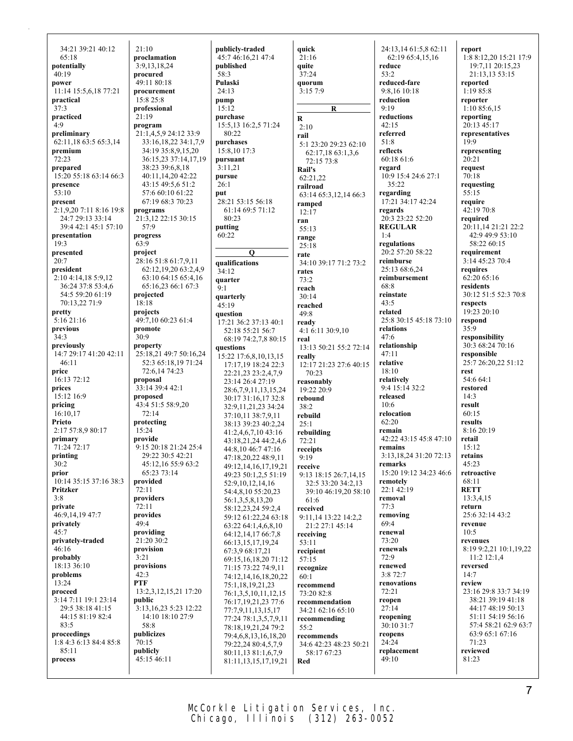34:21 39:21 40:12 65:18 **potentially** 40:19 **power** 11:14 15:5,6,18 77:21 **practical** 37:3 **practiced** 4:9 **preliminary**  $62:11.18\,63:5\,65:3.14$ **premium**  $72.23$ **prepared** 15:20 55:18 63:14 66:3 **presence** 53:10 **present** 2:1,9,20 7:11 8:16 19:8 24:7 29:13 33:14 39:4 42:1 45:1 57:10 **presentation** 19:3 **presented**  $20.7$ **president** 2:10 4:14,18 5:9,12 36:24 37:8 53:4,6 54:5 59:20 61:19 70:13,22 71:9 **pretty** 5:16 21:16 **previous** 34:3 **previously** 14:7 29:17 41:20 42:11 46:11 **price** 16:13 72:12 **prices** 15:12 16:9 **pricing** 16:10,17 **Prieto** 2:17 57:8,9 80:17 **primary** 71:24 72:17 **printing** 30:2 **prior** 10:14 35:15 37:16 38:3 **Pritzker** 3:8 **private** 46:9,14,19 47:7 **privately** 45:7 **privately-traded**  $46:16$ **probably** 18:13 36:10 **problems**  $13.24$ **proceed** 3:14 7:11 19:1 23:14 29:5 38:18 41:15 44:15 81:19 82:4 83:5 **proceedings** 1:8 4:3 6:13 84:4 85:8 85:11 **process**

 $21 \cdot 10$ **proclamation** 3:9,13,18,24 **procured** 49:11 80:18 **procurement** 15:8 25:8 **professional** 21:19 **program** 21:1,4,5,9 24:12 33:9 33:16,18,22 34:1,7,9 34:19 35:8,9,15,20 36:15,23 37:14,17,19 38:23 39:6,8,18 40:11,14,20 42:22 43:15 49:5,6 51:2 57:6 60:10 61:22 67:19 68:3 70:23 **programs** 21:3,12 22:15 30:15 57:9 **progress** 63:9 **project**  $28.1651:861:7911$ 62:12,19,20 63:2,4,9 63:10 64:15 65:4,16 65:16,23 66:1 67:3 **projected** 18:18 **projects** 49:7,10 60:23 61:4 **promote** 30:9 **property** 25:18,21 49:7 50:16,24 52:3 65:18,19 71:24 72:6,14 74:23 **proposal** 33:14 39:4 42:1 **proposed** 43:4 51:5 58:9,20 72:14 **protecting** 15:24 **provide** 9:15 20:18 21:24 25:4 29:22 30:5 42:21 45:12,16 55:9 63:2 65:23 73:14 **provided** 72:11 **providers** 72:11 **provides**  $49:4$ **providing** 21:20 30:2 **provision** 3:21 **provisions**  $42.3$ **PTF** 13:2,3,12,15,21 17:20 **public** 3:13,16,23 5:23 12:22 14:10 18:10 27:9 58:8 **publicizes** 70:15 **publicly** 45:15 46:11

**publicly-traded** 45:7 46:16,21 47:4 **published** 58:3 **Pulaski** 24:13 **pump** 15:12 **purchase** 15:5,13 16:2,5 71:24 80:22 **purchases** 15:8,10 17:3 **pursuant** 3:11,21 **pursue** 26:1 **put** 28:21 53:15 56:18 61:14 69:5 71:12 80:23 **putting**  $60:22$ **Q qualifications**  $34.12$ **quarter**  $9.1$ **quarterly** 45:19 **question** 17:21 36:2 37:13 40:1 52:18 55:21 56:7 68:19 74:2,7,8 80:15 **questions** 15:22 17:6,8,10,13,15 17:17,19 18:24 22:3 22:21,23 23:2,4,7,9 23:14 26:4 27:19 28:6,7,9,11,13,15,24 30:17 31:16,17 32:8 32:9,11,21,23 34:24 37:10,11 38:7,9,11 38:13 39:23 40:2,24 41:2,4,6,7,10 43:16 43:18,21,24 44:2,4,6 44:8,10 46:7 47:16 47:18,20,22 48:9,11 49:12,14,16,17,19,21 49:23 50:1,2,5 51:19 52:9,10,12,14,16 54:4,8,10 55:20,23 56:1,3,5,8,13,20 58:12,23,24 59:2,4 59:12 61:22,24 63:18 63:22 64:1,4,6,8,10 64:12,14,17 66:7,8 66:13,15,17,19,24 67:3,9 68:17,21 69:15,16,18,20 71:12 71:15 73:22 74:9,11 74:12,14,16,18,20,22 75:1,18,19,21,23 76:1,3,5,10,11,12,15 76:17,19,21,23 77:6 77:7,9,11,13,15,17 77:24 78:1,3,5,7,9,11 78:18,19,21,24 79:2 79:4,6,8,13,16,18,20 79:22,24 80:4,5,7,9 80:11,13 81:1,6,7,9 81:11,13,15,17,19,21

**quick** 21:16 **quite** 37:24 **quorum** 3:15 7:9 **R R**  $2.10$ **rail** 5:1 23:20 29:23 62:10 62:17,18 63:1,3,6 72:15 73:8 **Rail's** 62:21,22 **railroad** 63:14 65:3,12,14 66:3 **ramped** 12:17 **ran** 55:13 **range**  $25.18$ **rate** 34:10 39:17 71:2 73:2 **rates** 73:2 **reach** 30:14 **reached** 49:8 **ready** 4:1 6:11 30:9,10 **real** 13:13 50:21 55:2 72:14 **really** 12:17 21:23 27:6 40:15 70:23 **reasonably**  $19.22 20.9$ **rebound** 38:2 **rebuild** 25:1 **rebuilding** 72:21 **receipts** 9:19 **receive** 9:13 18:15 26:7,14,15 32:5 33:20 34:2,13 39:10 46:19,20 58:10 61:6 **received** 9:11,14 13:22 14:2,2 21:2 27:1 45:14 **receiving** 53:11 **recipient** 57:15 **recognize** 60:1 **recommend** 73:20 82:8 **recommendation** 34:21 62:16 65:10 **recommending** 55:2 **recommends** 34:6 42:23 48:23 50:21 58:17 67:23 **Red**

24:13,14 61:5,8 62:11 62:19 65:4,15,16 **reduce** 53:2 **reduced-fare** 9:8,16 10:18 **reduction** 9:19 **reductions**  $42:15$ **referred** 51:8 **reflects** 60:18 61:6 **regard** 10:9 15:4 24:6 27:1 35:22 **regarding** 17:21 34:17 42:24 **regards** 20:3 23:22 52:20 **REGULAR** 1:4 **regulations** 20:2 57:20 58:22 **reimburse** 25:13 68:6,24 **reimbursement** 68:8 **reinstate** 43:5 **related** 25:8 30:15 45:18 73:10 **relations** 47:6 **relationship** 47:11 **relative**  $18:10$ **relatively** 9:4 15:14 32:2 **released** 10:6 **relocation** 62:20 **remain** 42:22 43:15 45:8 47:10 **remains** 3:13,18,24 31:20 72:13 **remarks** 15:20 19:12 34:23 46:6 **remotely** 22:1 42:19 **removal** 77:3 **removing** 69:4 **renewal** 73:20 **renewals** 72:9 **renewed**  $3.872.7$ **renovations** 72:21 **reopen** 27:14 **reopening** 30:10 31:7 **reopens**  $24:24$ **replacement** 49:10

**report** 1:8 8:12,20 15:21 17:9 19:7,11 20:15,23 21:13,13 53:15 **reported** 1:19 85:8 **reporter** 1:10 85:6,15 **reporting** 20:13 45:17 **representatives**  $19.9$ **representing**  $20.21$ **request** 70:18 **requesting** 55:15 **require** 42:19 70:8 **required** 20:11,14 21:21 22:2 42:9 49:9 53:10 58:22 60:15 **requirement**  $3.1445.23704$ **requires**  $62:2065:16$ **residents** 30:12 51:5 52:3 70:8 **respects** 19:23 20:10 **respond** 35:9 **responsibility** 30:3 68:24 70:16 **responsible** 25:7 26:20,22 51:12 **rest** 54:6 64:1 **restored** 14:3 **result** 60:15 **results** 8:16 20:19 **retail** 15:12 **retains** 45:23 **retroactive** 68:11 **RETT** 13:3,4,15 **return** 25:6 32:14 43:2 **revenue**  $10:5$ **revenues** 8:19 9:2,21 10:1,19,22 11:2 12:1,4 **reversed**  $14.7$ **review** 23:16 29:8 33:7 34:19 38:21 39:19 41:18 44:17 48:19 50:13 51:11 54:19 56:16 57:4 58:21 62:9 63:7 63:9 65:1 67:16 71:23 **reviewed** 81:23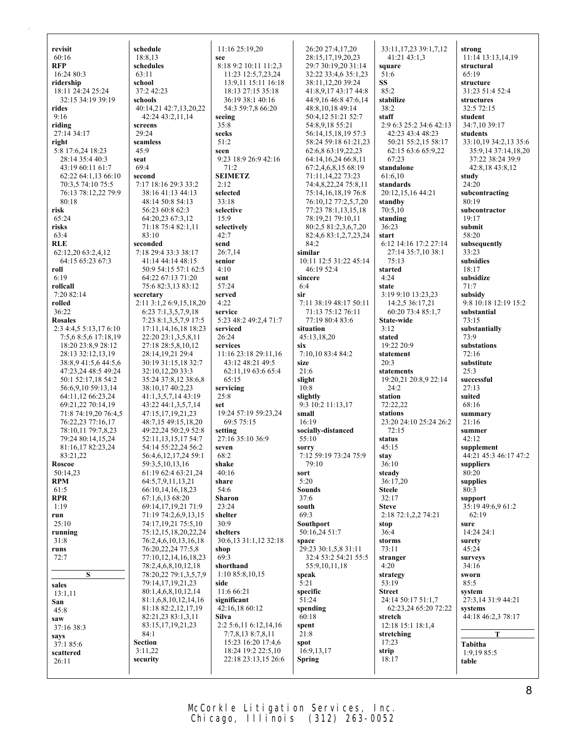| revisit<br>60:16                            | schedule                                       | 11:16 25:19,20                           | 26:20 27:4,17,20                               | 33:11,17,23 39:1,7,12                       | strong                              |
|---------------------------------------------|------------------------------------------------|------------------------------------------|------------------------------------------------|---------------------------------------------|-------------------------------------|
| <b>RFP</b>                                  | 18:8,13<br>schedules                           | see<br>8:18 9:2 10:11 11:2,3             | 28:15,17,19,20,23<br>29:7 30:19,20 31:14       | 41:21 43:1,3<br>square                      | 11:14 13:13,14,19<br>structural     |
| 16:24 80:3                                  | 63:11                                          | 11:23 12:5,7,23,24                       | 32:22 33:4,6 35:1,23                           | 51:6                                        | 65:19                               |
| ridership                                   | school                                         | 13:9,11 15:11 16:18                      | 38:11,12,20 39:24                              | SS                                          | structure                           |
| 18:11 24:24 25:24                           | 37:2 42:23                                     | 18:13 27:15 35:18                        | 41:8,9,17 43:17 44:8                           | 85:2                                        | 31:23 51:4 52:4                     |
| 32:15 34:19 39:19                           | schools                                        | 36:19 38:1 40:16                         | 44:9,16 46:8 47:6,14                           | stabilize                                   | structures                          |
| rides                                       | 40:14,21 42:7,13,20,22                         | 54:3 59:7,8 66:20                        | 48:8,10,18 49:14                               | 38:2                                        | 32:5 72:15                          |
| 9:16                                        | 42:24 43:2,11,14                               | seeing                                   | 50:4,12 51:21 52:7                             | staff                                       | student                             |
| riding<br>27:14 34:17                       | screens<br>29:24                               | 35:8<br>seeks                            | 54:8,9,18 55:21<br>56:14,15,18,19 57:3         | 2:9 6:3 25:2 34:6 42:13<br>42:23 43:4 48:23 | 34:7,10 39:17<br>students           |
| right                                       | seamless                                       | 51:2                                     | 58:24 59:18 61:21,23                           | 50:21 55:2,15 58:17                         | 33:10,19 34:2,13 35:6               |
| 5:8 17:6,24 18:23                           | 45:9                                           | seen                                     | 62:6,8 63:19,22,23                             | 62:15 63:6 65:9,22                          | 35:9,14 37:14,18,20                 |
| 28:14 35:4 40:3                             | seat                                           | 9:23 18:9 26:9 42:16                     | 64:14,16,24 66:8,11                            | 67:23                                       | 37:22 38:24 39:9                    |
| 43:19 60:11 61:7                            | 69:4                                           | 71:2                                     | 67:2,4,6,8,15 68:19                            | standalone                                  | 42:8,18 43:8,12                     |
| 62:22 64:1,13 66:10                         | second                                         | <b>SEIMETZ</b>                           | 71:11,14,22 73:23                              | 61:6,10                                     | study<br>24:20                      |
| 70:3,5 74:10 75:5<br>76:13 78:12,22 79:9    | 7:17 18:16 29:3 33:2<br>38:16 41:13 44:13      | 2:12<br>selected                         | 74:4,8,22,24 75:8,11<br>75:14, 16, 18, 19 76:8 | standards<br>20:12,15,16 44:21              | subcontracting                      |
| 80:18                                       | 48:14 50:8 54:13                               | 33:18                                    | 76:10,12 77:2,5,7,20                           | standby                                     | 80:19                               |
| risk                                        | 56:23 60:8 62:3                                | selective                                | 77:23 78:1,13,15,18                            | 70:5,10                                     | subcontractor                       |
| 65:24                                       | 64:20,23 67:3,12                               | 15:9                                     | 78:19,21 79:10,11                              | standing                                    | 19:17                               |
| risks                                       | 71:18 75:4 82:1,11                             | selectively                              | 80:2,5 81:2,3,6,7,20                           | 36:23                                       | submit                              |
| 63:4                                        | 83:10                                          | 42:7                                     | 82:4,6 83:1,2,7,23,24                          | start                                       | 58:20                               |
| <b>RLE</b><br>62:12,20 63:2,4,12            | seconded<br>7:18 29:4 33:3 38:17               | send<br>26:7,14                          | 84:2<br>similar                                | 6:12 14:16 17:2 27:14<br>27:14 35:7,10 38:1 | subsequently<br>33:23               |
| 64:15 65:23 67:3                            | 41:14 44:14 48:15                              | senior                                   | 10:11 12:5 31:22 45:14                         | 75:13                                       | subsidies                           |
| roll                                        | 50:9 54:15 57:1 62:5                           | 4:10                                     | 46:19 52:4                                     | started                                     | 18:17                               |
| 6:19                                        | 64:22 67:13 71:20                              | sent                                     | sincere                                        | 4:24                                        | subsidize                           |
| rollcall                                    | 75:6 82:3,13 83:12                             | 57:24                                    | 6:4                                            | state                                       | 71:7                                |
| 7:20 82:14                                  | secretary                                      | served                                   | sir                                            | 3:19 9:10 13:23,23                          | subsidy                             |
| rolled<br>36:22                             | 2:11 3:1,2 6:9,15,18,20<br>6:23 7:1,3,5,7,9,18 | 4:22<br>service                          | 7:11 38:19 48:17 50:11<br>71:13 75:12 76:11    | 14:2,5 36:17,21<br>60:20 73:4 85:1,7        | 9:8 10:18 12:19 15:2<br>substantial |
| <b>Rosales</b>                              | 7:23 8:1,3,5,7,9 17:5                          | 5:23 48:2 49:2,4 71:7                    | 77:19 80:4 83:6                                | <b>State-wide</b>                           | 73:15                               |
| 2:3 4:4,5 5:13,17 6:10                      | 17:11, 14, 16, 18 18:23                        | serviced                                 | situation                                      | 3:12                                        | substantially                       |
| 7:5,6 8:5,6 17:18,19                        | 22:20 23:1,3,5,8,11                            | 26:24                                    | 45:13,18,20                                    | stated                                      | 73:9                                |
| 18:20 23:8,9 28:12                          | 27:18 28:5,8,10,12                             | services                                 | six                                            | 19:22 20:9                                  | substations                         |
| 28:13 32:12,13,19                           | 28:14,19,21 29:4                               | 11:16 23:18 29:11,16                     | 7:10,10 83:4 84:2                              | statement                                   | 72:16                               |
| 38:8,9 41:5,6 44:5,6<br>47:23,24 48:5 49:24 | 30:19 31:15,18 32:7<br>32:10,12,20 33:3        | 43:12 48:21 49:5<br>62:11,19 63:6 65:4   | size<br>21:6                                   | 20:3<br>statements                          | substitute<br>25:3                  |
| 50:1 52:17,18 54:2                          | 35:24 37:8,12 38:6,8                           | 65:15                                    | slight                                         | 19:20,21 20:8,9 22:14                       | successful                          |
| 56:6,9,10 59:13,14                          | 38:10,17 40:2,23                               | servicing                                | 10:8                                           | 24:2                                        | 27:13                               |
| 64:11,12 66:23,24                           | 41:1,3,5,7,14 43:19                            | 25:8                                     | slightly                                       | station                                     | suited                              |
| 69:21,22 70:14,19                           | 43:22 44:1,3,5,7,14                            | set                                      | 9:3 10:2 11:13,17                              | 72:22,22                                    | 68:16                               |
| 71:8 74:19,20 76:4,5                        | 47:15,17,19,21,23                              | 19:24 57:19 59:23,24                     | small                                          | stations                                    | summary                             |
| 76:22,23 77:16,17<br>78:10,11 79:7,8,23     | 48:7,15 49:15,18,20<br>49:22,24 50:2,9 52:8    | 69:5 75:15<br>setting                    | 16:19<br>socially-distanced                    | 23:20 24:10 25:24 26:2<br>72:15             | 21:16<br>summer                     |
| 79:24 80:14,15,24                           | 52:11,13,15,17 54:7                            | 27:16 35:10 36:9                         | 55:10                                          | status                                      | 42:12                               |
| 81:16,17 82:23,24                           | 54:14 55:22,24 56:2                            | seven                                    | sorry                                          | 45:15                                       | supplement                          |
| 83:21,22                                    | 56:4,6,12,17,24 59:1                           | 68:2                                     | 7:12 59:19 73:24 75:9                          | stay                                        | 44:21 45:3 46:17 47:2               |
| Roscoe                                      | 59:3,5,10,13,16                                | shake                                    | 79:10                                          | 36:10                                       | suppliers                           |
| 50:14,23<br><b>RPM</b>                      | 61:19 62:4 63:21,24                            | 40:16                                    | sort<br>5:20                                   | steady<br>36:17,20                          | 80:20                               |
| 61:5                                        | 64:5,7,9,11,13,21<br>66:10,14,16,18,23         | share<br>54:6                            | Sounds                                         | <b>Steele</b>                               | supplies<br>80:3                    |
| <b>RPR</b>                                  | 67:1,6,13 68:20                                | Sharon                                   | 37:6                                           | 32:17                                       | support                             |
| 1:19                                        | 69:14,17,19,21 71:9                            | 23:24                                    | south                                          | <b>Steve</b>                                | 35:19 49:6.9 61:2                   |
| run                                         | 71:19 74:2,6,9,13,15                           | shelter                                  | 69:3                                           | 2:18 72:1,2,2 74:21                         | 62:19                               |
| 25:10                                       | 74:17,19,21 75:5,10                            | 30:9                                     | Southport                                      | stop                                        | sure                                |
| running<br>31:8                             | 75:12,15,18,20,22,24<br>76:2,4,6,10,13,16,18   | shelters<br>30:6,13 31:1,12 32:18        | 50:16,24 51:7<br>space                         | 36:4<br>storms                              | 14:24 24:1<br>surety                |
| runs                                        | 76:20,22,24 77:5,8                             | shop                                     | 29:23 30:1,5,8 31:11                           | 73:11                                       | 45:24                               |
| 72:7                                        | 77:10,12,14,16,18,23                           | 69:3                                     | 32:4 53:2 54:21 55:5                           | stranger                                    | surveys                             |
|                                             | 78:2,4,6,8,10,12,18                            | shorthand                                | 55:9, 10, 11, 18                               | 4:20                                        | 34:16                               |
| S                                           | 78:20,22 79:1,3,5,7,9                          | 1:1085:8,10,15                           | speak                                          | strategy                                    | sworn                               |
| sales                                       | 79:14,17,19,21,23                              | side                                     | 5:21                                           | 53:19                                       | 85:5                                |
| 13:1,11                                     | 80:1,4,6,8,10,12,14<br>81:1,6,8,10,12,14,16    | 11:6 66:21<br>significant                | specific<br>51:24                              | <b>Street</b><br>24:14 50:17 51:1,7         | system<br>27:3,14 31:9 44:21        |
| San<br>45:8                                 | 81:18 82:2,12,17,19                            | 42:16,18 60:12                           | spending                                       | 62:23,24 65:20 72:22                        | systems                             |
| saw                                         | 82:21,23 83:1,3,11                             | Silva                                    | 60:18                                          | stretch                                     | 44:18 46:2,3 78:17                  |
| 37:16 38:3                                  | 83:15,17,19,21,23                              | 2:2 5:6,11 6:12,14,16                    | spent                                          | 12:18 15:1 18:1,4                           |                                     |
| says                                        | 84:1                                           | 7:7,8,13 8:7,8,11                        | 21:8                                           | stretching                                  | T                                   |
| 37:1 85:6                                   | <b>Section</b><br>3:11,22                      | 15:23 16:20 17:4,6<br>18:24 19:2 22:5,10 | spot<br>16:9,13,17                             | 17:23<br>strip                              | Tabitha                             |
| scattered<br>26:11                          | security                                       | 22:18 23:13,15 26:6                      | <b>Spring</b>                                  | 18:17                                       | 1:9,19 85:5<br>table                |
|                                             |                                                |                                          |                                                |                                             |                                     |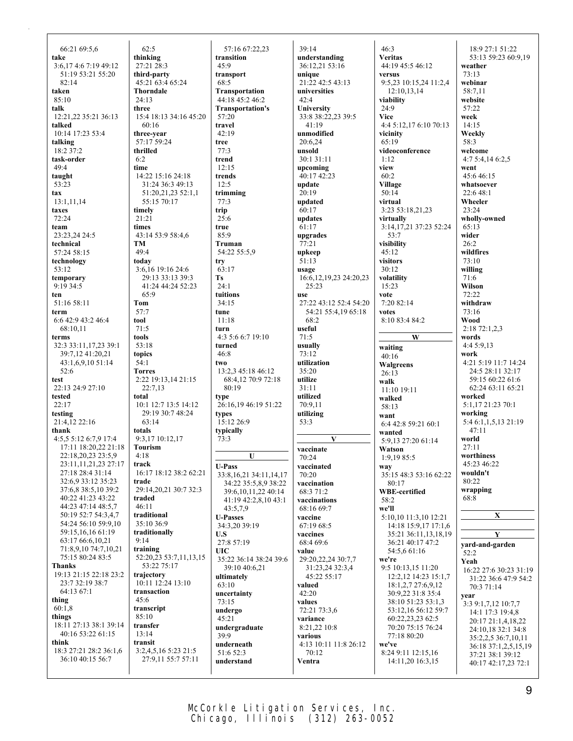| 66:21 69:5,6                            | 62:5                            | 57:16 67:22,23                                  | 39:14                           | 46:3                                    | 18:9 27:1 51:22                           |
|-----------------------------------------|---------------------------------|-------------------------------------------------|---------------------------------|-----------------------------------------|-------------------------------------------|
| take                                    | thinking                        | transition                                      | understanding                   | <b>Veritas</b>                          | 53:13 59:23 60:9,19                       |
| 3:6,174:67:1949:12<br>51:19 53:21 55:20 | 27:21 28:3<br>third-party       | 45:9<br>transport                               | 36:12,21 53:16<br>unique        | 44:19 45:5 46:12<br>versus              | weather<br>73:13                          |
| 82:14                                   | 45:21 63:4 65:24                | 68:5                                            | 21:22 42:5 43:13                | 9:5,23 10:15,24 11:2,4                  | webinar                                   |
| taken                                   | <b>Thorndale</b>                | Transportation                                  | universities                    | 12:10,13,14                             | 58:7,11                                   |
| 85:10                                   | 24:13                           | 44:18 45:2 46:2                                 | 42:4                            | viability                               | website                                   |
| talk                                    | three                           | <b>Transportation's</b>                         | University                      | 24:9                                    | 57:22                                     |
| 12:21,22 35:21 36:13                    | 15:4 18:13 34:16 45:20          | 57:20                                           | 33:8 38:22,23 39:5              | <b>Vice</b>                             | week                                      |
| talked                                  | 60:16                           | travel                                          | 41:19                           | 4:4 5:12,17 6:10 70:13                  | 14:15                                     |
| 10:14 17:23 53:4                        | three-year                      | 42:19                                           | unmodified                      | vicinity                                | Weekly                                    |
| talking                                 | 57:17 59:24                     | tree                                            | 20:6,24                         | 65:19                                   | 58:3                                      |
| 18:2 37:2                               | thrilled                        | 77:3                                            | unsold                          | videoconference                         | welcome                                   |
| task-order<br>49:4                      | 6:2                             | trend<br>12:15                                  | 30:1 31:11                      | 1:12<br>view                            | 4:75:4,146:2,5                            |
| taught                                  | time<br>14:22 15:16 24:18       | trends                                          | upcoming<br>40:17 42:23         | 60:2                                    | went<br>45:6 46:15                        |
| 53:23                                   | 31:24 36:3 49:13                | 12:5                                            | update                          | Village                                 | whatsoever                                |
| tax                                     | 51:20,21,23 52:1,1              | trimming                                        | 20:19                           | 50:14                                   | 22:6 48:1                                 |
| 13:1,11,14                              | 55:15 70:17                     | 77:3                                            | updated                         | virtual                                 | Wheeler                                   |
| taxes                                   | timely                          | trip                                            | 60:17                           | 3:23 53:18,21,23                        | 23:24                                     |
| 72:24                                   | 21:21                           | 25:6                                            | updates                         | virtually                               | wholly-owned                              |
| team                                    | times                           | true                                            | 61:17                           | 3:14,17,21 37:23 52:24                  | 65:13                                     |
| 23:23.24 24:5                           | 43:14 53:9 58:4,6               | 85:9                                            | upgrades                        | 53:7                                    | wider                                     |
| technical                               | TM                              | <b>Truman</b>                                   | 77:21                           | visibility                              | 26:2                                      |
| 57:24 58:15<br>technology               | 49:4<br>today                   | 54:22 55:5.9                                    | upkeep<br>51:13                 | 45:12<br>visitors                       | wildfires<br>73:10                        |
| 53:12                                   | 3:6,16 19:16 24:6               | try<br>63:17                                    | usage                           | 30:12                                   | willing                                   |
| temporary                               | 29:13 33:13 39:3                | <b>Ts</b>                                       | 16:6, 12, 19, 23 24: 20, 23     | volatility                              | 71:6                                      |
| 9:19 34:5                               | 41:24 44:24 52:23               | 24:1                                            | 25:23                           | 15:23                                   | Wilson                                    |
| ten                                     | 65:9                            | tuitions                                        | use                             | vote                                    | 72:22                                     |
| 51:16 58:11                             | Tom                             | 34:15                                           | 27:22 43:12 52:4 54:20          | 7:20 82:14                              | withdraw                                  |
| term                                    | 57:7                            | tune                                            | 54:21 55:4,19 65:18             | votes                                   | 73:16                                     |
| 6:6 42:9 43:2 46:4                      | tool<br>71:5                    | 11:18                                           | 68:2                            | 8:10 83:4 84:2                          | Wood                                      |
| 68:10,11<br>terms                       | tools                           | turn<br>4:3 5:6 6:7 19:10                       | useful<br>71:5                  | W                                       | 2:18 72:1,2,3<br>words                    |
| 32:3 33:11,17,23 39:1                   | 53:18                           | turned                                          | usually                         | waiting                                 | 4:4 5:9,13                                |
| 39:7,12 41:20,21                        | topics                          | 46:8                                            | 73:12                           |                                         | work                                      |
|                                         |                                 |                                                 |                                 |                                         |                                           |
| 43:1,6,9,10 51:14                       | 54:1                            | two                                             | utilization                     | 40:16                                   | 4:21 5:19 11:7 14:24                      |
| 52:6                                    | <b>Torres</b>                   | 13:2,3 45:18 46:12                              | 35:20                           | Walgreens<br>26:13                      | 24:5 28:11 32:17                          |
| test                                    | 2:22 19:13,14 21:15             | 68:4,12 70:9 72:18                              | utilize                         | walk                                    | 59:15 60:22 61:6                          |
| 22:13 24:9 27:10                        | 22:7,13                         | 80:19                                           | 31:11                           | 11:10 19:11                             | 62:24 63:11 65:21                         |
| tested                                  | total                           | type                                            | utilized                        | walked                                  | worked                                    |
| 22:17                                   | 10:1 12:7 13:5 14:12            | 26:16,19 46:19 51:22                            | 70:9,11                         | 58:13                                   | 5:1,17 21:23 70:1                         |
| testing<br>21:4,12 22:16                | 29:19 30:7 48:24<br>63:14       | types<br>15:12 26:9                             | utilizing<br>53:3               | want                                    | working                                   |
| thank                                   | totals                          | typically                                       |                                 | 6:4 42:8 59:21 60:1<br>wanted           | 5:4 6:1,1,5,13 21:19<br>47:11             |
| 4:5.5 5:12 6:7.9 17:4                   | 9:3,17 10:12,17                 | 73:3                                            | V                               | 5:9,13 27:20 61:14                      | world                                     |
| 17:11 18:20,22 21:18                    | <b>Tourism</b>                  |                                                 | vaccinate                       | Watson                                  | 27:11                                     |
| 22:18,20,23 23:5,9                      | 4:18                            | $\mathbf{U}$                                    | 70:24                           | 1:9,19 85:5                             | worthiness                                |
| 23:11,11,21,23 27:17                    | track                           | <b>U-Pass</b>                                   | vaccinated                      | way                                     | 45:23 46:22                               |
| 27:18 28:4 31:14<br>32:6,9 33:12 35:23  | 16:17 18:12 38:2 62:21<br>trade | 33:8, 16, 21 34:11, 14, 17                      | 70:20                           | 35:15 48:3 53:16 62:22                  | wouldn't<br>80:22                         |
| 37:6,8 38:5,10 39:2                     | 29:14,20,21 30:7 32:3           | 34:22 35:5,8,9 38:22<br>39:6, 10, 11, 22 40: 14 | vaccination                     | 80:17<br><b>WBE-certified</b>           | wrapping                                  |
| 40:22 41:23 43:22                       | traded                          | 41:19 42:2,8,10 43:1                            | 68:3 71:2<br>vaccinations       | 58:2                                    | 68:8                                      |
| 44:23 47:14 48:5,7                      | 46:11                           | 43:5,7,9                                        | 68:16 69:7                      | we'll                                   |                                           |
| 50:19 52:7 54:3,4,7                     | traditional                     | <b>U-Passes</b>                                 | vaccine                         | 5:10,10 11:3,10 12:21                   | $\mathbf X$                               |
| 54:24 56:10 59:9.10                     | 35:10 36:9                      | 34:3,20 39:19                                   | 67:19 68:5                      | 14:18 15:9,17 17:1,6                    |                                           |
| 59:15,16,16 61:19<br>63:17 66:6,10,21   | traditionally<br>9:14           | U.S                                             | vaccines                        | 35:21 36:11,13,18,19                    | $\overline{\mathbf{Y}}$                   |
| 71:8,9,10 74:7,10,21                    | training                        | 27:8 57:19                                      | 68:4 69:6                       | 36:21 40:17 47:2                        | yard-and-garden                           |
| 75:15 80:24 83:5                        | 52:20,23 53:7,11,13,15          | <b>UIC</b><br>35:22 36:14 38:24 39:6            | value<br>29:20, 22, 24 30: 7, 7 | 54:5,6 61:16<br>we're                   | 52:2                                      |
| Thanks                                  | 53:22 75:17                     | 39:10 40:6,21                                   | 31:23,24 32:3,4                 | 9:5 10:13,15 11:20                      | Yeah<br>16:22 27:6 30:23 31:19            |
| 19:13 21:15 22:18 23:2                  | trajectory                      | ultimately                                      | 45:22 55:17                     | 12:2, 12 14:23 15:1,7                   | 31:22 36:6 47:9 54:2                      |
| 23:7 32:19 38:7                         | 10:11 12:24 13:10               | 63:10                                           | valued                          | 18:1,2,7 27:6,9,12                      | 70:3 71:14                                |
| 64:13 67:1<br>thing                     | transaction<br>45:6             | uncertainty                                     | 42:20                           | 30:9,22 31:8 35:4                       | year                                      |
| 60:1,8                                  | transcript                      | 73:15                                           | values                          | 38:10 51:23 53:1,3                      | 3:3 9:1,7,12 10:7,7                       |
| things                                  | 85:10                           | undergo<br>45:21                                | 72:21 73:3,6<br>variance        | 53:12,16 56:12 59:7<br>60:22,23,23 62:5 | 14:1 17:3 19:4,8                          |
| 18:11 27:13 38:1 39:14                  | transfer                        | undergraduate                                   | 8:21,22 10:8                    | 70:20 75:15 76:24                       | 20:17 21:1,4,18,22                        |
| 40:16 53:22 61:15                       | 13:14                           | 39:9                                            | various                         | 77:18 80:20                             | 24:10,18 32:1 34:8<br>35:2,2,5 36:7,10,11 |
| think                                   | transit                         | underneath                                      | 4:13 10:11 11:8 26:12           | we've                                   | 36:18 37:1,2,5,15,19                      |
| 18:3 27:21 28:2 36:1,6                  | 3:2,4,5,16 5:23 21:5            | 51:6 52:3                                       | 70:12                           | 8:24 9:11 12:15,16                      | 37:21 38:1 39:12                          |
| 36:10 40:15 56:7                        | 27:9,11 55:7 57:11              | understand                                      | Ventra                          | 14:11,20 16:3,15                        | 40:17 42:17,23 72:1                       |